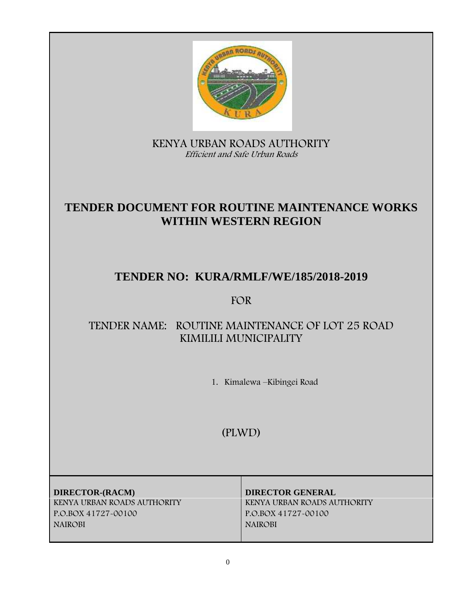

**KENYA URBAN ROADS AUTHORITY** *Efficient and Safe Urban Roads*

# **TENDER DOCUMENT FOR ROUTINE MAINTENANCE WORKS WITHIN WESTERN REGION**

# **TENDER NO: KURA/RMLF/WE/185/2018-2019**

# **FOR**

# **TENDER NAME: ROUTINE MAINTENANCE OF LOT 25 ROAD KIMILILI MUNICIPALITY**

**1. Kimalewa –Kibingei Road**

**(PLWD)**

**DIRECTOR-(RACM) DIRECTOR GENERAL P.O.BOX 41727-00100 P.O.BOX 41727-00100 NAIROBI NAIROBI**

**KENYA URBAN ROADS AUTHORITY KENYA URBAN ROADS AUTHORITY**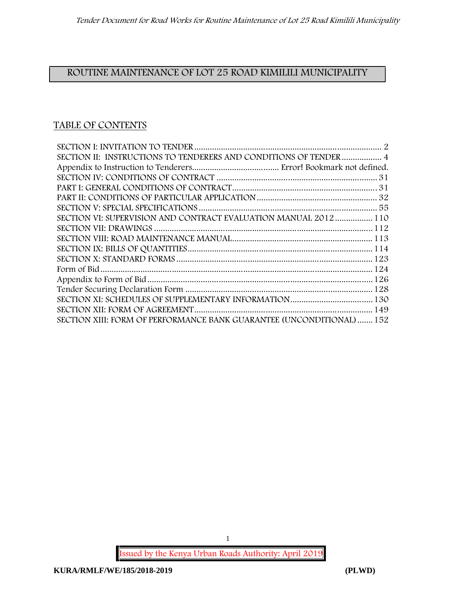# **ROUTINE MAINTENANCE OF LOT 25 ROAD KIMILILI MUNICIPALITY**

# **TABLE OF CONTENTS**

| SECTION II: INSTRUCTIONS TO TENDERERS AND CONDITIONS OF TENDER  4     |  |
|-----------------------------------------------------------------------|--|
|                                                                       |  |
|                                                                       |  |
|                                                                       |  |
|                                                                       |  |
|                                                                       |  |
| SECTION VI: SUPERVISION AND CONTRACT EVALUATION MANUAL 2012  110      |  |
|                                                                       |  |
|                                                                       |  |
|                                                                       |  |
|                                                                       |  |
|                                                                       |  |
|                                                                       |  |
|                                                                       |  |
|                                                                       |  |
|                                                                       |  |
| SECTION XIII: FORM OF PERFORMANCE BANK GUARANTEE (UNCONDITIONAL)  152 |  |

**Issued by the Kenya Urban Roads Authority: April 2019**

1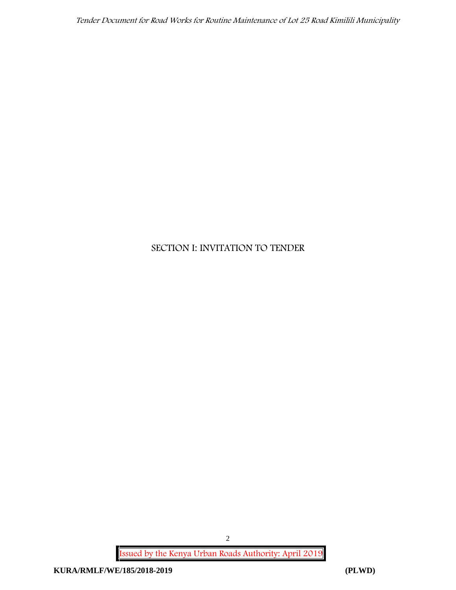# **SECTION I: INVITATION TO TENDER**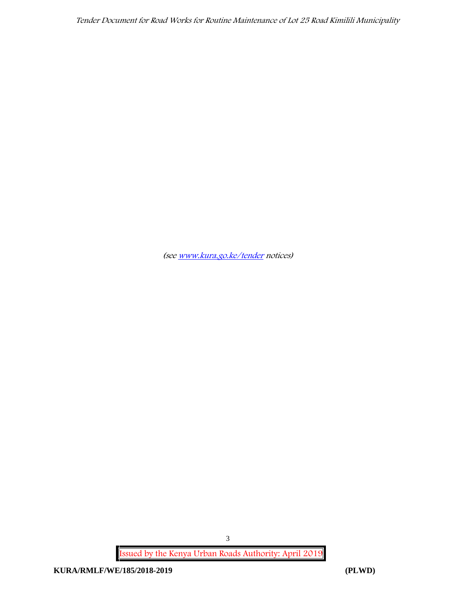*(see www.kura.go.ke/tender notices)*

**Issued by the Kenya Urban Roads Authority: April 2019**

3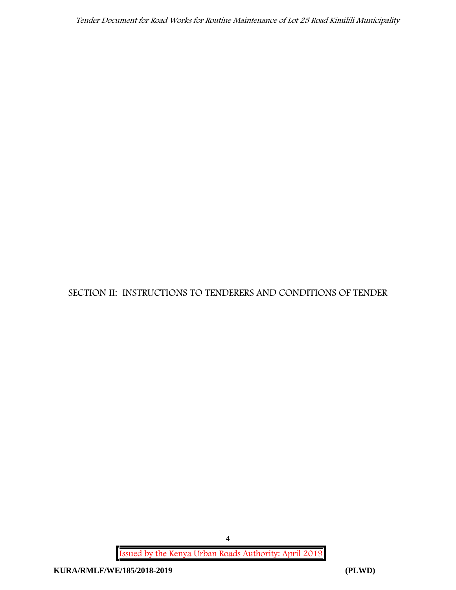**SECTION II: INSTRUCTIONS TO TENDERERS AND CONDITIONS OF TENDER**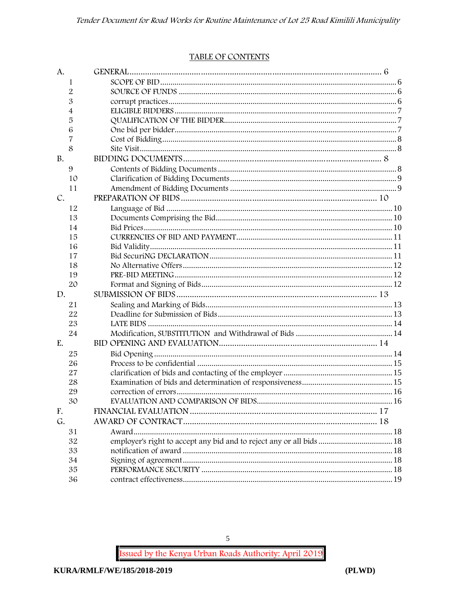#### TABLE OF CONTENTS

| A.        |    |                                                                      |  |
|-----------|----|----------------------------------------------------------------------|--|
|           | 1  |                                                                      |  |
|           | 2  |                                                                      |  |
|           | 3  |                                                                      |  |
|           | 4  |                                                                      |  |
|           | 5  |                                                                      |  |
|           | 6  |                                                                      |  |
|           | 7  |                                                                      |  |
|           | 8  |                                                                      |  |
| <b>B.</b> |    |                                                                      |  |
|           | 9  |                                                                      |  |
|           | 10 |                                                                      |  |
|           | 11 |                                                                      |  |
| C.        |    |                                                                      |  |
|           | 12 |                                                                      |  |
|           | 13 |                                                                      |  |
|           | 14 |                                                                      |  |
|           | 15 |                                                                      |  |
|           | 16 |                                                                      |  |
|           | 17 |                                                                      |  |
|           | 18 |                                                                      |  |
|           | 19 |                                                                      |  |
|           | 20 |                                                                      |  |
| D.        |    |                                                                      |  |
|           | 21 |                                                                      |  |
|           | 22 |                                                                      |  |
|           | 23 |                                                                      |  |
|           | 24 |                                                                      |  |
| E.        |    |                                                                      |  |
|           | 25 |                                                                      |  |
|           | 26 |                                                                      |  |
|           | 27 |                                                                      |  |
|           | 28 |                                                                      |  |
|           | 29 |                                                                      |  |
|           | 30 |                                                                      |  |
| F.        |    |                                                                      |  |
| G.        |    |                                                                      |  |
|           | 31 |                                                                      |  |
|           | 32 | employer's right to accept any bid and to reject any or all bids  18 |  |
|           | 33 |                                                                      |  |
|           | 34 |                                                                      |  |
|           | 35 |                                                                      |  |
|           | 36 |                                                                      |  |

 $\overline{5}$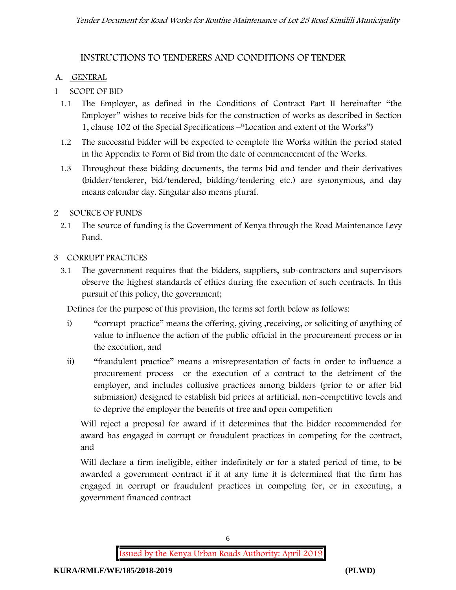## **INSTRUCTIONS TO TENDERERS AND CONDITIONS OF TENDER**

### **A. GENERAL**

- **1 SCOPE OF BID**
	- 1.1 The Employer, as defined in the Conditions of Contract Part II hereinafter "the Employer" wishes to receive bids for the construction of works as described in Section 1, clause 102 of the Special Specifications –"Location and extent of the Works")
	- 1.2 The successful bidder will be expected to complete the Works within the period stated in the Appendix to Form of Bid from the date of commencement of the Works.
	- 1.3 Throughout these bidding documents, the terms bid and tender and their derivatives (bidder/tenderer, bid/tendered, bidding/tendering etc.) are synonymous, and day means calendar day. Singular also means plural.

### **2 SOURCE OF FUNDS**

2.1 The source of funding is the Government of Kenya through the Road Maintenance Levy Fund.

### **3 CORRUPT PRACTICES**

3.1 The government requires that the bidders, suppliers, sub-contractors and supervisors observe the highest standards of ethics during the execution of such contracts. In this pursuit of this policy, the government;

Defines for the purpose of this provision, the terms set forth below as follows:

- i) "corrupt practice" means the offering, giving , receiving, or soliciting of anything of value to influence the action of the public official in the procurement process or in the execution, and
- ii) "fraudulent practice" means a misrepresentation of facts in order to influence a procurement process or the execution of a contract to the detriment of the employer, and includes collusive practices among bidders (prior to or after bid submission) designed to establish bid prices at artificial, non-competitive levels and to deprive the employer the benefits of free and open competition

Will reject a proposal for award if it determines that the bidder recommended for award has engaged in corrupt or fraudulent practices in competing for the contract, and

Will declare a firm ineligible, either indefinitely or for a stated period of time, to be awarded a government contract if it at any time it is determined that the firm has engaged in corrupt or fraudulent practices in competing for, or in executing, a government financed contract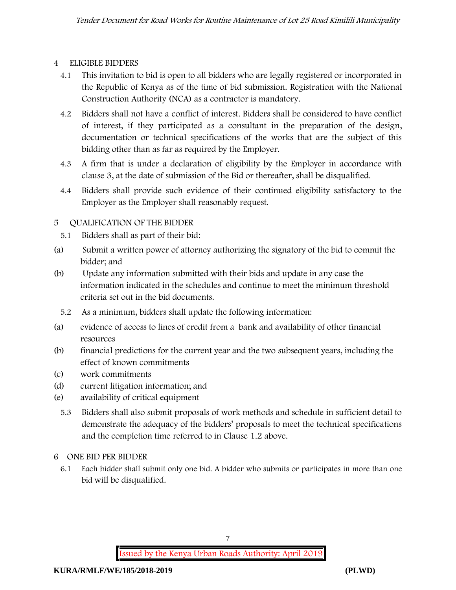### **4 ELIGIBLE BIDDERS**

- 4.1 This invitation to bid is open to all bidders who are legally registered or incorporated in the Republic of Kenya as of the time of bid submission. Registration with the National Construction Authority (NCA) as a contractor is mandatory.
- 4.2 Bidders shall not have a conflict of interest. Bidders shall be considered to have conflict of interest, if they participated as a consultant in the preparation of the design, documentation or technical specifications of the works that are the subject of this bidding other than as far as required by the Employer.
- 4.3 A firm that is under a declaration of eligibility by the Employer in accordance with clause 3, at the date of submission of the Bid or thereafter, shall be disqualified.
- 4.4 Bidders shall provide such evidence of their continued eligibility satisfactory to the Employer as the Employer shall reasonably request.

### **5 QUALIFICATION OF THE BIDDER**

- 5.1 Bidders shall as part of their bid:
- (a) Submit a written power of attorney authorizing the signatory of the bid to commit the bidder; and
- (b) Update any information submitted with their bids and update in any case the information indicated in the schedules and continue to meet the minimum threshold criteria set out in the bid documents.
	- 5.2 As a minimum, bidders shall update the following information:
- (a) evidence of access to lines of credit from a bank and availability of other financial resources
- (b) financial predictions for the current year and the two subsequent years, including the effect of known commitments
- (c) work commitments
- (d) current litigation information; and
- (e) availability of critical equipment
	- 5.3 Bidders shall also submit proposals of work methods and schedule in sufficient detail to demonstrate the adequacy of the bidders' proposals to meet the technical specifications and the completion time referred to in Clause 1.2 above.

#### **6 ONE BID PER BIDDER**

6.1 Each bidder shall submit only one bid. A bidder who submits or participates in more than one bid will be disqualified.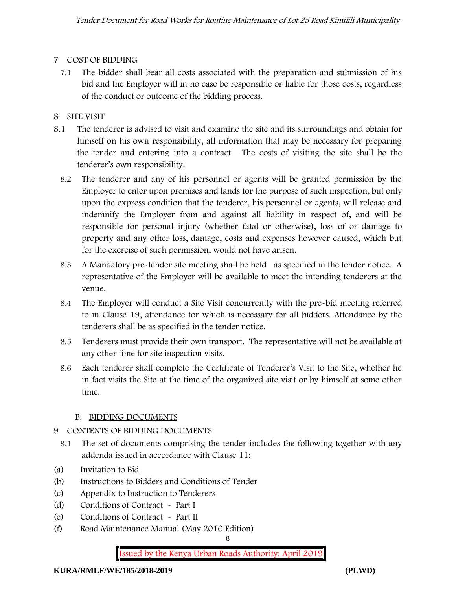## **7 COST OF BIDDING**

7.1 The bidder shall bear all costs associated with the preparation and submission of his bid and the Employer will in no case be responsible or liable for those costs, regardless of the conduct or outcome of the bidding process.

# **8 SITE VISIT**

- 8.1 The tenderer is advised to visit and examine the site and its surroundings and obtain for himself on his own responsibility, all information that may be necessary for preparing the tender and entering into a contract. The costs of visiting the site shall be the tenderer's own responsibility.
	- 8.2 The tenderer and any of his personnel or agents will be granted permission by the Employer to enter upon premises and lands for the purpose of such inspection, but only upon the express condition that the tenderer, his personnel or agents, will release and indemnify the Employer from and against all liability in respect of, and will be responsible for personal injury (whether fatal or otherwise), loss of or damage to property and any other loss, damage, costs and expenses however caused, which but for the exercise of such permission, would not have arisen.
	- 8.3 A Mandatory pre-tender site meeting shall be held as specified in the tender notice. A representative of the Employer will be available to meet the intending tenderers at the venue.
	- 8.4 The Employer will conduct a Site Visit concurrently with the pre-bid meeting referred to in Clause 19, attendance for which is necessary for all bidders. Attendance by the tenderers shall be as specified in the tender notice.
	- 8.5 Tenderers must provide their own transport. The representative will not be available at any other time for site inspection visits.
	- 8.6 Each tenderer shall complete the Certificate of Tenderer's Visit to the Site, whether he in fact visits the Site at the time of the organized site visit or by himself at some other time.

## **B. BIDDING DOCUMENTS**

## 9 CONTENTS OF BIDDING DOCUMENTS

- 9.1 The set of documents comprising the tender includes the following together with any addenda issued in accordance with Clause 11:
- (a) Invitation to Bid
- (b) Instructions to Bidders and Conditions of Tender
- (c) Appendix to Instruction to Tenderers
- (d) Conditions of Contract Part I
- (e) Conditions of Contract Part II
- (f) Road Maintenance Manual (May 2010 Edition)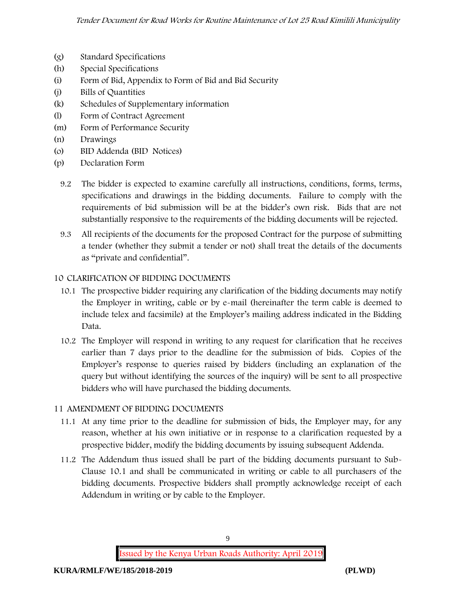- (g) Standard Specifications
- (h) Special Specifications
- (i) Form of Bid, Appendix to Form of Bid and Bid Security
- (j) Bills of Quantities
- (k) Schedules of Supplementary information
- (l) Form of Contract Agreement
- (m) Form of Performance Security
- (n) Drawings
- (o) BID Addenda (BID Notices)
- (p) Declaration Form
	- 9.2 The bidder is expected to examine carefully all instructions, conditions, forms, terms, specifications and drawings in the bidding documents. Failure to comply with the requirements of bid submission will be at the bidder's own risk. Bids that are not substantially responsive to the requirements of the bidding documents will be rejected.
	- 9.3 All recipients of the documents for the proposed Contract for the purpose of submitting a tender (whether they submit a tender or not) shall treat the details of the documents as "private and confidential".

#### **10 CLARIFICATION OF BIDDING DOCUMENTS**

- 10.1 The prospective bidder requiring any clarification of the bidding documents may notify the Employer in writing, cable or by e-mail (hereinafter the term cable is deemed to include telex and facsimile) at the Employer's mailing address indicated in the Bidding Data.
- 10.2 The Employer will respond in writing to any request for clarification that he receives earlier than 7 days prior to the deadline for the submission of bids. Copies of the Employer's response to queries raised by bidders (including an explanation of the query but without identifying the sources of the inquiry) will be sent to all prospective bidders who will have purchased the bidding documents.

#### **11 AMENDMENT OF BIDDING DOCUMENTS**

- 11.1 At any time prior to the deadline for submission of bids, the Employer may, for any reason, whether at his own initiative or in response to a clarification requested by a prospective bidder, modify the bidding documents by issuing subsequent Addenda.
- 11.2 The Addendum thus issued shall be part of the bidding documents pursuant to Sub- Clause 10.1 and shall be communicated in writing or cable to all purchasers of the bidding documents. Prospective bidders shall promptly acknowledge receipt of each Addendum in writing or by cable to the Employer.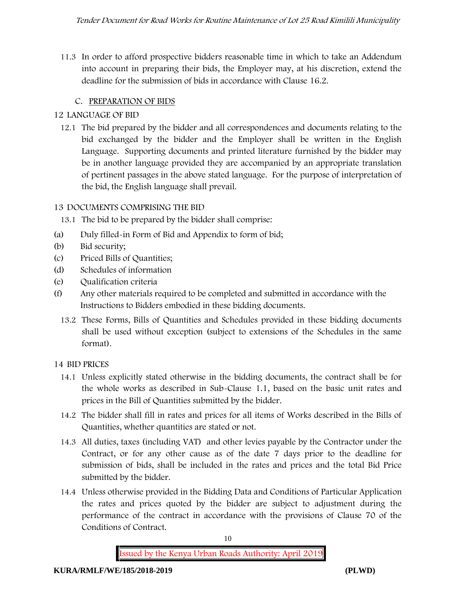11.3 In order to afford prospective bidders reasonable time in which to take an Addendum into account in preparing their bids, the Employer may, at his discretion, extend the deadline for the submission of bids in accordance with Clause 16.2.

# **C. PREPARATION OF BIDS**

### **12 LANGUAGE OF BID**

12.1 The bid prepared by the bidder and all correspondences and documents relating to the bid exchanged by the bidder and the Employer shall be written in the English Language. Supporting documents and printed literature furnished by the bidder may be in another language provided they are accompanied by an appropriate translation of pertinent passages in the above stated language. For the purpose of interpretation of the bid, the English language shall prevail.

### **13 DOCUMENTS COMPRISING THE BID**

13.1 The bid to be prepared by the bidder shall comprise:

- (a) Duly filled-in Form of Bid and Appendix to form of bid;
- (b) Bid security;
- (c) Priced Bills of Quantities;
- (d) Schedules of information
- (e) Qualification criteria
- (f) Any other materials required to be completed and submitted in accordance with the Instructions to Bidders embodied in these bidding documents.
	- 13.2 These Forms, Bills of Quantities and Schedules provided in these bidding documents shall be used without exception (subject to extensions of the Schedules in the same format).

#### **14 BID PRICES**

- 14.1 Unless explicitly stated otherwise in the bidding documents, the contract shall be for the whole works as described in Sub-Clause 1.1, based on the basic unit rates and prices in the Bill of Quantities submitted by the bidder.
- 14.2 The bidder shall fill in rates and prices for all items of Works described in the Bills of Quantities, whether quantities are stated or not.
- 14.3 All duties, taxes (including VAT) and other levies payable by the Contractor under the Contract, or for any other cause as of the date 7 days prior to the deadline for submission of bids, shall be included in the rates and prices and the total Bid Price submitted by the bidder.
- 14.4 Unless otherwise provided in the Bidding Data and Conditions of Particular Application the rates and prices quoted by the bidder are subject to adjustment during the performance of the contract in accordance with the provisions of Clause 70 of the Conditions of Contract.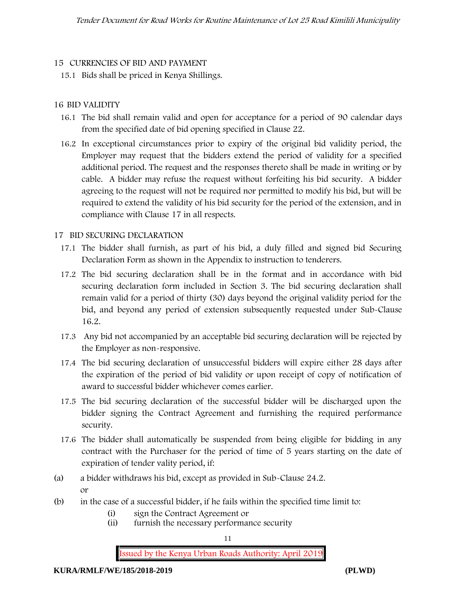#### **15 CURRENCIES OF BID AND PAYMENT**

15.1 Bids shall be priced in Kenya Shillings.

#### **16 BID VALIDITY**

- 16.1 The bid shall remain valid and open for acceptance for a period of 90 calendar days from the specified date of bid opening specified in Clause 22.
- 16.2 In exceptional circumstances prior to expiry of the original bid validity period, the Employer may request that the bidders extend the period of validity for a specified additional period. The request and the responses thereto shall be made in writing or by cable. A bidder may refuse the request without forfeiting his bid security. A bidder agreeing to the request will not be required nor permitted to modify his bid, but will be required to extend the validity of his bid security for the period of the extension, and in compliance with Clause 17 in all respects.

### **17 BID SECURING DECLARATION**

- 17.1 The bidder shall furnish, as part of his bid, a duly filled and signed bid Securing Declaration Form as shown in the Appendix to instruction to tenderers.
- 17.2 The bid securing declaration shall be in the format and in accordance with bid securing declaration form included in Section 3. The bid securing declaration shall remain valid for a period of thirty (30) days beyond the original validity period for the bid, and beyond any period of extension subsequently requested under Sub-Clause 16.2.
- 17.3 Any bid not accompanied by an acceptable bid securing declaration will be rejected by the Employer as non-responsive.
- 17.4 The bid securing declaration of unsuccessful bidders will expire either 28 days after the expiration of the period of bid validity or upon receipt of copy of notification of award to successful bidder whichever comes earlier.
- 17.5 The bid securing declaration of the successful bidder will be discharged upon the bidder signing the Contract Agreement and furnishing the required performance security.
- 17.6 The bidder shall automatically be suspended from being eligible for bidding in any contract with the Purchaser for the period of time of 5 years starting on the date of expiration of tender vality period, if:
- (a) a bidder withdraws his bid, except as provided in Sub-Clause 24.2. or
- (b) in the case of a successful bidder, if he fails within the specified time limit to:
	- (i) sign the Contract Agreement or
	- (ii) furnish the necessary performance security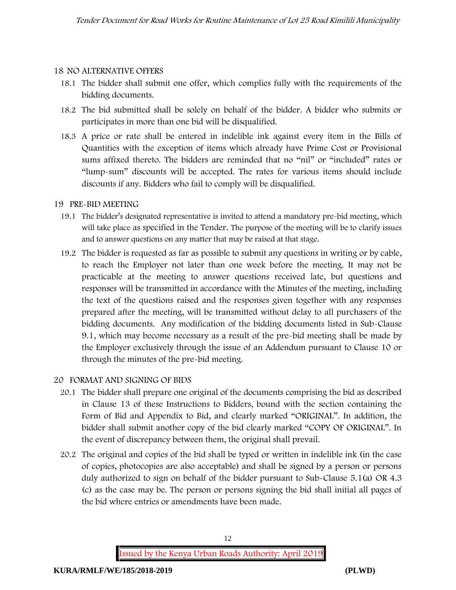#### **18 NO ALTERNATIVE OFFERS**

- 18.1 The bidder shall submit one offer, which complies fully with the requirements of the bidding documents.
- 18.2 The bid submitted shall be solely on behalf of the bidder. A bidder who submits or participates in more than one bid will be disqualified.
- 18.3 A price or rate shall be entered in indelible ink against every item in the Bills of Quantities with the exception of items which already have Prime Cost or Provisional sums affixed thereto. The bidders are reminded that no "nil" or "included" rates or "lump-sum" discounts will be accepted. The rates for various items should include discounts if any. Bidders who fail to comply will be disqualified.

#### **19 PRE-BID MEETING**

- 19.1 The bidder's designated representative is invited to attend a mandatory pre-bid meeting, which will take place as specified in the Tender. The purpose of the meeting will be to clarify issues and to answer questions on any matter that may be raised at that stage.
- 19.2 The bidder is requested as far as possible to submit any questions in writing or by cable, to reach the Employer not later than one week before the meeting. It may not be practicable at the meeting to answer questions received late, but questions and responses will be transmitted in accordance with the Minutes of the meeting, including the text of the questions raised and the responses given together with any responses prepared after the meeting, will be transmitted without delay to all purchasers of the bidding documents. Any modification of the bidding documents listed in Sub-Clause 9.1, which may become necessary as a result of the pre-bid meeting shall be made by the Employer exclusively through the issue of an Addendum pursuant to Clause 10 or through the minutes of the pre-bid meeting.

#### **20 FORMAT AND SIGNING OF BIDS**

- 20.1 The bidder shall prepare one original of the documents comprising the bid as described in Clause 13 of these Instructions to Bidders, bound with the section containing the Form of Bid and Appendix to Bid, and clearly marked "ORIGINAL". In addition, the bidder shall submit another copy of the bid clearly marked "COPY OF ORIGINAL". In the event of discrepancy between them, the original shall prevail.
- 20.2 The original and copies of the bid shall be typed or written in indelible ink (in the case of copies, photocopies are also acceptable) and shall be signed by a person or persons duly authorized to sign on behalf of the bidder pursuant to Sub-Clause 5.1(a) OR 4.3 (c) as the case may be. The person or persons signing the bid shall initial all pages of the bid where entries or amendments have been made.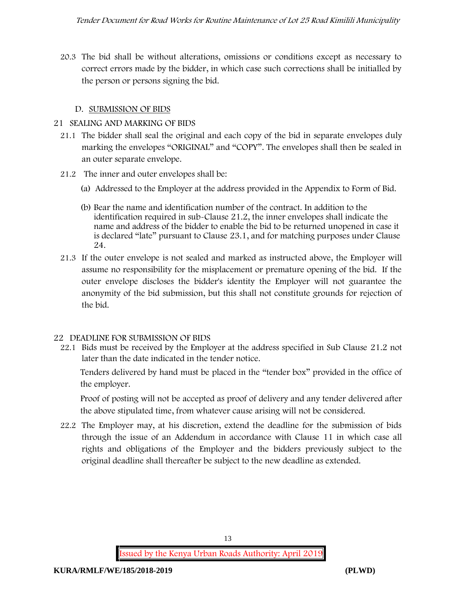20.3 The bid shall be without alterations, omissions or conditions except as necessary to correct errors made by the bidder, in which case such corrections shall be initialled by the person or persons signing the bid.

### **D. SUBMISSION OF BIDS**

#### **21 SEALING AND MARKING OF BIDS**

- 21.1 The bidder shall seal the original and each copy of the bid in separate envelopes duly marking the envelopes "ORIGINAL" and "COPY". The envelopes shall then be sealed in an outer separate envelope.
- 21.2 The inner and outer envelopes shall be:
	- (a) Addressed to the Employer at the address provided in the Appendix to Form of Bid.
	- (b) Bear the name and identification number of the contract. In addition to the identification required in sub-Clause 21.2, the inner envelopes shall indicate the name and address of the bidder to enable the bid to be returned unopened in case it is declared "late" pursuant to Clause 23.1, and for matching purposes under Clause 24.
- 21.3 If the outer envelope is not sealed and marked as instructed above, the Employer will assume no responsibility for the misplacement or premature opening of the bid. If the outer envelope discloses the bidder's identity the Employer will not guarantee the anonymity of the bid submission, but this shall not constitute grounds for rejection of the bid.

## **22 DEADLINE FOR SUBMISSION OF BIDS**

22.1 Bids must be received by the Employer at the address specified in Sub Clause 21.2 not later than **the date indicated in the tender notice.**

Tenders delivered by hand must be placed in the "tender box" provided in the office of the employer.

Proof of posting will not be accepted as proof of delivery and any tender delivered after the above stipulated time, from whatever cause arising will not be considered.

22.2 The Employer may, at his discretion, extend the deadline for the submission of bids through the issue of an Addendum in accordance with Clause 11 in which case all rights and obligations of the Employer and the bidders previously subject to the original deadline shall thereafter be subject to the new deadline as extended.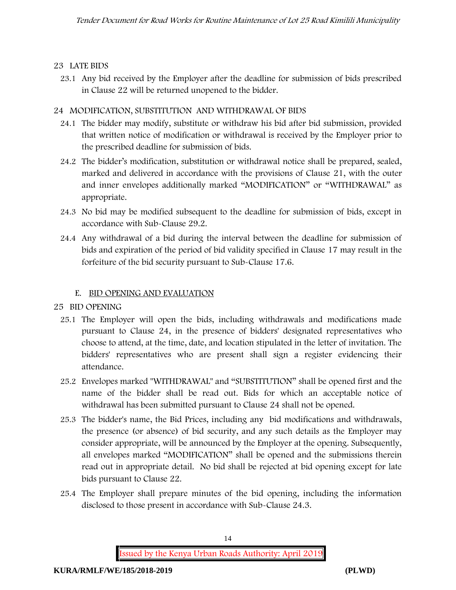## **23 LATE BIDS**

23.1 Any bid received by the Employer after the deadline for submission of bids prescribed in Clause 22 will be returned unopened to the bidder.

# **24 MODIFICATION, SUBSTITUTION AND WITHDRAWAL OF BIDS**

- 24.1 The bidder may modify, substitute or withdraw his bid after bid submission, provided that written notice of modification or withdrawal is received by the Employer prior to the prescribed deadline for submission of bids.
- 24.2 The bidder's modification, substitution or withdrawal notice shall be prepared, sealed, marked and delivered in accordance with the provisions of Clause 21, with the outer and inner envelopes additionally marked "MODIFICATION" or "WITHDRAWAL" as appropriate.
- 24.3 No bid may be modified subsequent to the deadline for submission of bids, except in accordance with Sub-Clause 29.2.
- 24.4 Any withdrawal of a bid during the interval between the deadline for submission of bids and expiration of the period of bid validity specified in Clause 17 may result in the forfeiture of the bid security pursuant to Sub-Clause 17.6.

# **E. BID OPENING AND EVALUATION**

## **25 BID OPENING**

- 25.1 The Employer will open the bids, including withdrawals and modifications made pursuant to Clause 24, in the presence of bidders' designated representatives who choose to attend, at the time, date, and location stipulated in the letter of invitation. The bidders' representatives who are present shall sign a register evidencing their attendance.
- 25.2 Envelopes marked "WITHDRAWAL" and "SUBSTITUTION" shall be opened first and the name of the bidder shall be read out. Bids for which an acceptable notice of withdrawal has been submitted pursuant to Clause 24 shall not be opened.
- 25.3 The bidder's name, the Bid Prices, including any bid modifications and withdrawals, the presence (or absence) of bid security, and any such details as the Employer may consider appropriate, will be announced by the Employer at the opening. Subsequently, all envelopes marked "MODIFICATION" shall be opened and the submissions therein read out in appropriate detail. No bid shall be rejected at bid opening except for late bids pursuant to Clause 22.
- 25.4 The Employer shall prepare minutes of the bid opening, including the information disclosed to those present in accordance with Sub-Clause 24.3.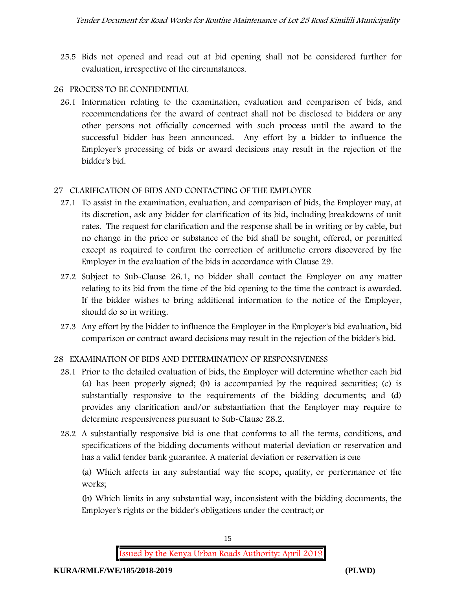25.5 Bids not opened and read out at bid opening shall not be considered further for evaluation, irrespective of the circumstances.

#### **26 PROCESS TO BE CONFIDENTIAL**

26.1 Information relating to the examination, evaluation and comparison of bids, and recommendations for the award of contract shall not be disclosed to bidders or any other persons not officially concerned with such process until the award to the successful bidder has been announced. Any effort by a bidder to influence the Employer's processing of bids or award decisions may result in the rejection of the bidder's bid.

### **27 CLARIFICATION OF BIDS AND CONTACTING OF THE EMPLOYER**

- 27.1 To assist in the examination, evaluation, and comparison of bids, the Employer may, at its discretion, ask any bidder for clarification of its bid, including breakdowns of unit rates. The request for clarification and the response shall be in writing or by cable, but no change in the price or substance of the bid shall be sought, offered, or permitted except as required to confirm the correction of arithmetic errors discovered by the Employer in the evaluation of the bids in accordance with Clause 29.
- 27.2 Subject to Sub-Clause 26.1, no bidder shall contact the Employer on any matter relating to its bid from the time of the bid opening to the time the contract is awarded. If the bidder wishes to bring additional information to the notice of the Employer, should do so in writing.
- 27.3 Any effort by the bidder to influence the Employer in the Employer's bid evaluation, bid comparison or contract award decisions may result in the rejection of the bidder's bid.

#### **28 EXAMINATION OF BIDS AND DETERMINATION OF RESPONSIVENESS**

- 28.1 Prior to the detailed evaluation of bids, the Employer will determine whether each bid (a) has been properly signed; (b) is accompanied by the required securities; (c) is substantially responsive to the requirements of the bidding documents; and (d) provides any clarification and/or substantiation that the Employer may require to determine responsiveness pursuant to Sub-Clause 28.2.
- 28.2 A substantially responsive bid is one that conforms to all the terms, conditions, and specifications of the bidding documents without material deviation or reservation and has a valid tender bank guarantee. A material deviation or reservation is one

(a) Which affects in any substantial way the scope, quality, or performance of the works;

(b) Which limits in any substantial way, inconsistent with the bidding documents, the Employer's rights or the bidder's obligations under the contract; or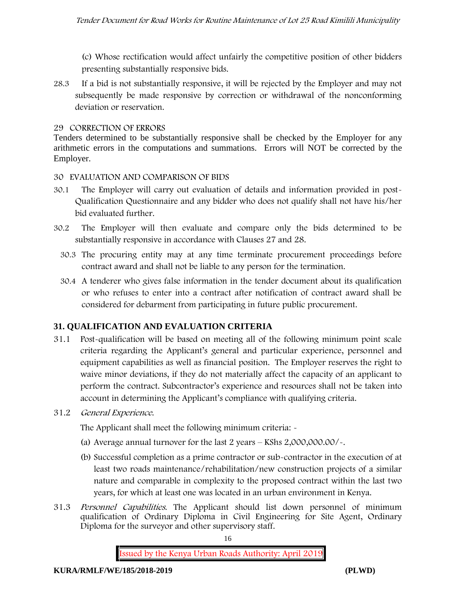(c) Whose rectification would affect unfairly the competitive position of other bidders presenting substantially responsive bids.

28.3 If a bid is not substantially responsive, it will be rejected by the Employer and may not subsequently be made responsive by correction or withdrawal of the nonconforming deviation or reservation.

#### **29 CORRECTION OF ERRORS**

Tenders determined to be substantially responsive shall be checked by the Employer for any arithmetic errors in the computations and summations. Errors will NOT be corrected by the Employer.

#### **30 EVALUATION AND COMPARISON OF BIDS**

- 30.1 The Employer will carry out evaluation of details and information provided in post- Qualification Questionnaire and any bidder who does not qualify shall not have his/her bid evaluated further.
- 30.2 The Employer will then evaluate and compare only the bids determined to be substantially responsive in accordance with Clauses 27 and 28.
	- 30.3 The procuring entity may at any time terminate procurement proceedings before contract award and shall not be liable to any person for the termination.
	- 30.4 A tenderer who gives false information in the tender document about its qualification or who refuses to enter into a contract after notification of contract award shall be considered for debarment from participating in future public procurement.

#### **31. QUALIFICATION AND EVALUATION CRITERIA**

- 31.1 Post-qualification will be based on meeting all of the following minimum point scale criteria regarding the Applicant's general and particular experience, personnel and equipment capabilities as well as financial position. The Employer reserves the right to waive minor deviations, if they do not materially affect the capacity of an applicant to perform the contract. Subcontractor's experience and resources shall not be taken into account in determining the Applicant's compliance with qualifying criteria.
- **31.2** *General Experience***.**

The Applicant shall meet the following minimum criteria: -

- (a) Average annual turnover for the last 2 years **KShs 2,000,000.00/-.**
- (b) Successful completion as a prime contractor or sub-contractor in the execution of at least two roads maintenance/rehabilitation/new construction projects of a similar nature and comparable in complexity to the proposed contract within the last two years, for which at least one was located in an urban environment in Kenya.
- 31.3 *Personnel Capabilities***.** The Applicant should list down personnel of minimum qualification of Ordinary Diploma in Civil Engineering for Site Agent, Ordinary Diploma for the surveyor and other supervisory staff.

16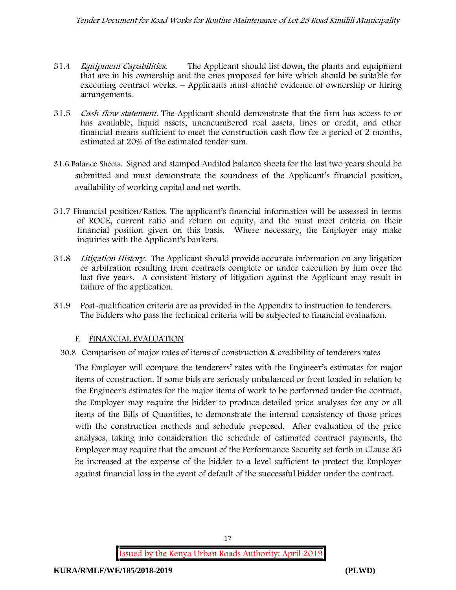- 31.4 *Equipment Capabilities.* The Applicant should list down, the plants and equipment that are in his ownership and the ones proposed for hire which should be suitable for executing contract works. – Applicants must attaché evidence of ownership or hiring arrangements.
- 31.5 *Cash flow statement.* The Applicant should demonstrate that the firm has access to or has available, liquid assets, unencumbered real assets, lines or credit, and other financial means sufficient to meet the construction cash flow for a period of 2 months, estimated at 20% of the estimated tender sum.
- **31.6 Balance Sheets***.* Signed and stamped Audited balance sheets for the last two years should be submitted and must demonstrate the soundness of the Applicant's financial position, availability of working capital and net worth.
- **31.7 Financial position/Ratios.** The applicant's financial information will be assessed in terms of ROCE, current ratio and return on equity, and the must meet criteria on their financial position given on this basis. Where necessary, the Employer may make inquiries with the Applicant's bankers.
- 31.8 *Litigation History.* The Applicant should provide accurate information on any litigation or arbitration resulting from contracts complete or under execution by him over the last five years. A consistent history of litigation against the Applicant may result in failure of the application.
- 31.9 Post-qualification criteria are as provided in the Appendix to instruction to tenderers. The bidders who pass the technical criteria will be subjected to financial evaluation.

#### **F. FINANCIAL EVALUATION**

30.8 Comparison of major rates of items of construction & credibility of tenderers rates

The Employer will compare the tenderers' rates with the Engineer's estimates for major items of construction. If some bids are seriously unbalanced or front loaded in relation to the Engineer's estimates for the major items of work to be performed under the contract, the Employer may require the bidder to produce detailed price analyses for any or all items of the Bills of Quantities, to demonstrate the internal consistency of those prices with the construction methods and schedule proposed. After evaluation of the price analyses, taking into consideration the schedule of estimated contract payments, the Employer may require that the amount of the Performance Security set forth in Clause 35 be increased at the expense of the bidder to a level sufficient to protect the Employer against financial loss in the event of default of the successful bidder under the contract.

17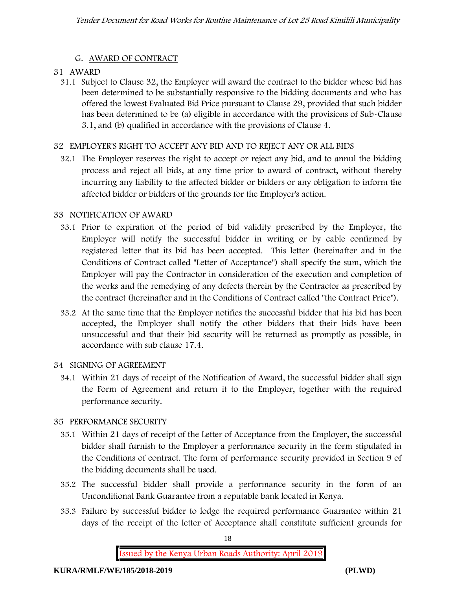### **G. AWARD OF CONTRACT**

### **31 AWARD**

31.1 Subject to Clause 32, the Employer will award the contract to the bidder whose bid has been determined to be substantially responsive to the bidding documents and who has offered the lowest Evaluated Bid Price pursuant to Clause 29, provided that such bidder has been determined to be (a) eligible in accordance with the provisions of Sub-Clause 3.1, and (b) qualified in accordance with the provisions of Clause 4.

### **32 EMPLOYER'S RIGHT TO ACCEPT ANY BID AND TO REJECT ANY OR ALL BIDS**

32.1 The Employer reserves the right to accept or reject any bid, and to annul the bidding process and reject all bids, at any time prior to award of contract, without thereby incurring any liability to the affected bidder or bidders or any obligation to inform the affected bidder or bidders of the grounds for the Employer's action.

### **33 NOTIFICATION OF AWARD**

- 33.1 Prior to expiration of the period of bid validity prescribed by the Employer, the Employer will notify the successful bidder in writing or by cable confirmed by registered letter that its bid has been accepted. This letter (hereinafter and in the Conditions of Contract called "Letter of Acceptance") shall specify the sum, which the Employer will pay the Contractor in consideration of the execution and completion of the works and the remedying of any defects therein by the Contractor as prescribed by the contract (hereinafter and in the Conditions of Contract called "the Contract Price").
- 33.2 At the same time that the Employer notifies the successful bidder that his bid has been accepted, the Employer shall notify the other bidders that their bids have been unsuccessful and that their bid security will be returned as promptly as possible, in accordance with sub clause 17.4.

## **34 SIGNING OF AGREEMENT**

34.1 Within 21 days of receipt of the Notification of Award, the successful bidder shall sign the Form of Agreement and return it to the Employer, together with the required performance security.

## **35 PERFORMANCE SECURITY**

- 35.1 Within 21 days of receipt of the Letter of Acceptance from the Employer, the successful bidder shall furnish to the Employer a performance security in the form stipulated in the Conditions of contract. The form of performance security provided in Section 9 of the bidding documents shall be used.
- 35.2 The successful bidder shall provide a performance security in the form of an Unconditional Bank Guarantee from a reputable bank located in Kenya.
- 35.3 Failure by successful bidder to lodge the required performance Guarantee within 21 days of the receipt of the letter of Acceptance shall constitute sufficient grounds for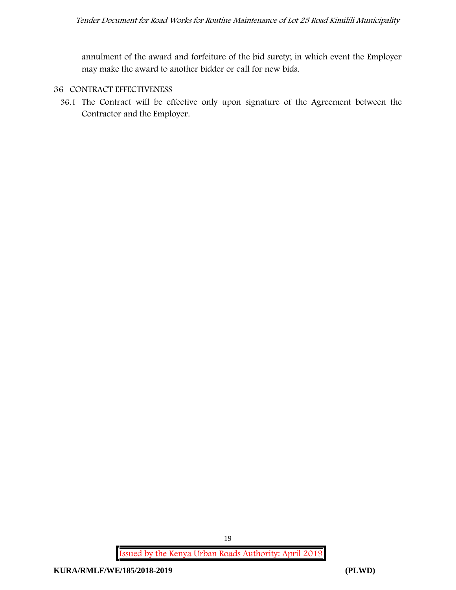annulment of the award and forfeiture of the bid surety; in which event the Employer may make the award to another bidder or call for new bids.

#### **36 CONTRACT EFFECTIVENESS**

36.1 The Contract will be effective only upon signature of the Agreement between the Contractor and the Employer.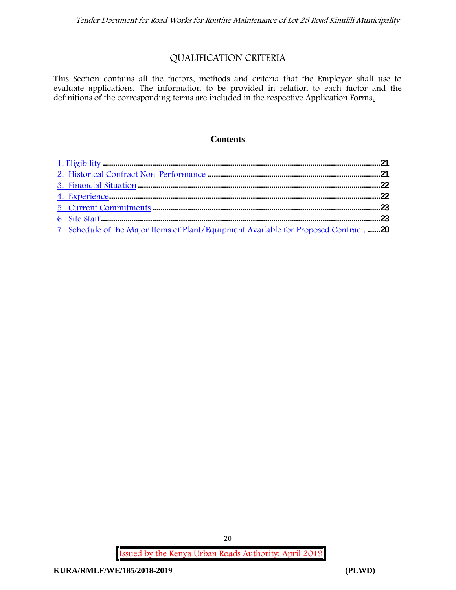# **QUALIFICATION CRITERIA**

This Section contains all the factors, methods and criteria that the Employer shall use to evaluate applications. The information to be provided in relation to each factor and the definitions of the corresponding terms are included in the respective Application Forms.

#### **Contents**

| 7. Schedule of the Major Items of Plant/Equipment Available for Proposed Contract. 20 |  |
|---------------------------------------------------------------------------------------|--|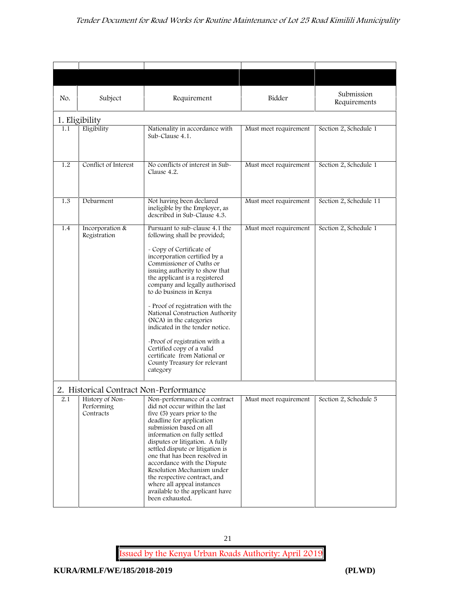| No. | Subject                                                                              | Requirement                                                                                                                                                                                                                                                                                                                                                                                                                                                                                                                                                           | Bidder                | Submission<br>Requirements |
|-----|--------------------------------------------------------------------------------------|-----------------------------------------------------------------------------------------------------------------------------------------------------------------------------------------------------------------------------------------------------------------------------------------------------------------------------------------------------------------------------------------------------------------------------------------------------------------------------------------------------------------------------------------------------------------------|-----------------------|----------------------------|
|     | 1. Eligibility                                                                       |                                                                                                                                                                                                                                                                                                                                                                                                                                                                                                                                                                       |                       |                            |
| 1.1 | Eligibility                                                                          | Nationality in accordance with<br>Sub-Clause 4.1.                                                                                                                                                                                                                                                                                                                                                                                                                                                                                                                     | Must meet requirement | Section 2, Schedule 1      |
| 1.2 | Conflict of Interest                                                                 | No conflicts of interest in Sub-<br>Clause 4.2.                                                                                                                                                                                                                                                                                                                                                                                                                                                                                                                       | Must meet requirement | Section 2, Schedule 1      |
| 1.3 | Debarment                                                                            | Not having been declared<br>ineligible by the Employer, as<br>described in Sub-Clause 4.3.                                                                                                                                                                                                                                                                                                                                                                                                                                                                            | Must meet requirement | Section 2, Schedule 11     |
| 1.4 | Incorporation &<br>Registration                                                      | Pursuant to sub-clause 4.1 the<br>following shall be provided;<br>- Copy of Certificate of<br>incorporation certified by a<br>Commissioner of Oaths or<br>issuing authority to show that<br>the applicant is a registered<br>company and legally authorised<br>to do business in Kenya<br>- Proof of registration with the<br>National Construction Authority<br>(NCA) in the categories<br>indicated in the tender notice.<br>-Proof of registration with a<br>Certified copy of a valid<br>certificate from National or<br>County Treasury for relevant<br>category | Must meet requirement | Section 2, Schedule 1      |
| 2.1 | 2. Historical Contract Non-Performance<br>History of Non-<br>Performing<br>Contracts | Non-performance of a contract<br>did not occur within the last<br>five (5) years prior to the<br>deadline for application<br>submission based on all<br>information on fully settled<br>disputes or litigation. A fully<br>settled dispute or litigation is<br>one that has been resolved in<br>accordance with the Dispute<br>Resolution Mechanism under<br>the respective contract, and<br>where all appeal instances<br>available to the applicant have<br>been exhausted.                                                                                         | Must meet requirement | Section 2, Schedule 5      |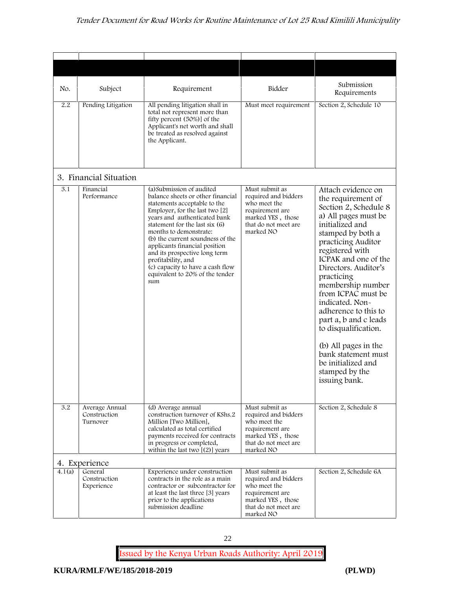| No.                 | Subject                                    | Requirement                                                                                                                                                                                                                                                                                                                                                                                                                            | Bidder                                                                                                                              | Submission<br>Requirements                                                                                                                                                                                                                                                                                                                                                                                                                                                              |
|---------------------|--------------------------------------------|----------------------------------------------------------------------------------------------------------------------------------------------------------------------------------------------------------------------------------------------------------------------------------------------------------------------------------------------------------------------------------------------------------------------------------------|-------------------------------------------------------------------------------------------------------------------------------------|-----------------------------------------------------------------------------------------------------------------------------------------------------------------------------------------------------------------------------------------------------------------------------------------------------------------------------------------------------------------------------------------------------------------------------------------------------------------------------------------|
| 2.2                 | Pending Litigation                         | All pending litigation shall in<br>total not represent more than<br>fifty percent (50%)] of the<br>Applicant's net worth and shall<br>be treated as resolved against<br>the Applicant.                                                                                                                                                                                                                                                 | Must meet requirement                                                                                                               | Section 2, Schedule 10                                                                                                                                                                                                                                                                                                                                                                                                                                                                  |
|                     | 3. Financial Situation                     |                                                                                                                                                                                                                                                                                                                                                                                                                                        |                                                                                                                                     |                                                                                                                                                                                                                                                                                                                                                                                                                                                                                         |
| 3.1                 | Financial<br>Performance                   | (a) Submission of audited<br>balance sheets or other financial<br>statements acceptable to the<br>Employer, for the last two [2]<br>years and authenticated bank<br>statement for the last six (6)<br>months to demonstrate:<br>(b) the current soundness of the<br>applicants financial position<br>and its prospective long term<br>profitability, and<br>(c) capacity to have a cash flow<br>equivalent to 20% of the tender<br>sum | Must submit as<br>required and bidders<br>who meet the<br>requirement are<br>marked YES, those<br>that do not meet are<br>marked NO | Attach evidence on<br>the requirement of<br>Section 2, Schedule 8<br>a) All pages must be<br>initialized and<br>stamped by both a<br>practicing Auditor<br>registered with<br>ICPAK and one of the<br>Directors. Auditor's<br>practicing<br>membership number<br>from ICPAC must be<br>indicated. Non-<br>adherence to this to<br>part a, b and c leads<br>to disqualification.<br>(b) All pages in the<br>bank statement must<br>be initialized and<br>stamped by the<br>issuing bank. |
| 3.2                 | Average Annual<br>Construction<br>Turnover | (d) Average annual<br>construction turnover of KShs.2<br>Million [Two Million],<br>calculated as total certified<br>payments received for contracts<br>in progress or completed,<br>within the last two $[(2)]$ years                                                                                                                                                                                                                  | Must submit as<br>required and bidders<br>who meet the<br>requirement are<br>marked YES, those<br>that do not meet are<br>marked NO | Section 2, Schedule 8                                                                                                                                                                                                                                                                                                                                                                                                                                                                   |
|                     | 4. Experience                              |                                                                                                                                                                                                                                                                                                                                                                                                                                        |                                                                                                                                     |                                                                                                                                                                                                                                                                                                                                                                                                                                                                                         |
| $\overline{4}.1(a)$ | General<br>Construction<br>Experience      | Experience under construction<br>contracts in the role as a main<br>contractor or subcontractor for<br>at least the last three [3] years<br>prior to the applications<br>submission deadline                                                                                                                                                                                                                                           | Must submit as<br>required and bidders<br>who meet the<br>requirement are<br>marked YES, those<br>that do not meet are<br>marked NO | Section 2, Schedule 6A                                                                                                                                                                                                                                                                                                                                                                                                                                                                  |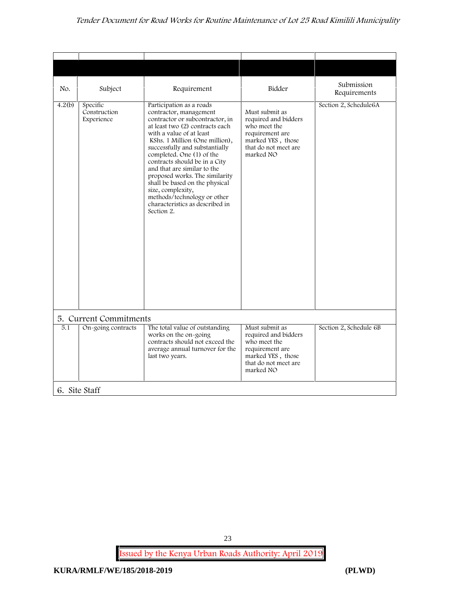| Submission<br>Bidder<br>Subject<br>Requirement<br>Requirements<br>Specific<br>Participation as a roads<br>Section 2, Schedule6A<br>Construction<br>contractor, management<br>Must submit as<br>contractor or subcontractor, in<br>required and bidders<br>Experience<br>at least two (2) contracts each<br>who meet the<br>with a value of at least<br>requirement are<br>marked YES, those<br>KShs. 1 Million (One million),<br>that do not meet are<br>successfully and substantially<br>completed. One (1) of the<br>marked NO<br>contracts should be in a City<br>and that are similar to the<br>proposed works. The similarity<br>shall be based on the physical<br>size, complexity,<br>methods/technology or other<br>characteristics as described in<br>Section 2.<br>5. Current Commitments<br>The total value of outstanding<br>5.1<br>On-going contracts<br>Must submit as<br>Section 2, Schedule 6B<br>works on the on-going<br>required and bidders<br>contracts should not exceed the<br>who meet the<br>average annual turnover for the<br>requirement are<br>marked YES, those<br>last two years.<br>that do not meet are<br>marked NO<br>6. Site Staff |        |  |  |
|-------------------------------------------------------------------------------------------------------------------------------------------------------------------------------------------------------------------------------------------------------------------------------------------------------------------------------------------------------------------------------------------------------------------------------------------------------------------------------------------------------------------------------------------------------------------------------------------------------------------------------------------------------------------------------------------------------------------------------------------------------------------------------------------------------------------------------------------------------------------------------------------------------------------------------------------------------------------------------------------------------------------------------------------------------------------------------------------------------------------------------------------------------------------------|--------|--|--|
|                                                                                                                                                                                                                                                                                                                                                                                                                                                                                                                                                                                                                                                                                                                                                                                                                                                                                                                                                                                                                                                                                                                                                                         |        |  |  |
|                                                                                                                                                                                                                                                                                                                                                                                                                                                                                                                                                                                                                                                                                                                                                                                                                                                                                                                                                                                                                                                                                                                                                                         | No.    |  |  |
|                                                                                                                                                                                                                                                                                                                                                                                                                                                                                                                                                                                                                                                                                                                                                                                                                                                                                                                                                                                                                                                                                                                                                                         | 4.2(b) |  |  |
|                                                                                                                                                                                                                                                                                                                                                                                                                                                                                                                                                                                                                                                                                                                                                                                                                                                                                                                                                                                                                                                                                                                                                                         |        |  |  |
|                                                                                                                                                                                                                                                                                                                                                                                                                                                                                                                                                                                                                                                                                                                                                                                                                                                                                                                                                                                                                                                                                                                                                                         |        |  |  |
|                                                                                                                                                                                                                                                                                                                                                                                                                                                                                                                                                                                                                                                                                                                                                                                                                                                                                                                                                                                                                                                                                                                                                                         |        |  |  |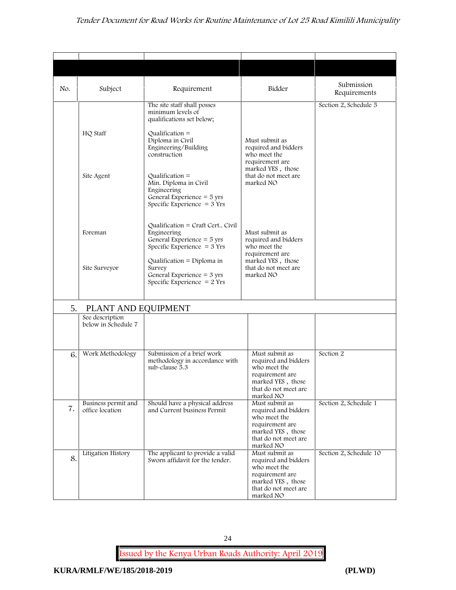| No. | Subject                                | Requirement                                                                                                                                                                                          | Bidder                                                                                                                              | Submission<br>Requirements |
|-----|----------------------------------------|------------------------------------------------------------------------------------------------------------------------------------------------------------------------------------------------------|-------------------------------------------------------------------------------------------------------------------------------------|----------------------------|
|     | HQ Staff                               | The site staff shall posses<br>minimum levels of<br>qualifications set below;<br>Qualification $=$<br>Diploma in Civil<br>Engineering/Building<br>construction                                       | Must submit as<br>required and bidders<br>who meet the<br>requirement are                                                           | Section 2, Schedule 5      |
|     | Site Agent                             | $Qualification =$<br>Min. Diploma in Civil<br>Engineering<br>General Experience $=$ 5 yrs<br>Specific Experience $=$ 3 Yrs                                                                           | marked YES, those<br>that do not meet are<br>marked NO                                                                              |                            |
|     | Foreman                                | Qualification = Craft Cert Civil<br>Engineering<br>General Experience $=$ 5 yrs<br>Specific Experience $=$ 3 Yrs                                                                                     | Must submit as<br>required and bidders<br>who meet the                                                                              |                            |
|     | Site Surveyor                          | Qualification = Diploma in<br>Survey<br>General Experience $=$ 3 yrs<br>Specific Experience $= 2$ Yrs                                                                                                | requirement are<br>marked YES, those<br>that do not meet are<br>marked NO                                                           |                            |
| 5.  | PLANT AND EQUIPMENT                    |                                                                                                                                                                                                      |                                                                                                                                     |                            |
|     | See description<br>below in Schedule 7 |                                                                                                                                                                                                      |                                                                                                                                     |                            |
| 6.  | Work Methodology                       | Submission of a brief work<br>methodology in accordance with<br>sub-clause 5.3                                                                                                                       | Must submit as<br>required and bidders<br>who meet the<br>requirement are<br>marked YES, those<br>that do not meet are<br>marked NO | Section 2                  |
| 7.  | Business permit and<br>office location | Should have a physical address<br>Must submit as<br>and Current business Permit<br>required and bidders<br>who meet the<br>requirement are<br>marked YES, those<br>that do not meet are<br>marked NO |                                                                                                                                     | Section 2, Schedule 1      |
| 8.  | Litigation History                     | The applicant to provide a valid<br>Sworn affidavit for the tender.                                                                                                                                  | Must submit as<br>required and bidders<br>who meet the<br>requirement are<br>marked YES, those<br>that do not meet are<br>marked NO | Section 2, Schedule 10     |

24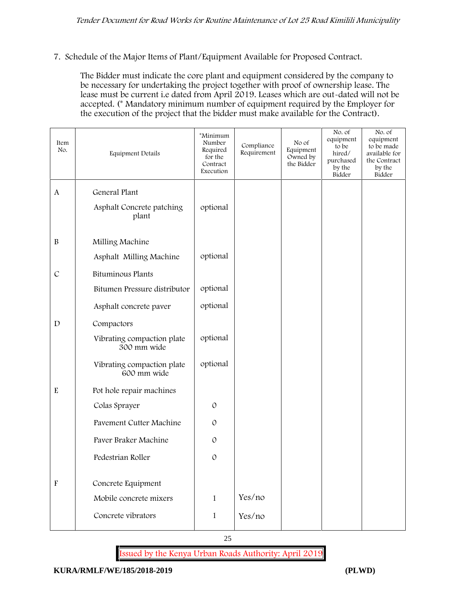#### **7. Schedule of the Major Items of Plant/Equipment Available for Proposed Contract.**

The Bidder must indicate the core plant and equipment considered by the company to be necessary for undertaking the project together with proof of ownership lease. The lease must be current i.e dated from April 2019. Leases which are out-dated will not be accepted. (\* Mandatory minimum number of equipment required by the Employer for the execution of the project that the bidder must make available for the Contract).

| Item<br>No.               | Equipment Details                         | *Minimum<br>Number<br>Required<br>for the<br>Contract<br>Execution | Compliance<br>Requirement | No of<br>Equipment<br>Owned by<br>the Bidder | No. of<br>equipment<br>to be<br>hired/<br>purchased<br>by the<br>Bidder | No. of<br>equipment<br>to be made<br>available for<br>the Contract<br>by the<br>Bidder |
|---------------------------|-------------------------------------------|--------------------------------------------------------------------|---------------------------|----------------------------------------------|-------------------------------------------------------------------------|----------------------------------------------------------------------------------------|
| A                         | General Plant                             |                                                                    |                           |                                              |                                                                         |                                                                                        |
|                           | Asphalt Concrete patching<br>plant        | optional                                                           |                           |                                              |                                                                         |                                                                                        |
| $\, {\bf B}$              | Milling Machine                           |                                                                    |                           |                                              |                                                                         |                                                                                        |
|                           | Asphalt Milling Machine                   | optional                                                           |                           |                                              |                                                                         |                                                                                        |
| $\mathcal{C}$             | <b>Bituminous Plants</b>                  |                                                                    |                           |                                              |                                                                         |                                                                                        |
|                           | Bitumen Pressure distributor              | optional                                                           |                           |                                              |                                                                         |                                                                                        |
|                           | Asphalt concrete paver                    | optional                                                           |                           |                                              |                                                                         |                                                                                        |
| $\mathbf D$               | Compactors                                |                                                                    |                           |                                              |                                                                         |                                                                                        |
|                           | Vibrating compaction plate<br>300 mm wide | optional                                                           |                           |                                              |                                                                         |                                                                                        |
|                           | Vibrating compaction plate<br>600 mm wide | optional                                                           |                           |                                              |                                                                         |                                                                                        |
| ${\bf E}$                 | Pot hole repair machines                  |                                                                    |                           |                                              |                                                                         |                                                                                        |
|                           | Colas Sprayer                             | $\mathcal{O}$                                                      |                           |                                              |                                                                         |                                                                                        |
|                           | Pavement Cutter Machine                   | $\mathcal{O}$                                                      |                           |                                              |                                                                         |                                                                                        |
|                           | Paver Braker Machine                      | $\mathcal{O}$                                                      |                           |                                              |                                                                         |                                                                                        |
|                           | Pedestrian Roller                         | $\mathcal{O}$                                                      |                           |                                              |                                                                         |                                                                                        |
|                           |                                           |                                                                    |                           |                                              |                                                                         |                                                                                        |
| $\boldsymbol{\mathrm{F}}$ | Concrete Equipment                        |                                                                    |                           |                                              |                                                                         |                                                                                        |
|                           | Mobile concrete mixers                    | $\mathbf{1}$                                                       | Yes/no                    |                                              |                                                                         |                                                                                        |
|                           | Concrete vibrators                        | $\mathbf{1}$                                                       | Yes/no                    |                                              |                                                                         |                                                                                        |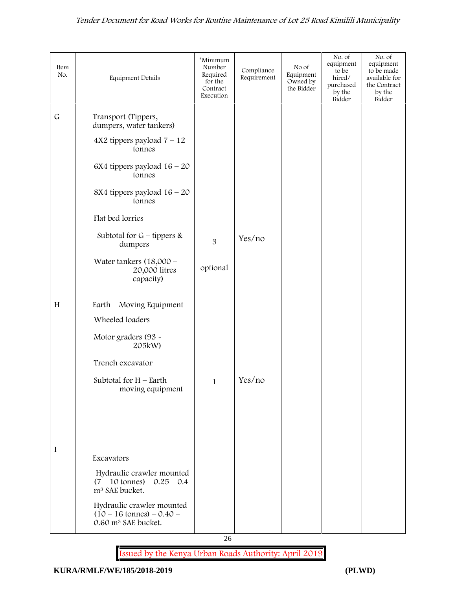| Item<br>No.  | Equipment Details                                                                                   | *Minimum<br>Number<br>Required<br>for the<br>Contract<br>Execution | Compliance<br>Requirement | No of<br>Equipment<br>Owned by<br>the Bidder | No. of<br>equipment<br>to be<br>hired/<br>purchased<br>by the<br>Bidder | No. of<br>equipment<br>to be made<br>available for<br>the Contract<br>by the<br>Bidder |
|--------------|-----------------------------------------------------------------------------------------------------|--------------------------------------------------------------------|---------------------------|----------------------------------------------|-------------------------------------------------------------------------|----------------------------------------------------------------------------------------|
| $\mathsf{G}$ |                                                                                                     |                                                                    |                           |                                              |                                                                         |                                                                                        |
|              | Transport (Tippers,<br>dumpers, water tankers)                                                      |                                                                    |                           |                                              |                                                                         |                                                                                        |
|              | $4X2$ tippers payload $7 - 12$<br>tonnes                                                            |                                                                    |                           |                                              |                                                                         |                                                                                        |
|              | 6X4 tippers payload $16 - 20$<br>tonnes                                                             |                                                                    |                           |                                              |                                                                         |                                                                                        |
|              | 8X4 tippers payload $16 - 20$<br>tonnes                                                             |                                                                    |                           |                                              |                                                                         |                                                                                        |
|              | Flat bed lorries                                                                                    |                                                                    |                           |                                              |                                                                         |                                                                                        |
|              | Subtotal for $G$ – tippers &<br>dumpers                                                             | 3                                                                  | Yes/no                    |                                              |                                                                         |                                                                                        |
|              | Water tankers $(18,000 -$<br>20,000 litres<br>capacity)                                             | optional                                                           |                           |                                              |                                                                         |                                                                                        |
| H            | Earth – Moving Equipment                                                                            |                                                                    |                           |                                              |                                                                         |                                                                                        |
|              | Wheeled loaders                                                                                     |                                                                    |                           |                                              |                                                                         |                                                                                        |
|              | Motor graders (93 -<br>205kW)                                                                       |                                                                    |                           |                                              |                                                                         |                                                                                        |
|              | Trench excavator                                                                                    |                                                                    |                           |                                              |                                                                         |                                                                                        |
|              | Subtotal for $H$ – Earth<br>moving equipment                                                        | $\mathbf{1}$                                                       | Yes/no                    |                                              |                                                                         |                                                                                        |
|              |                                                                                                     |                                                                    |                           |                                              |                                                                         |                                                                                        |
|              |                                                                                                     |                                                                    |                           |                                              |                                                                         |                                                                                        |
|              |                                                                                                     |                                                                    |                           |                                              |                                                                         |                                                                                        |
| I            | Excavators                                                                                          |                                                                    |                           |                                              |                                                                         |                                                                                        |
|              | Hydraulic crawler mounted<br>$(7 - 10 \text{ tonnes}) - 0.25 - 0.4$<br>m <sup>3</sup> SAE bucket.   |                                                                    |                           |                                              |                                                                         |                                                                                        |
|              | Hydraulic crawler mounted<br>$(10 - 16 \text{ tonnes}) - 0.40 -$<br>0.60 m <sup>3</sup> SAE bucket. |                                                                    |                           |                                              |                                                                         |                                                                                        |

26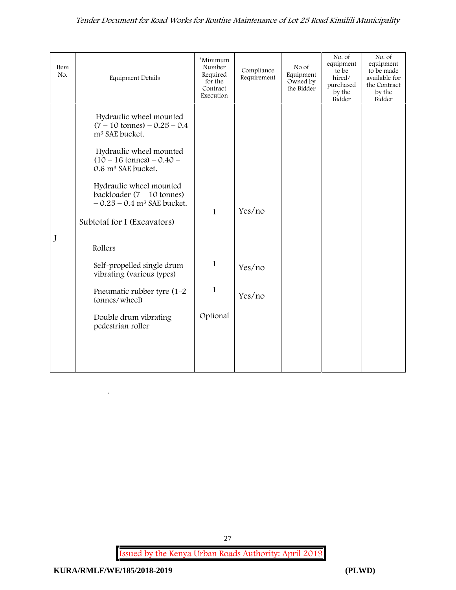| Item<br>No. | <b>Equipment Details</b>                                                                                    | *Minimum<br>Number<br>Required<br>for the<br>Contract<br>Execution | Compliance<br>Requirement | No of<br>Equipment<br>Owned by<br>the Bidder | No. of<br>equipment<br>to be<br>hired/<br>purchased<br>by the<br>Bidder | No. of<br>equipment<br>to be made<br>available for<br>the Contract<br>by the<br>Bidder |
|-------------|-------------------------------------------------------------------------------------------------------------|--------------------------------------------------------------------|---------------------------|----------------------------------------------|-------------------------------------------------------------------------|----------------------------------------------------------------------------------------|
|             | Hydraulic wheel mounted<br>$(7 - 10 \text{ tonnes}) - 0.25 - 0.4$<br>m <sup>3</sup> SAE bucket.             |                                                                    |                           |                                              |                                                                         |                                                                                        |
|             | Hydraulic wheel mounted<br>$(10 - 16 \text{ tonnes}) - 0.40 -$<br>0.6 m <sup>3</sup> SAE bucket.            |                                                                    |                           |                                              |                                                                         |                                                                                        |
|             | Hydraulic wheel mounted<br>backloader $(7 - 10 \text{ tonnes})$<br>$-0.25 - 0.4$ m <sup>3</sup> SAE bucket. | $\mathbf{1}$                                                       | Yes/no                    |                                              |                                                                         |                                                                                        |
|             | Subtotal for I (Excavators)                                                                                 |                                                                    |                           |                                              |                                                                         |                                                                                        |
| J           | Rollers                                                                                                     |                                                                    |                           |                                              |                                                                         |                                                                                        |
|             | Self-propelled single drum<br>vibrating (various types)                                                     | $\mathbf{1}$                                                       | Yes/no                    |                                              |                                                                         |                                                                                        |
|             | Pneumatic rubber tyre (1-2<br>tonnes/wheel)                                                                 | $\mathbf{1}$                                                       | Yes/no                    |                                              |                                                                         |                                                                                        |
|             | Double drum vibrating<br>pedestrian roller                                                                  | Optional                                                           |                           |                                              |                                                                         |                                                                                        |
|             |                                                                                                             |                                                                    |                           |                                              |                                                                         |                                                                                        |
|             |                                                                                                             |                                                                    |                           |                                              |                                                                         |                                                                                        |

**Issued by the Kenya Urban Roads Authority: April 2019**

27

`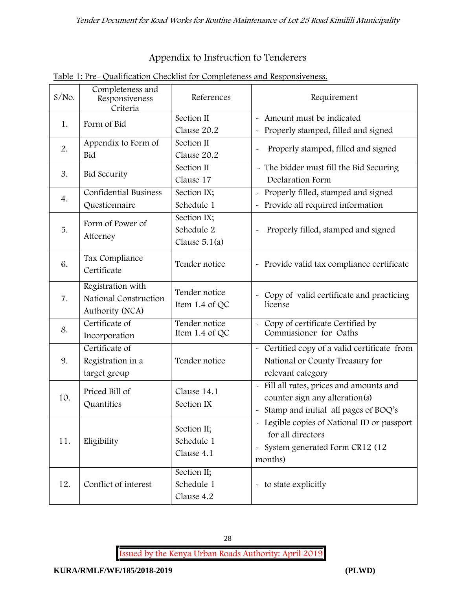# **Appendix to Instruction to Tenderers**

| $S/NO$ . | Completeness and<br>Responsiveness<br>Criteria                | References                                   | Requirement                                                                                                                               |  |
|----------|---------------------------------------------------------------|----------------------------------------------|-------------------------------------------------------------------------------------------------------------------------------------------|--|
| 1.       | Form of Bid                                                   | Section II<br>Clause 20.2                    | - Amount must be indicated<br>Properly stamped, filled and signed<br>$\tilde{\phantom{a}}$                                                |  |
| 2.       | Appendix to Form of<br>Bid                                    | Section II<br>Clause 20.2                    | Properly stamped, filled and signed<br>$\tilde{\phantom{a}}$                                                                              |  |
| 3.       | <b>Bid Security</b>                                           | Section II<br>Clause 17                      | - The bidder must fill the Bid Securing<br>Declaration Form                                                                               |  |
| 4.       | Confidential Business<br>Questionnaire                        | Section IX;<br>Schedule 1                    | Properly filled, stamped and signed<br>$\tilde{\phantom{a}}$<br>Provide all required information                                          |  |
| 5.       | Form of Power of<br>Attorney                                  | Section IX;<br>Schedule 2<br>Clause $5.1(a)$ | Properly filled, stamped and signed<br>$\ddot{\phantom{1}}$                                                                               |  |
| 6.       | Tax Compliance<br>Certificate                                 | Tender notice                                | - Provide valid tax compliance certificate                                                                                                |  |
| 7.       | Registration with<br>National Construction<br>Authority (NCA) | Tender notice<br>Item $1.4$ of QC            | Copy of valid certificate and practicing<br>$\tilde{\phantom{a}}$<br>license                                                              |  |
| 8.       | Certificate of<br>Incorporation                               | Tender notice<br>Item $1.4$ of QC            | Copy of certificate Certified by<br>$\sim$<br>Commissioner for Oaths                                                                      |  |
| 9.       | Certificate of<br>Registration in a<br>target group           | Tender notice                                | Certified copy of a valid certificate from<br>$\tilde{\phantom{a}}$<br>National or County Treasury for<br>relevant category               |  |
| 10.      | Priced Bill of<br>Quantities                                  | Clause 14.1<br>Section IX                    | Fill all rates, prices and amounts and<br>$\tilde{\phantom{a}}$<br>counter sign any alteration(s)<br>Stamp and initial all pages of BOQ's |  |
| 11.      | Eligibility                                                   | Section II;<br>Schedule 1<br>Clause 4.1      | - Legible copies of National ID or passport<br>for all directors<br>System generated Form CR12 (12<br>$\tilde{}$<br>months)               |  |
| 12.      | Conflict of interest                                          | Section II;<br>Schedule 1<br>Clause 4.2      | - to state explicitly                                                                                                                     |  |

# **Table 1: Pre- Qualification Checklist for Completeness and Responsiveness.**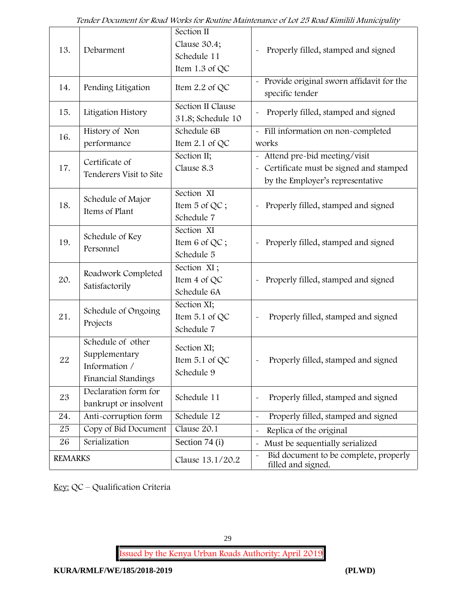| 13.            | Debarment                                                                  | Section II<br>Clause 30.4;<br>Schedule 11<br>Item 1.3 of QC | Properly filled, stamped and signed                                                                          |
|----------------|----------------------------------------------------------------------------|-------------------------------------------------------------|--------------------------------------------------------------------------------------------------------------|
| 14.            | Pending Litigation                                                         | Item $2.2$ of QC                                            | Provide original sworn affidavit for the<br>specific tender                                                  |
| 15.            | Litigation History                                                         | Section II Clause<br>31.8; Schedule 10                      | Properly filled, stamped and signed                                                                          |
| 16.            | History of Non<br>performance                                              | Schedule 6B<br>Item 2.1 of QC                               | - Fill information on non-completed<br>works                                                                 |
| 17.            | Certificate of<br>Tenderers Visit to Site                                  | Section II;<br>Clause 8.3                                   | Attend pre-bid meeting/visit<br>- Certificate must be signed and stamped<br>by the Employer's representative |
| 18.            | Schedule of Major<br>Items of Plant                                        | Section XI<br>Item 5 of QC;<br>Schedule 7                   | Properly filled, stamped and signed                                                                          |
| 19.            | Schedule of Key<br>Personnel                                               | Section XI<br>Item 6 of QC;<br>Schedule 5                   | Properly filled, stamped and signed                                                                          |
| 20.            | Roadwork Completed<br>Satisfactorily                                       | Section XI;<br>Item 4 of QC<br>Schedule 6A                  | Properly filled, stamped and signed<br>$\widetilde{\phantom{m}}$                                             |
| 21.            | Schedule of Ongoing<br>Projects                                            | Section XI;<br>Item 5.1 of QC<br>Schedule 7                 | Properly filled, stamped and signed                                                                          |
| 22             | Schedule of other<br>Supplementary<br>Information /<br>Financial Standings | Section XI;<br>Item $5.1$ of QC<br>Schedule 9               | Properly filled, stamped and signed                                                                          |
| 23             | Declaration form for<br>bankrupt or insolvent                              | Schedule 11                                                 | Properly filled, stamped and signed                                                                          |
| 24.            | Anti-corruption form                                                       | Schedule 12                                                 | Properly filled, stamped and signed                                                                          |
| 25             | Copy of Bid Document                                                       | Clause 20.1                                                 | Replica of the original                                                                                      |
| 26             | Serialization                                                              | Section 74 (i)                                              | Must be sequentially serialized                                                                              |
| <b>REMARKS</b> |                                                                            | Clause 13.1/20.2                                            | Bid document to be complete, properly<br>filled and signed.                                                  |

**Key:** QC – Qualification Criteria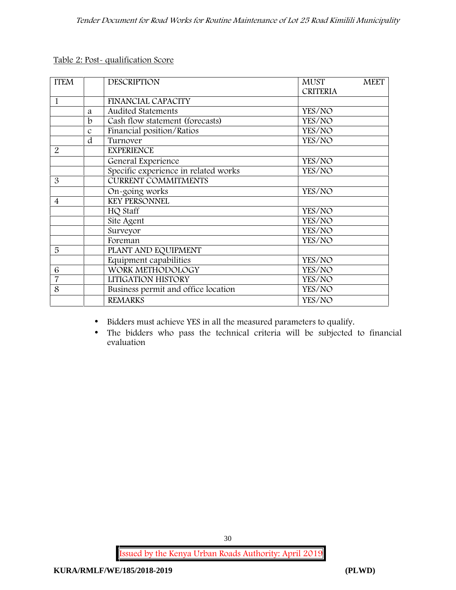**Table 2: Post- qualification Score**

| <b>ITEM</b>    |               | <b>DESCRIPTION</b>                   | <b>MUST</b><br><b>MEET</b> |
|----------------|---------------|--------------------------------------|----------------------------|
|                |               |                                      | <b>CRITERIA</b>            |
| 1              |               | <b>FINANCIAL CAPACITY</b>            |                            |
|                | a             | <b>Audited Statements</b>            | YES/NO                     |
|                | b             | Cash flow statement (forecasts)      | YES/NO                     |
|                | $\mathcal{C}$ | Financial position/Ratios            | YES/NO                     |
|                | d             | Turnover                             | YES/NO                     |
| $\overline{2}$ |               | <b>EXPERIENCE</b>                    |                            |
|                |               | General Experience                   | YES/NO                     |
|                |               | Specific experience in related works | YES/NO                     |
| 3              |               | <b>CURRENT COMMITMENTS</b>           |                            |
|                |               | On-going works                       | YES/NO                     |
| $\overline{4}$ |               | <b>KEY PERSONNEL</b>                 |                            |
|                |               | HQ Staff                             | YES/NO                     |
|                |               | Site Agent                           | YES/NO                     |
|                |               | Surveyor                             | YES/NO                     |
|                |               | Foreman                              | YES/NO                     |
| 5              |               | PLANT AND EQUIPMENT                  |                            |
|                |               | Equipment capabilities               | YES/NO                     |
| 6              |               | WORK METHODOLOGY                     | YES/NO                     |
| $\overline{7}$ |               | LITIGATION HISTORY                   | YES/NO                     |
| 8              |               | Business permit and office location  | YES/NO                     |
|                |               | <b>REMARKS</b>                       | YES/NO                     |

Bidders must achieve YES in all the measured parameters to qualify.

 The bidders who pass the technical criteria will be subjected to financial evaluation

**Issued by the Kenya Urban Roads Authority: April 2019**

30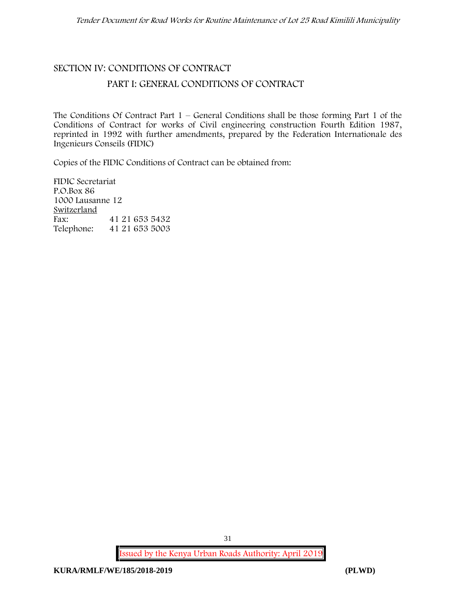# **SECTION IV: CONDITIONS OF CONTRACT**

### **PART I: GENERAL CONDITIONS OF CONTRACT**

The Conditions Of Contract Part  $1 -$  General Conditions shall be those forming Part 1 of the Conditions of Contract for works of Civil engineering construction Fourth Edition 1987, reprinted in 1992 with further amendments, prepared by the Federation Internationale des Ingenieurs Conseils (FIDIC)

Copies of the FIDIC Conditions of Contract can be obtained from:

FIDIC Secretariat P.O.Box 86 1000 Lausanne 12 **Switzerland** Fax: 41 21 653 5432 Telephone: 41 21 653 5003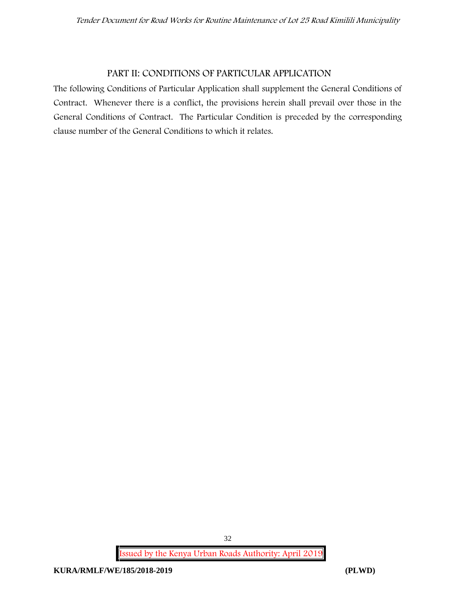#### **PART II: CONDITIONS OF PARTICULAR APPLICATION**

The following Conditions of Particular Application shall supplement the General Conditions of Contract. Whenever there is a conflict, the provisions herein shall prevail over those in the General Conditions of Contract. The Particular Condition is preceded by the corresponding clause number of the General Conditions to which it relates.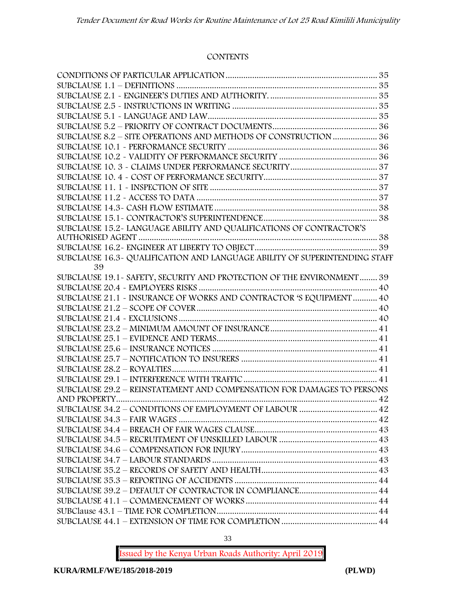#### **CONTENTS**

| SUBCLAUSE 8.2 - SITE OPERATIONS AND METHODS OF CONSTRUCTION  36             |  |
|-----------------------------------------------------------------------------|--|
|                                                                             |  |
|                                                                             |  |
|                                                                             |  |
|                                                                             |  |
|                                                                             |  |
|                                                                             |  |
|                                                                             |  |
|                                                                             |  |
| SUBCLAUSE 15.2-LANGUAGE ABILITY AND QUALIFICATIONS OF CONTRACTOR'S          |  |
|                                                                             |  |
|                                                                             |  |
| SUBCLAUSE 16.3 - QUALIFICATION AND LANGUAGE ABILITY OF SUPERINTENDING STAFF |  |
| 39                                                                          |  |
| SUBCLAUSE 19.1 - SAFETY, SECURITY AND PROTECTION OF THE ENVIRONMENT 39      |  |
|                                                                             |  |
| SUBCLAUSE 21.1 - INSURANCE OF WORKS AND CONTRACTOR 'S EQUIPMENT  40         |  |
|                                                                             |  |
|                                                                             |  |
|                                                                             |  |
|                                                                             |  |
|                                                                             |  |
|                                                                             |  |
|                                                                             |  |
| SUBCLAUSE 29.2 - REINSTATEMENT AND COMPENSATION FOR DAMAGES TO PERSONS      |  |
|                                                                             |  |
| SUBCLAUSE 34.2 - CONDITIONS OF EMPLOYMENT OF LABOUR  42                     |  |
|                                                                             |  |
|                                                                             |  |
|                                                                             |  |
|                                                                             |  |
|                                                                             |  |
|                                                                             |  |
|                                                                             |  |
|                                                                             |  |
|                                                                             |  |
|                                                                             |  |
|                                                                             |  |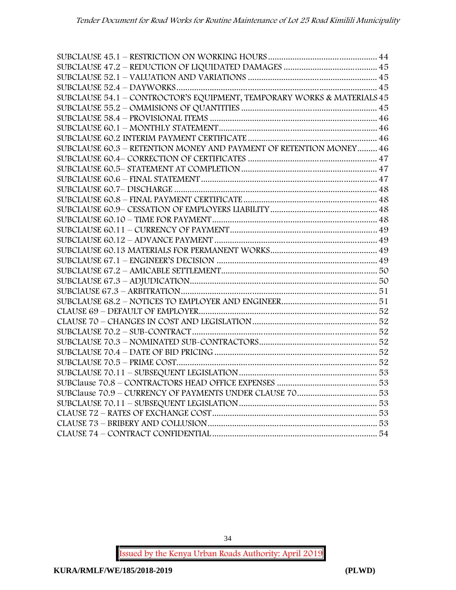| SUBCLAUSE 54.1 – CONTROCTOR'S EQUIPMENT, TEMPORARY WORKS & MATERIALS 45 |  |
|-------------------------------------------------------------------------|--|
|                                                                         |  |
|                                                                         |  |
|                                                                         |  |
|                                                                         |  |
| SUBCLAUSE 60.3 - RETENTION MONEY AND PAYMENT OF RETENTION MONEY 46      |  |
|                                                                         |  |
|                                                                         |  |
|                                                                         |  |
|                                                                         |  |
|                                                                         |  |
|                                                                         |  |
|                                                                         |  |
|                                                                         |  |
|                                                                         |  |
|                                                                         |  |
|                                                                         |  |
|                                                                         |  |
|                                                                         |  |
|                                                                         |  |
|                                                                         |  |
|                                                                         |  |
|                                                                         |  |
|                                                                         |  |
|                                                                         |  |
|                                                                         |  |
|                                                                         |  |
|                                                                         |  |
|                                                                         |  |
|                                                                         |  |
|                                                                         |  |
|                                                                         |  |
|                                                                         |  |
|                                                                         |  |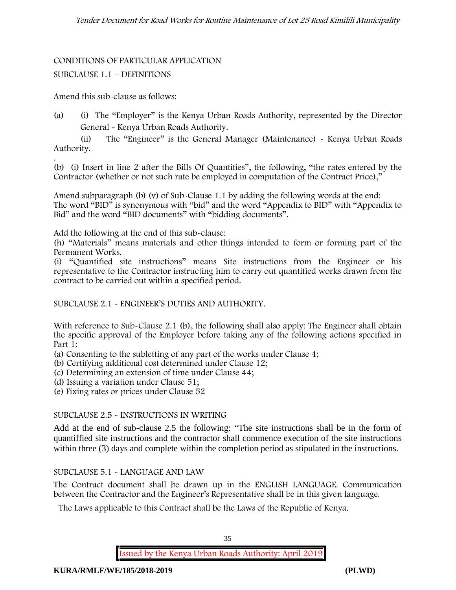#### **CONDITIONS OF PARTICULAR APPLICATION**

#### SUBCLAUSE 1.1 – DEFINITIONS

Amend this sub-clause as follows:

(a) (i) The "Employer" is the Kenya Urban Roads Authority, represented by the Director General - Kenya Urban Roads Authority.

(ii) The "Engineer" is the General Manager (Maintenance) - Kenya Urban Roads Authority.

.(b) (i) Insert in line 2 after the Bills Of Quantities", the following, "the rates entered by the Contractor (whether or not such rate be employed in computation of the Contract Price),"

Amend subparagraph (b) (v) of Sub-Clause 1.1 by adding the following words at the end: The word "BID" is synonymous with "bid" and the word "Appendix to BID" with "Appendix to Bid" and the word "BID documents" with "bidding documents".

Add the following at the end of this sub-clause:

(h) "Materials" means materials and other things intended to form or forming part of the Permanent Works.

(i) "Quantified site instructions" means Site instructions from the Engineer or his representative to the Contractor instructing him to carry out quantified works drawn from the contract to be carried out within a specified period.

SUBCLAUSE 2.1 - ENGINEER'S DUTIES AND AUTHORITY.

With reference to Sub-Clause 2.1 (b), the following shall also apply: The Engineer shall obtain the specific approval of the Employer before taking any of the following actions specified in Part 1:

- (a) Consenting to the subletting of any part of the works under Clause 4;
- (b) Certifying additional cost determined under Clause 12;
- (c) Determining an extension of time under Clause 44;
- (d) Issuing a variation under Clause 51;
- (e) Fixing rates or prices under Clause 52

#### SUBCLAUSE 2.5 - INSTRUCTIONS IN WRITING

Add at the end of sub-clause 2.5 the following: "The site instructions shall be in the form of quantiffied site instructions and the contractor shall commence execution of the site instructions within three (3) days and complete within the completion period as stipulated in the instructions.

#### SUBCLAUSE 5.1 - LANGUAGE AND LAW

The Contract document shall be drawn up in the ENGLISH LANGUAGE. Communication between the Contractor and the Engineer's Representative shall be in this given language.

The Laws applicable to this Contract shall be the Laws of the Republic of Kenya.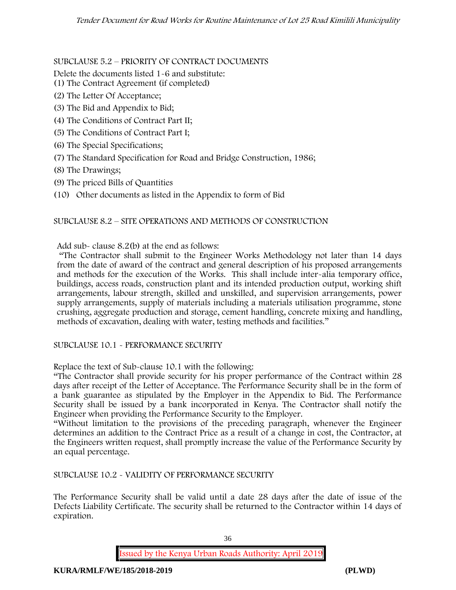SUBCLAUSE 5.2 – PRIORITY OF CONTRACT DOCUMENTS

Delete the documents listed 1-6 and substitute:

- (1) The Contract Agreement (if completed)
- (2) The Letter Of Acceptance;
- (3) The Bid and Appendix to Bid;
- (4) The Conditions of Contract Part II;
- (5) The Conditions of Contract Part I;
- (6) The Special Specifications;
- (7) The Standard Specification for Road and Bridge Construction, 1986;
- (8) The Drawings;
- (9) The priced Bills of Quantities
- (10) Other documents as listed in the Appendix to form of Bid

# SUBCLAUSE 8.2 – SITE OPERATIONS AND METHODS OF CONSTRUCTION

Add sub- clause 8.2(b) at the end as follows:

"The Contractor shall submit to the Engineer Works Methodology not later than 14 days from the date of award of the contract and general description of his proposed arrangements and methods for the execution of the Works. This shall include inter-alia temporary office, buildings, access roads, construction plant and its intended production output, working shift arrangements, labour strength, skilled and unskilled, and supervision arrangements, power supply arrangements, supply of materials including a materials utilisation programme, stone crushing, aggregate production and storage, cement handling, concrete mixing and handling, methods of excavation, dealing with water, testing methods and facilities."

SUBCLAUSE 10.1 - PERFORMANCE SECURITY

Replace the text of Sub-clause 10.1 with the following:

"The Contractor shall provide security for his proper performance of the Contract within 28 days after receipt of the Letter of Acceptance. The Performance Security shall be in the form of a bank guarantee as stipulated by the Employer in the Appendix to Bid. The Performance Security shall be issued by a bank incorporated in Kenya. The Contractor shall notify the Engineer when providing the Performance Security to the Employer.

"Without limitation to the provisions of the preceding paragraph, whenever the Engineer determines an addition to the Contract Price as a result of a change in cost, the Contractor, at the Engineers written request, shall promptly increase the value of the Performance Security by an equal percentage.

SUBCLAUSE 10.2 - VALIDITY OF PERFORMANCE SECURITY

The Performance Security shall be valid until a date 28 days after the date of issue of the Defects Liability Certificate. The security shall be returned to the Contractor within 14 days of expiration.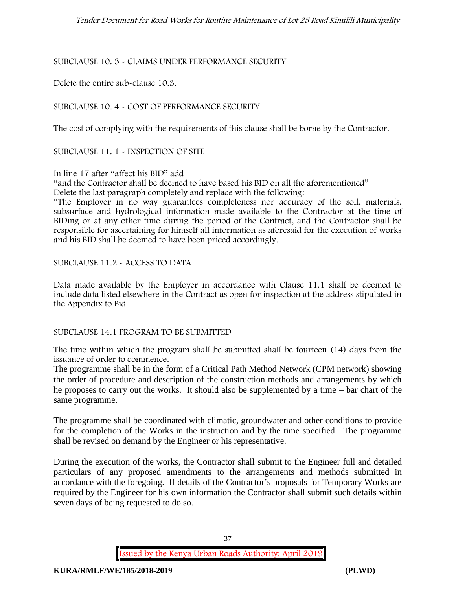# SUBCLAUSE 10. 3 - CLAIMS UNDER PERFORMANCE SECURITY

Delete the entire sub-clause 10.3.

# SUBCLAUSE 10. 4 - COST OF PERFORMANCE SECURITY

The cost of complying with the requirements of this clause shall be borne by the Contractor.

SUBCLAUSE 11. 1 - INSPECTION OF SITE

# In line 17 after "affect his BID" add

"and the Contractor shall be deemed to have based his BID on all the aforementioned" Delete the last paragraph completely and replace with the following:

"The Employer in no way guarantees completeness nor accuracy of the soil, materials, subsurface and hydrological information made available to the Contractor at the time of BIDing or at any other time during the period of the Contract, and the Contractor shall be responsible for ascertaining for himself all information as aforesaid for the execution of works and his BID shall be deemed to have been priced accordingly.

# SUBCLAUSE 11.2 - ACCESS TO DATA

Data made available by the Employer in accordance with Clause 11.1 shall be deemed to include data listed elsewhere in the Contract as open for inspection at the address stipulated in the Appendix to Bid.

# SUBCLAUSE 14.1 PROGRAM TO BE SUBMITTED

The time within which the program shall be submitted shall be fourteen (14) days from the issuance of order to commence**.**

The programme shall be in the form of a Critical Path Method Network (CPM network) showing the order of procedure and description of the construction methods and arrangements by which he proposes to carry out the works. It should also be supplemented by a time – bar chart of the same programme.

The programme shall be coordinated with climatic, groundwater and other conditions to provide for the completion of the Works in the instruction and by the time specified. The programme shall be revised on demand by the Engineer or his representative.

During the execution of the works, the Contractor shall submit to the Engineer full and detailed particulars of any proposed amendments to the arrangements and methods submitted in accordance with the foregoing. If details of the Contractor's proposals for Temporary Works are required by the Engineer for his own information the Contractor shall submit such details within seven days of being requested to do so.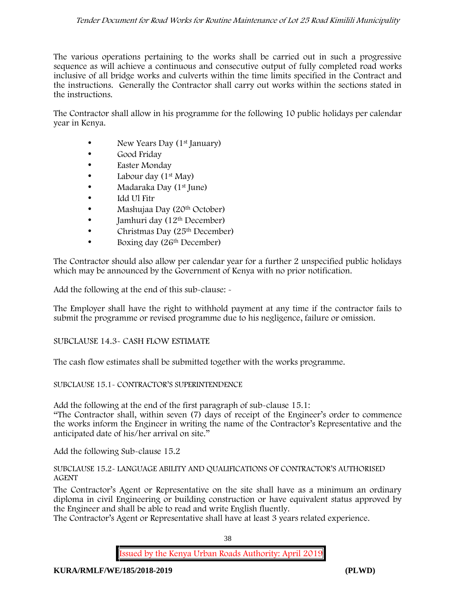# *Tender Document for Road Works for Routine Maintenance of Lot 25 Road Kimilili Municipality*

The various operations pertaining to the works shall be carried out in such a progressive sequence as will achieve a continuous and consecutive output of fully completed road works inclusive of all bridge works and culverts within the time limits specified in the Contract and the instructions. Generally the Contractor shall carry out works within the sections stated in the instructions.

The Contractor shall allow in his programme for the following 10 public holidays per calendar year in Kenya.

- New Years Day (1<sup>st</sup> January)
- Good Friday
- Easter Monday
- Labour day  $(1<sup>st</sup>$  May)
- Madaraka Day (1st June)
- Idd Ul Fitr
- Mashujaa Day (20<sup>th</sup> October)
- $\bullet$  Jamhuri day (12<sup>th</sup> December)
- $\bullet$  Christmas Day (25<sup>th</sup> December)
- Boxing day (26<sup>th</sup> December)

The Contractor should also allow per calendar year for a further 2 unspecified public holidays which may be announced by the Government of Kenya with no prior notification.

Add the following at the end of this sub-clause: -

The Employer shall have the right to withhold payment at any time if the contractor fails to submit the programme or revised programme due to his negligence, failure or omission.

### SUBCLAUSE 14.3- CASH FLOW ESTIMATE

The cash flow estimates shall be submitted together with the works programme.

### SUBCLAUSE 15.1- CONTRACTOR'S SUPERINTENDENCE

Add the following at the end of the first paragraph of sub-clause 15.1:

"The Contractor shall, within seven (7) days of receipt of the Engineer's order to commence the works inform the Engineer in writing the name of the Contractor's Representative and the anticipated date of his/her arrival on site."

Add the following Sub-clause 15.2

### SUBCLAUSE 15.2- LANGUAGE ABILITY AND QUALIFICATIONS OF CONTRACTOR'S AUTHORISED AGENT

The Contractor's Agent or Representative on the site shall have as a minimum an ordinary diploma in civil Engineering or building construction or have equivalent status approved by the Engineer and shall be able to read and write English fluently.

The Contractor's Agent or Representative shall have at least 3 years related experience.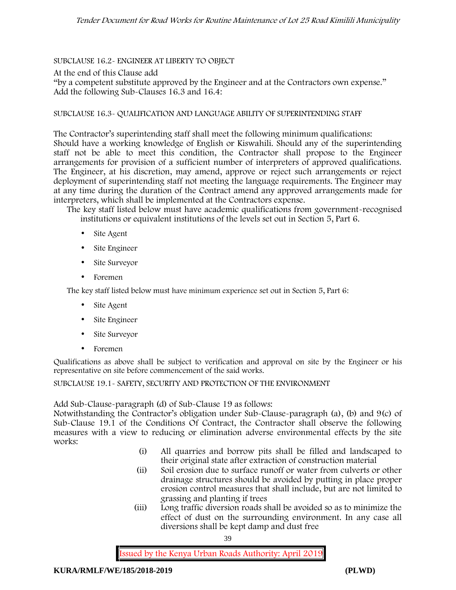# SUBCLAUSE 16.2- ENGINEER AT LIBERTY TO OBJECT

At the end of this Clause add

"by a competent substitute approved by the Engineer and at the Contractors own expense." Add the following Sub-Clauses 16.3 and 16.4:

# SUBCLAUSE 16.3- QUALIFICATION AND LANGUAGE ABILITY OF SUPERINTENDING STAFF

The Contractor's superintending staff shall meet the following minimum qualifications: Should have a working knowledge of English or Kiswahili. Should any of the superintending staff not be able to meet this condition, the Contractor shall propose to the Engineer arrangements for provision of a sufficient number of interpreters of approved qualifications. The Engineer, at his discretion, may amend, approve or reject such arrangements or reject deployment of superintending staff not meeting the language requirements. The Engineer may at any time during the duration of the Contract amend any approved arrangements made for interpreters, which shall be implemented at the Contractors expense.

The key staff listed below must have academic qualifications from government-recognised institutions or equivalent institutions of the levels set out in Section 5, Part 6.

- Site Agent
- Site Engineer
- Site Surveyor
- Foremen

The key staff listed below must have minimum experience set out in Section 5, Part 6:

- Site Agent
- Site Engineer
- Site Surveyor
- Foremen

Qualifications as above shall be subject to verification and approval on site by the Engineer or his representative on site before commencement of the said works.

SUBCLAUSE 19.1- SAFETY, SECURITY AND PROTECTION OF THE ENVIRONMENT

Add Sub-Clause-paragraph (d) of Sub-Clause 19 as follows:

Notwithstanding the Contractor's obligation under Sub-Clause-paragraph (a), (b) and 9(c) of Sub-Clause 19.1 of the Conditions Of Contract, the Contractor shall observe the following measures with a view to reducing or elimination adverse environmental effects by the site works:

- (i) All quarries and borrow pits shall be filled and landscaped to their original state after extraction of construction material
- (ii) Soil erosion due to surface runoff or water from culverts or other drainage structures should be avoided by putting in place proper erosion control measures that shall include, but are not limited to grassing and planting if trees
- (iii) Long traffic diversion roads shall be avoided so as to minimize the effect of dust on the surrounding environment. In any case all diversions shall be kept damp and dust free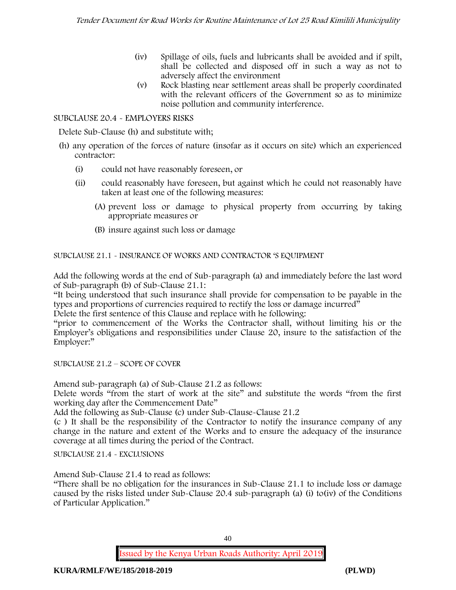- (iv) Spillage of oils, fuels and lubricants shall be avoided and if spilt, shall be collected and disposed off in such a way as not to adversely affect the environment
- (v) Rock blasting near settlement areas shall be properly coordinated with the relevant officers of the Government so as to minimize noise pollution and community interference.

# SUBCLAUSE 20.4 - EMPLOYERS RISKS

Delete Sub-Clause (h) and substitute with;

- (h) any operation of the forces of nature (insofar as it occurs on site) which an experienced contractor:
	- (i) could not have reasonably foreseen, or
	- (ii) could reasonably have foreseen, but against which he could not reasonably have taken at least one of the following measures:
		- (A) prevent loss or damage to physical property from occurring by taking appropriate measures or
		- (B) insure against such loss or damage

SUBCLAUSE 21.1 - INSURANCE OF WORKS AND CONTRACTOR 'S EQUIPMENT

Add the following words at the end of Sub-paragraph (a) and immediately before the last word of Sub-paragraph (b) of Sub-Clause 21.1:

"It being understood that such insurance shall provide for compensation to be payable in the types and proportions of currencies required to rectify the loss or damage incurred"

Delete the first sentence of this Clause and replace with he following:

"prior to commencement of the Works the Contractor shall, without limiting his or the Employer's obligations and responsibilities under Clause 20, insure to the satisfaction of the Employer:"

SUBCLAUSE 21.2 – SCOPE OF COVER

Amend sub-paragraph (a) of Sub-Clause 21.2 as follows:

Delete words "from the start of work at the site" and substitute the words "from the first working day after the Commencement Date"

Add the following as Sub-Clause (c) under Sub-Clause-Clause 21.2

(c ) It shall be the responsibility of the Contractor to notify the insurance company of any change in the nature and extent of the Works and to ensure the adequacy of the insurance coverage at all times during the period of the Contract.

SUBCLAUSE 21.4 - EXCLUSIONS

Amend Sub-Clause 21.4 to read as follows:

"There shall be no obligation for the insurances in Sub-Clause 21.1 to include loss or damage caused by the risks listed under Sub-Clause 20.4 sub-paragraph (a) (i) to(iv) of the Conditions of Particular Application."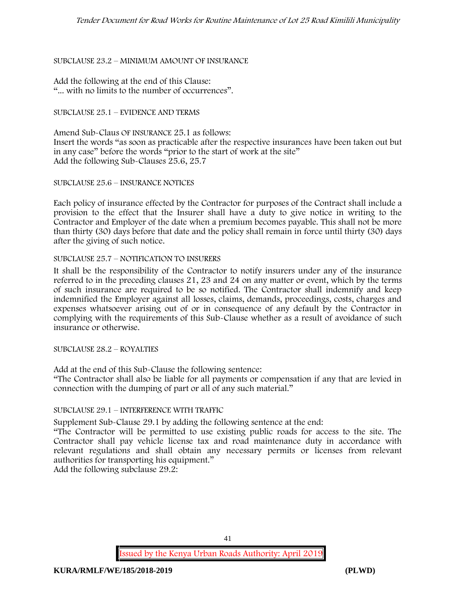# SUBCLAUSE 23.2 – MINIMUM AMOUNT OF INSURANCE

Add the following at the end of this Clause: "... with no limits to the number of occurrences".

### SUBCLAUSE 25.1 – EVIDENCE AND TERMS

Amend Sub-Claus OF INSURANCE 25.1 as follows: Insert the words "as soon as practicable after the respective insurances have been taken out but in any case" before the words "prior to the start of work at the site" Add the following Sub-Clauses 25.6, 25.7

### SUBCLAUSE 25.6 – INSURANCE NOTICES

Each policy of insurance effected by the Contractor for purposes of the Contract shall include a provision to the effect that the Insurer shall have a duty to give notice in writing to the Contractor and Employer of the date when a premium becomes payable. This shall not be more than thirty (30) days before that date and the policy shall remain in force until thirty (30) days after the giving of such notice.

### SUBCLAUSE 25.7 – NOTIFICATION TO INSURERS

It shall be the responsibility of the Contractor to notify insurers under any of the insurance referred to in the preceding clauses 21, 23 and 24 on any matter or event, which by the terms of such insurance are required to be so notified. The Contractor shall indemnify and keep indemnified the Employer against all losses, claims, demands, proceedings, costs, charges and expenses whatsoever arising out of or in consequence of any default by the Contractor in complying with the requirements of this Sub-Clause whether as a result of avoidance of such insurance or otherwise.

SUBCLAUSE 28.2 – ROYALTIES

Add at the end of this Sub-Clause the following sentence:

"The Contractor shall also be liable for all payments or compensation if any that are levied in connection with the dumping of part or all of any such material."

# SUBCLAUSE 29.1 – INTERFERENCE WITH TRAFFIC

Supplement Sub-Clause 29.1 by adding the following sentence at the end:

"The Contractor will be permitted to use existing public roads for access to the site. The Contractor shall pay vehicle license tax and road maintenance duty in accordance with relevant regulations and shall obtain any necessary permits or licenses from relevant authorities for transporting his equipment."

Add the following subclause 29.2:

41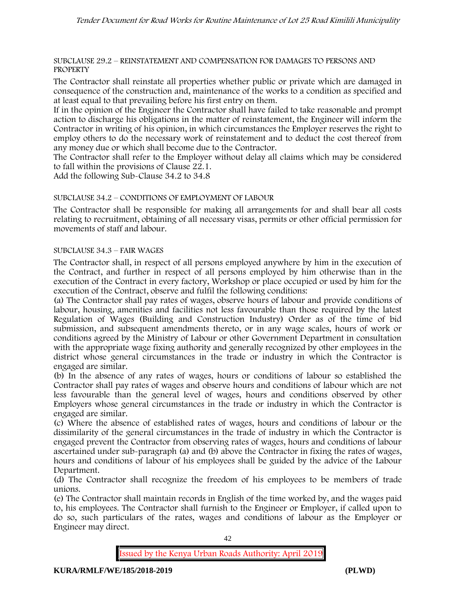### SUBCLAUSE 29.2 – REINSTATEMENT AND COMPENSATION FOR DAMAGES TO PERSONS AND **PROPERTY**

The Contractor shall reinstate all properties whether public or private which are damaged in consequence of the construction and, maintenance of the works to a condition as specified and at least equal to that prevailing before his first entry on them.

If in the opinion of the Engineer the Contractor shall have failed to take reasonable and prompt action to discharge his obligations in the matter of reinstatement, the Engineer will inform the Contractor in writing of his opinion, in which circumstances the Employer reserves the right to employ others to do the necessary work of reinstatement and to deduct the cost thereof from any money due or which shall become due to the Contractor.

The Contractor shall refer to the Employer without delay all claims which may be considered to fall within the provisions of Clause 22.1.

Add the following Sub-Clause 34.2 to 34.8

# SUBCLAUSE 34.2 – CONDITIONS OF EMPLOYMENT OF LABOUR

The Contractor shall be responsible for making all arrangements for and shall bear all costs relating to recruitment, obtaining of all necessary visas, permits or other official permission for movements of staff and labour.

### SUBCLAUSE 34.3 – FAIR WAGES

The Contractor shall, in respect of all persons employed anywhere by him in the execution of the Contract, and further in respect of all persons employed by him otherwise than in the execution of the Contract in every factory, Workshop or place occupied or used by him for the execution of the Contract, observe and fulfil the following conditions:

(a) The Contractor shall pay rates of wages, observe hours of labour and provide conditions of labour, housing, amenities and facilities not less favourable than those required by the latest Regulation of Wages (Building and Construction Industry) Order as of the time of bid submission, and subsequent amendments thereto, or in any wage scales, hours of work or conditions agreed by the Ministry of Labour or other Government Department in consultation with the appropriate wage fixing authority and generally recognized by other employees in the district whose general circumstances in the trade or industry in which the Contractor is engaged are similar.

(b) In the absence of any rates of wages, hours or conditions of labour so established the Contractor shall pay rates of wages and observe hours and conditions of labour which are not less favourable than the general level of wages, hours and conditions observed by other Employers whose general circumstances in the trade or industry in which the Contractor is engaged are similar.

(c) Where the absence of established rates of wages, hours and conditions of labour or the dissimilarity of the general circumstances in the trade of industry in which the Contractor is engaged prevent the Contractor from observing rates of wages, hours and conditions of labour ascertained under sub-paragraph (a) and (b) above the Contractor in fixing the rates of wages, hours and conditions of labour of his employees shall be guided by the advice of the Labour Department.

(d) The Contractor shall recognize the freedom of his employees to be members of trade unions.

(e) The Contractor shall maintain records in English of the time worked by, and the wages paid to, his employees. The Contractor shall furnish to the Engineer or Employer, if called upon to do so, such particulars of the rates, wages and conditions of labour as the Employer or Engineer may direct.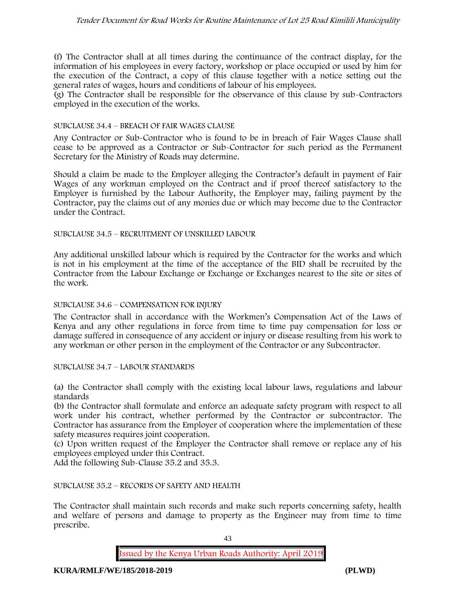# *Tender Document for Road Works for Routine Maintenance of Lot 25 Road Kimilili Municipality*

(f) The Contractor shall at all times during the continuance of the contract display, for the information of his employees in every factory, workshop or place occupied or used by him for the execution of the Contract, a copy of this clause together with a notice setting out the general rates of wages, hours and conditions of labour of his employees.

(g) The Contractor shall be responsible for the observance of this clause by sub-Contractors employed in the execution of the works.

### SUBCLAUSE 34.4 – BREACH OF FAIR WAGES CLAUSE

Any Contractor or Sub-Contractor who is found to be in breach of Fair Wages Clause shall cease to be approved as a Contractor or Sub-Contractor for such period as the Permanent Secretary for the Ministry of Roads may determine.

Should a claim be made to the Employer alleging the Contractor's default in payment of Fair Wages of any workman employed on the Contract and if proof thereof satisfactory to the Employer is furnished by the Labour Authority, the Employer may, failing payment by the Contractor, pay the claims out of any monies due or which may become due to the Contractor under the Contract.

### SUBCLAUSE 34.5 – RECRUITMENT OF UNSKILLED LABOUR

Any additional unskilled labour which is required by the Contractor for the works and which is not in his employment at the time of the acceptance of the BID shall be recruited by the Contractor from the Labour Exchange or Exchange or Exchanges nearest to the site or sites of the work.

### SUBCLAUSE 34.6 – COMPENSATION FOR INJURY

The Contractor shall in accordance with the Workmen's Compensation Act of the Laws of Kenya and any other regulations in force from time to time pay compensation for loss or damage suffered in consequence of any accident or injury or disease resulting from his work to any workman or other person in the employment of the Contractor or any Subcontractor.

SUBCLAUSE 34.7 – LABOUR STANDARDS

(a) the Contractor shall comply with the existing local labour laws, regulations and labour standards

(b) the Contractor shall formulate and enforce an adequate safety program with respect to all work under his contract, whether performed by the Contractor or subcontractor. The Contractor has assurance from the Employer of cooperation where the implementation of these safety measures requires joint cooperation.

(c) Upon written request of the Employer the Contractor shall remove or replace any of his employees employed under this Contract.

Add the following Sub-Clause 35.2 and 35.3.

### SUBCLAUSE 35.2 – RECORDS OF SAFETY AND HEALTH

The Contractor shall maintain such records and make such reports concerning safety, health and welfare of persons and damage to property as the Engineer may from time to time prescribe.

43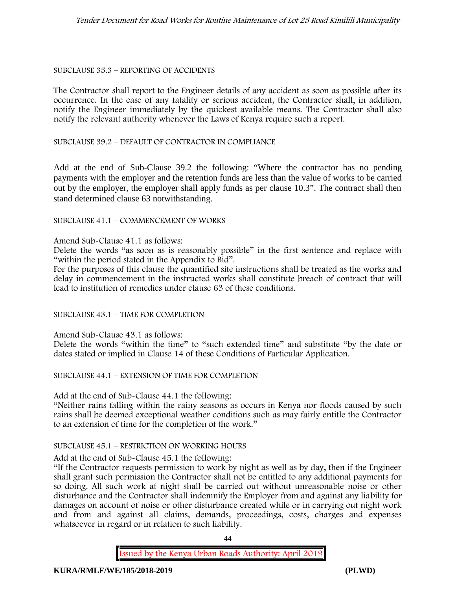### SUBCLAUSE 35.3 – REPORTING OF ACCIDENTS

The Contractor shall report to the Engineer details of any accident as soon as possible after its occurrence. In the case of any fatality or serious accident, the Contractor shall, in addition, notify the Engineer immediately by the quickest available means. The Contractor shall also notify the relevant authority whenever the Laws of Kenya require such a report.

SUBCLAUSE 39.2 – DEFAULT OF CONTRACTOR IN COMPLIANCE

Add at the end of Sub-Clause 39.2 the following: "Where the contractor has no pending payments with the employer and the retention funds are less than the value of works to be carried out by the employer, the employer shall apply funds as per clause 10.3". The contract shall then stand determined clause 63 notwithstanding.

### SUBCLAUSE 41.1 – COMMENCEMENT OF WORKS

Amend Sub-Clause 41.1 as follows:

Delete the words "as soon as is reasonably possible" in the first sentence and replace with "within the period stated in the Appendix to Bid".

For the purposes of this clause the quantified site instructions shall be treated as the works and delay in commencement in the instructed works shall constitute breach of contract that will lead to institution of remedies under clause 63 of these conditions.

# SUBCLAUSE 43.1 – TIME FOR COMPLETION

Amend Sub-Clause 43.1 as follows:

Delete the words "within the time" to "such extended time" and substitute "by the date or dates stated or implied in Clause 14 of these Conditions of Particular Application.

SUBCLAUSE 44.1 – EXTENSION OF TIME FOR COMPLETION

Add at the end of Sub-Clause 44.1 the following:

"Neither rains falling within the rainy seasons as occurs in Kenya nor floods caused by such rains shall be deemed exceptional weather conditions such as may fairly entitle the Contractor to an extension of time for the completion of the work."

# SUBCLAUSE 45.1 – RESTRICTION ON WORKING HOURS

Add at the end of Sub-Clause 45.1 the following:

"If the Contractor requests permission to work by night as well as by day, then if the Engineer shall grant such permission the Contractor shall not be entitled to any additional payments for so doing. All such work at night shall be carried out without unreasonable noise or other disturbance and the Contractor shall indemnify the Employer from and against any liability for damages on account of noise or other disturbance created while or in carrying out night work and from and against all claims, demands, proceedings, costs, charges and expenses whatsoever in regard or in relation to such liability.

44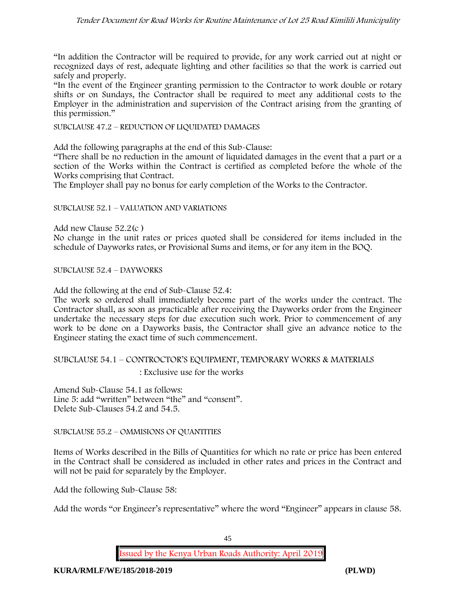# *Tender Document for Road Works for Routine Maintenance of Lot 25 Road Kimilili Municipality*

"In addition the Contractor will be required to provide, for any work carried out at night or recognized days of rest, adequate lighting and other facilities so that the work is carried out safely and properly.

"In the event of the Engineer granting permission to the Contractor to work double or rotary shifts or on Sundays, the Contractor shall be required to meet any additional costs to the Employer in the administration and supervision of the Contract arising from the granting of this permission."

SUBCLAUSE 47.2 – REDUCTION OF LIQUIDATED DAMAGES

Add the following paragraphs at the end of this Sub-Clause:

"There shall be no reduction in the amount of liquidated damages in the event that a part or a section of the Works within the Contract is certified as completed before the whole of the Works comprising that Contract.

The Employer shall pay no bonus for early completion of the Works to the Contractor.

### SUBCLAUSE 52.1 – VALUATION AND VARIATIONS

Add new Clause 52.2(c )

No change in the unit rates or prices quoted shall be considered for items included in the schedule of Dayworks rates, or Provisional Sums and items, or for any item in the BOQ.

SUBCLAUSE 52.4 – DAYWORKS

Add the following at the end of Sub-Clause 52.4:

The work so ordered shall immediately become part of the works under the contract. The Contractor shall, as soon as practicable after receiving the Dayworks order from the Engineer undertake the necessary steps for due execution such work. Prior to commencement of any work to be done on a Dayworks basis, the Contractor shall give an advance notice to the Engineer stating the exact time of such commencement.

### SUBCLAUSE 54.1 – CONTROCTOR'S EQUIPMENT, TEMPORARY WORKS & MATERIALS : Exclusive use for the works

Amend Sub-Clause 54.1 as follows: Line 5: add "written" between "the" and "consent". Delete Sub-Clauses 54.2 and 54.5.

SUBCLAUSE 55.2 – OMMISIONS OF QUANTITIES

Items of Works described in the Bills of Quantities for which no rate or price has been entered in the Contract shall be considered as included in other rates and prices in the Contract and will not be paid for separately by the Employer.

Add the following Sub-Clause 58:

Add the words "or Engineer's representative" where the word "Engineer" appears in clause 58.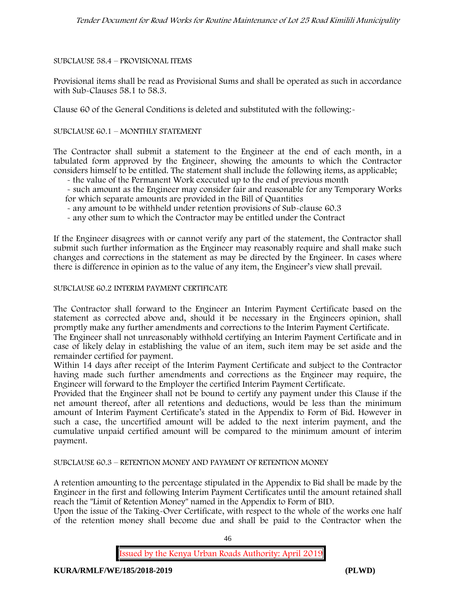# SUBCLAUSE 58.4 – PROVISIONAL ITEMS

Provisional items shall be read as Provisional Sums and shall be operated as such in accordance with Sub-Clauses 58.1 to 58.3.

Clause 60 of the General Conditions is deleted and substituted with the following:-

### SUBCLAUSE 60.1 – MONTHLY STATEMENT

The Contractor shall submit a statement to the Engineer at the end of each month, in a tabulated form approved by the Engineer, showing the amounts to which the Contractor considers himself to be entitled. The statement shall include the following items, as applicable;

- the value of the Permanent Work executed up to the end of previous month
- such amount as the Engineer may consider fair and reasonable for any Temporary Works for which separate amounts are provided in the Bill of Quantities
- any amount to be withheld under retention provisions of Sub-clause 60.3
- any other sum to which the Contractor may be entitled under the Contract

If the Engineer disagrees with or cannot verify any part of the statement, the Contractor shall submit such further information as the Engineer may reasonably require and shall make such changes and corrections in the statement as may be directed by the Engineer. In cases where there is difference in opinion as to the value of any item, the Engineer's view shall prevail.

### SUBCLAUSE 60.2 INTERIM PAYMENT CERTIFICATE

The Contractor shall forward to the Engineer an Interim Payment Certificate based on the statement as corrected above and, should it be necessary in the Engineers opinion, shall promptly make any further amendments and corrections to the Interim Payment Certificate.

The Engineer shall not unreasonably withhold certifying an Interim Payment Certificate and in case of likely delay in establishing the value of an item, such item may be set aside and the remainder certified for payment.

Within 14 days after receipt of the Interim Payment Certificate and subject to the Contractor having made such further amendments and corrections as the Engineer may require, the Engineer will forward to the Employer the certified Interim Payment Certificate.

Provided that the Engineer shall not be bound to certify any payment under this Clause if the net amount thereof, after all retentions and deductions, would be less than the minimum amount of Interim Payment Certificate's stated in the Appendix to Form of Bid. However in such a case, the uncertified amount will be added to the next interim payment, and the cumulative unpaid certified amount will be compared to the minimum amount of interim payment.

SUBCLAUSE 60.3 – RETENTION MONEY AND PAYMENT OF RETENTION MONEY

A retention amounting to the percentage stipulated in the Appendix to Bid shall be made by the Engineer in the first and following Interim Payment Certificates until the amount retained shall reach the "Limit of Retention Money" named in the Appendix to Form of BID.

Upon the issue of the Taking-Over Certificate, with respect to the whole of the works one half of the retention money shall become due and shall be paid to the Contractor when the

46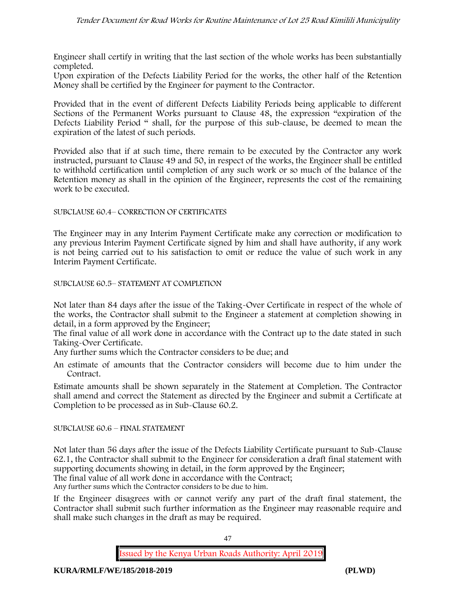Engineer shall certify in writing that the last section of the whole works has been substantially completed.

Upon expiration of the Defects Liability Period for the works, the other half of the Retention Money shall be certified by the Engineer for payment to the Contractor.

Provided that in the event of different Defects Liability Periods being applicable to different Sections of the Permanent Works pursuant to Clause 48, the expression "expiration of the Defects Liability Period " shall, for the purpose of this sub-clause, be deemed to mean the expiration of the latest of such periods.

Provided also that if at such time, there remain to be executed by the Contractor any work instructed, pursuant to Clause 49 and 50, in respect of the works, the Engineer shall be entitled to withhold certification until completion of any such work or so much of the balance of the Retention money as shall in the opinion of the Engineer, represents the cost of the remaining work to be executed.

### SUBCLAUSE 60.4– CORRECTION OF CERTIFICATES

The Engineer may in any Interim Payment Certificate make any correction or modification to any previous Interim Payment Certificate signed by him and shall have authority, if any work is not being carried out to his satisfaction to omit or reduce the value of such work in any Interim Payment Certificate.

### SUBCLAUSE 60.5– STATEMENT AT COMPLETION

Not later than 84 days after the issue of the Taking-Over Certificate in respect of the whole of the works, the Contractor shall submit to the Engineer a statement at completion showing in detail, in a form approved by the Engineer;

The final value of all work done in accordance with the Contract up to the date stated in such Taking-Over Certificate.

Any further sums which the Contractor considers to be due; and

An estimate of amounts that the Contractor considers will become due to him under the Contract.

Estimate amounts shall be shown separately in the Statement at Completion. The Contractor shall amend and correct the Statement as directed by the Engineer and submit a Certificate at Completion to be processed as in Sub-Clause 60.2.

# SUBCLAUSE 60.6 – FINAL STATEMENT

Not later than 56 days after the issue of the Defects Liability Certificate pursuant to Sub-Clause 62.1, the Contractor shall submit to the Engineer for consideration a draft final statement with supporting documents showing in detail, in the form approved by the Engineer;

The final value of all work done in accordance with the Contract;

Any further sums which the Contractor considers to be due to him.

If the Engineer disagrees with or cannot verify any part of the draft final statement, the Contractor shall submit such further information as the Engineer may reasonable require and shall make such changes in the draft as may be required.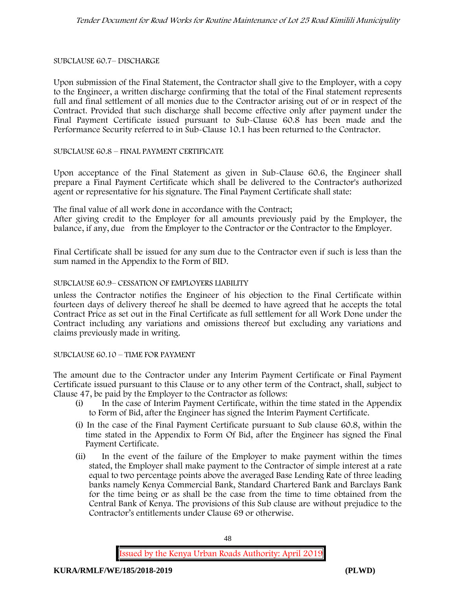SUBCLAUSE 60.7– DISCHARGE

Upon submission of the Final Statement, the Contractor shall give to the Employer, with a copy to the Engineer, a written discharge confirming that the total of the Final statement represents full and final settlement of all monies due to the Contractor arising out of or in respect of the Contract. Provided that such discharge shall become effective only after payment under the Final Payment Certificate issued pursuant to Sub-Clause 60.8 has been made and the Performance Security referred to in Sub-Clause 10.1 has been returned to the Contractor.

### SUBCLAUSE 60.8 – FINAL PAYMENT CERTIFICATE

Upon acceptance of the Final Statement as given in Sub-Clause 60.6, the Engineer shall prepare a Final Payment Certificate which shall be delivered to the Contractor's authorized agent or representative for his signature. The Final Payment Certificate shall state:

The final value of all work done in accordance with the Contract;

After giving credit to the Employer for all amounts previously paid by the Employer, the balance, if any, due from the Employer to the Contractor or the Contractor to the Employer.

Final Certificate shall be issued for any sum due to the Contractor even if such is less than the sum named in the Appendix to the Form of BID.

### SUBCLAUSE 60.9– CESSATION OF EMPLOYERS LIABILITY

unless the Contractor notifies the Engineer of his objection to the Final Certificate within fourteen days of delivery thereof he shall be deemed to have agreed that he accepts the total Contract Price as set out in the Final Certificate as full settlement for all Work Done under the Contract including any variations and omissions thereof but excluding any variations and claims previously made in writing.

### SUBCLAUSE 60.10 – TIME FOR PAYMENT

The amount due to the Contractor under any Interim Payment Certificate or Final Payment Certificate issued pursuant to this Clause or to any other term of the Contract, shall, subject to Clause 47, be paid by the Employer to the Contractor as follows:

- (i) In the case of Interim Payment Certificate, within the time stated in the Appendix to Form of Bid, after the Engineer has signed the Interim Payment Certificate.
- (i) In the case of the Final Payment Certificate pursuant to Sub clause 60.8, within the time stated in the Appendix to Form Of Bid, after the Engineer has signed the Final Payment Certificate.
- (ii) In the event of the failure of the Employer to make payment within the times stated, the Employer shall make payment to the Contractor of simple interest at a rate equal to two percentage points above the averaged Base Lending Rate of three leading banks namely Kenya Commercial Bank, Standard Chartered Bank and Barclays Bank for the time being or as shall be the case from the time to time obtained from the Central Bank of Kenya. The provisions of this Sub clause are without prejudice to the Contractor's entitlements under Clause 69 or otherwise.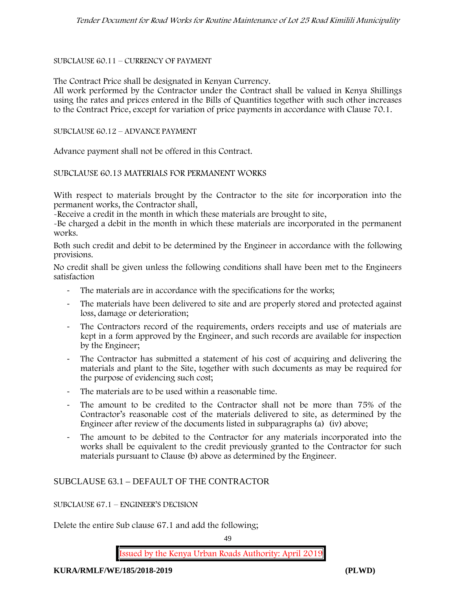### SUBCLAUSE 60.11 – CURRENCY OF PAYMENT

The Contract Price shall be designated in Kenyan Currency.

All work performed by the Contractor under the Contract shall be valued in Kenya Shillings using the rates and prices entered in the Bills of Quantities together with such other increases to the Contract Price, except for variation of price payments in accordance with Clause 70.1.

SUBCLAUSE 60.12 – ADVANCE PAYMENT

Advance payment shall not be offered in this Contract.

SUBCLAUSE 60.13 MATERIALS FOR PERMANENT WORKS

With respect to materials brought by the Contractor to the site for incorporation into the permanent works, the Contractor shall,

-Receive a credit in the month in which these materials are brought to site,

-Be charged a debit in the month in which these materials are incorporated in the permanent works.

Both such credit and debit to be determined by the Engineer in accordance with the following provisions.

No credit shall be given unless the following conditions shall have been met to the Engineers satisfaction

- The materials are in accordance with the specifications for the works;
- The materials have been delivered to site and are properly stored and protected against loss, damage or deterioration;
- The Contractors record of the requirements, orders receipts and use of materials are kept in a form approved by the Engineer, and such records are available for inspection by the Engineer;
- The Contractor has submitted a statement of his cost of acquiring and delivering the materials and plant to the Site, together with such documents as may be required for the purpose of evidencing such cost;
- The materials are to be used within a reasonable time.
- The amount to be credited to the Contractor shall not be more than 75% of the Contractor's reasonable cost of the materials delivered to site, as determined by the Engineer after review of the documents listed in subparagraphs (a) (iv) above;
- The amount to be debited to the Contractor for any materials incorporated into the works shall be equivalent to the credit previously granted to the Contractor for such materials pursuant to Clause (b) above as determined by the Engineer.

# SUBCLAUSE 63.1 – DEFAULT OF THE CONTRACTOR

SUBCLAUSE 67.1 – ENGINEER'S DECISION

Delete the entire Sub clause 67.1 and add the following;

49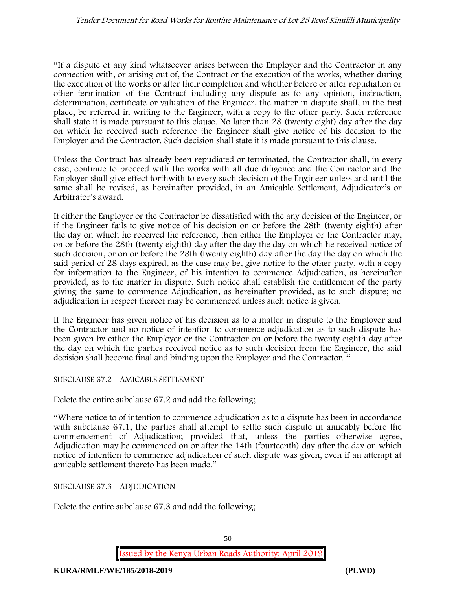"If a dispute of any kind whatsoever arises between the Employer and the Contractor in any connection with, or arising out of, the Contract or the execution of the works, whether during the execution of the works or after their completion and whether before or after repudiation or other termination of the Contract including any dispute as to any opinion, instruction, determination, certificate or valuation of the Engineer, the matter in dispute shall, in the first place, be referred in writing to the Engineer, with a copy to the other party. Such reference shall state it is made pursuant to this clause. No later than 28 (twenty eight) day after the day on which he received such reference the Engineer shall give notice of his decision to the Employer and the Contractor. Such decision shall state it is made pursuant to this clause.

Unless the Contract has already been repudiated or terminated, the Contractor shall, in every case, continue to proceed with the works with all due diligence and the Contractor and the Employer shall give effect forthwith to every such decision of the Engineer unless and until the same shall be revised, as hereinafter provided, in an Amicable Settlement, Adjudicator's or Arbitrator's award.

If either the Employer or the Contractor be dissatisfied with the any decision of the Engineer, or if the Engineer fails to give notice of his decision on or before the 28th (twenty eighth) after the day on which he received the reference, then either the Employer or the Contractor may, on or before the 28th (twenty eighth) day after the day the day on which he received notice of such decision, or on or before the 28th (twenty eighth) day after the day the day on which the said period of 28 days expired, as the case may be, give notice to the other party, with a copy for information to the Engineer, of his intention to commence Adjudication, as hereinafter provided, as to the matter in dispute. Such notice shall establish the entitlement of the party giving the same to commence Adjudication, as hereinafter provided, as to such dispute; no adjudication in respect thereof may be commenced unless such notice is given.

If the Engineer has given notice of his decision as to a matter in dispute to the Employer and the Contractor and no notice of intention to commence adjudication as to such dispute has been given by either the Employer or the Contractor on or before the twenty eighth day after the day on which the parties received notice as to such decision from the Engineer, the said decision shall become final and binding upon the Employer and the Contractor. "

SUBCLAUSE 67.2 – AMICABLE SETTLEMENT

Delete the entire subclause 67.2 and add the following;

"Where notice to of intention to commence adjudication as to a dispute has been in accordance with subclause 67.1, the parties shall attempt to settle such dispute in amicably before the commencement of Adjudication; provided that, unless the parties otherwise agree, Adjudication may be commenced on or after the 14th (fourteenth) day after the day on which notice of intention to commence adjudication of such dispute was given, even if an attempt at amicable settlement thereto has been made."

SUBCLAUSE 67.3 – ADJUDICATION

Delete the entire subclause 67.3 and add the following;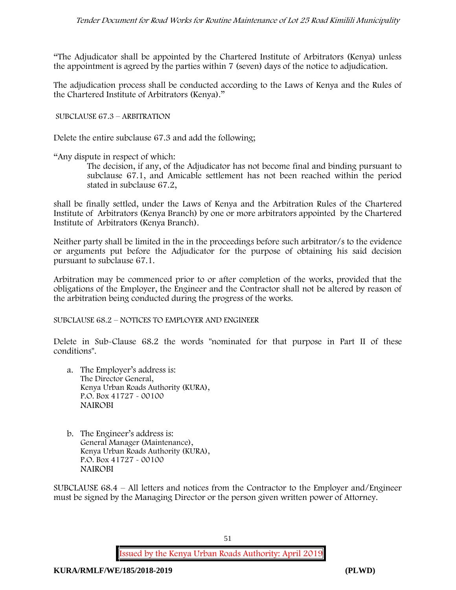"The Adjudicator shall be appointed by the Chartered Institute of Arbitrators (Kenya) unless the appointment is agreed by the parties within 7 (seven) days of the notice to adjudication.

The adjudication process shall be conducted according to the Laws of Kenya and the Rules of the Chartered Institute of Arbitrators (Kenya)."

SUBCLAUSE 67.3 – ARBITRATION

Delete the entire subclause 67.3 and add the following;

"Any dispute in respect of which:

The decision, if any, of the Adjudicator has not become final and binding pursuant to subclause 67.1, and Amicable settlement has not been reached within the period stated in subclause 67.2,

shall be finally settled, under the Laws of Kenya and the Arbitration Rules of the Chartered Institute of Arbitrators (Kenya Branch) by one or more arbitrators appointed by the Chartered Institute of Arbitrators (Kenya Branch).

Neither party shall be limited in the in the proceedings before such arbitrator/s to the evidence or arguments put before the Adjudicator for the purpose of obtaining his said decision pursuant to subclause 67.1.

Arbitration may be commenced prior to or after completion of the works, provided that the obligations of the Employer, the Engineer and the Contractor shall not be altered by reason of the arbitration being conducted during the progress of the works.

SUBCLAUSE 68.2 – NOTICES TO EMPLOYER AND ENGINEER

Delete in Sub-Clause 68.2 the words "nominated for that purpose in Part II of these conditions".

- a. The Employer's address is: The Director General, Kenya Urban Roads Authority (KURA), P.O. Box 41727 - 00100 **NAIROBI**
- b. The Engineer's address is: General Manager (Maintenance), Kenya Urban Roads Authority (KURA), P.O. Box 41727 - 00100 **NAIROBI**

SUBCLAUSE 68.4 – All letters and notices from the Contractor to the Employer and/Engineer must be signed by the Managing Director or the person given written power of Attorney.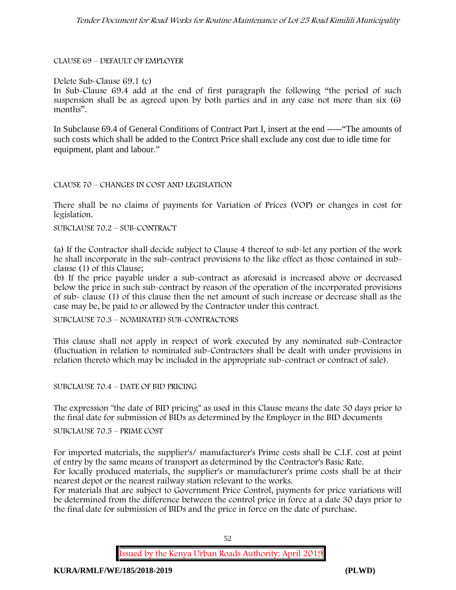CLAUSE 69 – DEFAULT OF EMPLOYER

### Delete Sub-Clause 69.1 (c)

In Sub-Clause 69.4 add at the end of first paragraph the following "the period of such suspension shall be as agreed upon by both parties and in any case not more than six (6) months".

In Subclause 69.4 of General Conditions of Contract Part I, insert at the end -----"The amounts of such costs which shall be added to the Contrct Price shall exclude any cost due to idle time for equipment, plant and labour."

### CLAUSE 70 – CHANGES IN COST AND LEGISLATION

There shall be no claims of payments for Variation of Prices (VOP) or changes in cost for legislation.

### SUBCLAUSE 70.2 – SUB-CONTRACT

(a) If the Contractor shall decide subject to Clause 4 thereof to sub-let any portion of the work he shall incorporate in the sub-contract provisions to the like effect as those contained in subclause (1) of this Clause;

(b) If the price payable under a sub-contract as aforesaid is increased above or decreased below the price in such sub-contract by reason of the operation of the incorporated provisions of sub- clause (1) of this clause then the net amount of such increase or decrease shall as the case may be, be paid to or allowed by the Contractor under this contract.

SUBCLAUSE 70.3 – NOMINATED SUB-CONTRACTORS

This clause shall not apply in respect of work executed by any nominated sub-Contractor (fluctuation in relation to nominated sub-Contractors shall be dealt with under provisions in relation thereto which may be included in the appropriate sub-contract or contract of sale).

SUBCLAUSE 70.4 – DATE OF BID PRICING

The expression "the date of BID pricing" as used in this Clause means the date 30 days prior to the final date for submission of BIDs as determined by the Employer in the BID documents

SUBCLAUSE 70.5 – PRIME COST

For imported materials, the supplier's/ manufacturer's Prime costs shall be C.I.F. cost at point of entry by the same means of transport as determined by the Contractor's Basic Rate.

For locally produced materials, the supplier's or manufacturer's prime costs shall be at their nearest depot or the nearest railway station relevant to the works.

For materials that are subject to Government Price Control, payments for price variations will be determined from the difference between the control price in force at a date 30 days prior to the final date for submission of BIDs and the price in force on the date of purchase.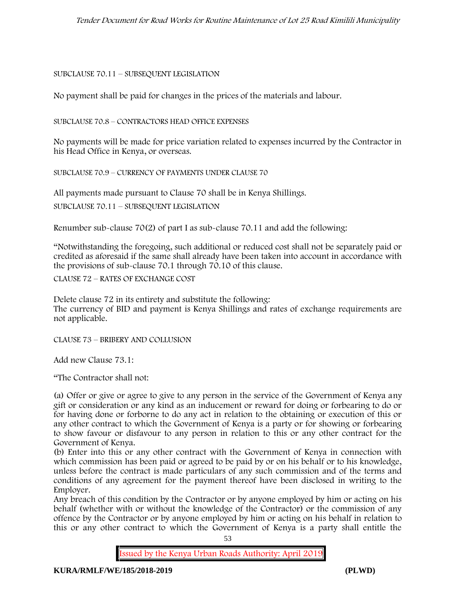# SUBCLAUSE 70.11 – SUBSEQUENT LEGISLATION

No payment shall be paid for changes in the prices of the materials and labour.

SUBCLAUSE 70.8 – CONTRACTORS HEAD OFFICE EXPENSES

No payments will be made for price variation related to expenses incurred by the Contractor in his Head Office in Kenya, or overseas.

SUBCLAUSE 70.9 – CURRENCY OF PAYMENTS UNDER CLAUSE 70

All payments made pursuant to Clause 70 shall be in Kenya Shillings.

SUBCLAUSE 70.11 – SUBSEQUENT LEGISLATION

Renumber sub-clause 70(2) of part I as sub-clause 70.11 and add the following:

"Notwithstanding the foregoing, such additional or reduced cost shall not be separately paid or credited as aforesaid if the same shall already have been taken into account in accordance with the provisions of sub-clause 70.1 through 70.10 of this clause.

CLAUSE 72 – RATES OF EXCHANGE COST

Delete clause 72 in its entirety and substitute the following: The currency of BID and payment is Kenya Shillings and rates of exchange requirements are not applicable.

CLAUSE 73 – BRIBERY AND COLLUSION

Add new Clause 73.1:

"The Contractor shall not:

(a) Offer or give or agree to give to any person in the service of the Government of Kenya any gift or consideration or any kind as an inducement or reward for doing or forbearing to do or for having done or forborne to do any act in relation to the obtaining or execution of this or any other contract to which the Government of Kenya is a party or for showing or forbearing to show favour or disfavour to any person in relation to this or any other contract for the Government of Kenya.

(b) Enter into this or any other contract with the Government of Kenya in connection with which commission has been paid or agreed to be paid by or on his behalf or to his knowledge, unless before the contract is made particulars of any such commission and of the terms and conditions of any agreement for the payment thereof have been disclosed in writing to the Employer.

Any breach of this condition by the Contractor or by anyone employed by him or acting on his behalf (whether with or without the knowledge of the Contractor) or the commission of any offence by the Contractor or by anyone employed by him or acting on his behalf in relation to this or any other contract to which the Government of Kenya is a party shall entitle the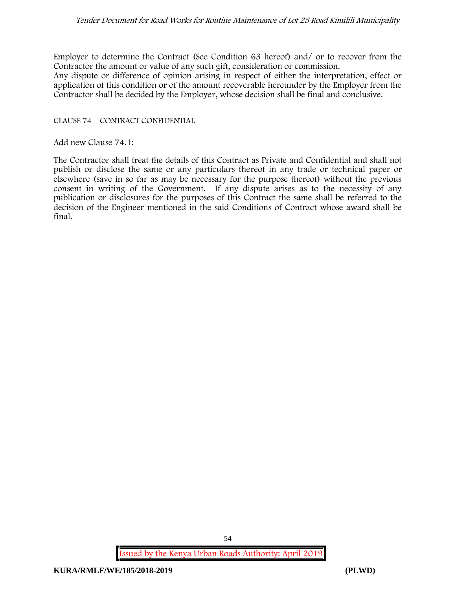### *Tender Document for Road Works for Routine Maintenance of Lot 25 Road Kimilili Municipality*

Employer to determine the Contract (See Condition 63 hereof) and/ or to recover from the Contractor the amount or value of any such gift, consideration or commission.

Any dispute or difference of opinion arising in respect of either the interpretation, effect or application of this condition or of the amount recoverable hereunder by the Employer from the Contractor shall be decided by the Employer, whose decision shall be final and conclusive.

### CLAUSE 74 – CONTRACT CONFIDENTIAL

Add new Clause 74.1:

The Contractor shall treat the details of this Contract as Private and Confidential and shall not publish or disclose the same or any particulars thereof in any trade or technical paper or elsewhere (save in so far as may be necessary for the purpose thereof) without the previous consent in writing of the Government. If any dispute arises as to the necessity of any publication or disclosures for the purposes of this Contract the same shall be referred to the decision of the Engineer mentioned in the said Conditions of Contract whose award shall be final.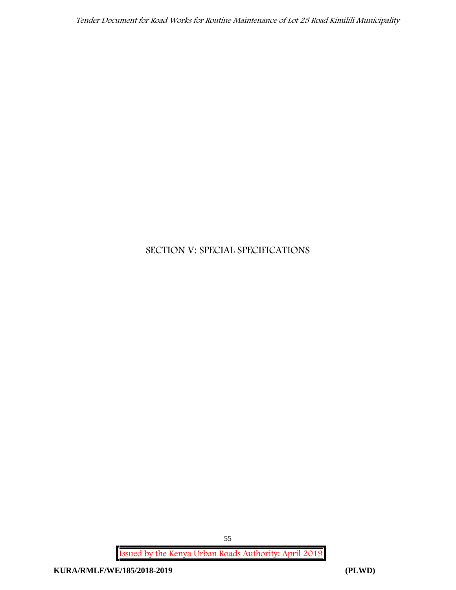*Tender Document for Road Works for Routine Maintenance of Lot 25 Road Kimilili Municipality*

# **SECTION V: SPECIAL SPECIFICATIONS**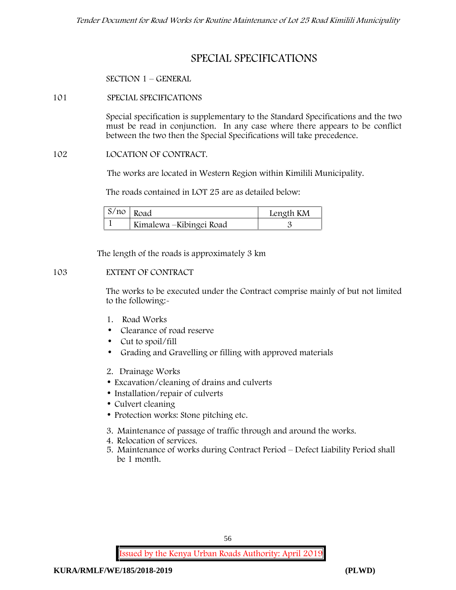# **SPECIAL SPECIFICATIONS**

# **SECTION 1 – GENERAL**

# **101 SPECIAL SPECIFICATIONS**

Special specification is supplementary to the Standard Specifications and the two must be read in conjunction. In any case where there appears to be conflict between the two then the Special Specifications will take precedence.

# **102 LOCATION OF CONTRACT.**

The works are located in Western Region within Kimilili Municipality.

The roads contained in LOT 25 are as detailed below:

| $S/no$ Road |                          | Length KM |
|-------------|--------------------------|-----------|
|             | Kimalewa – Kibingei Road |           |

The length of the roads is approximately 3 km

# **103 EXTENT OF CONTRACT**

The works to be executed under the Contract comprise mainly of but not limited to the following:-

- **1. Road Works**
- Clearance of road reserve
- Cut to spoil/fill
- Grading and Gravelling or filling with approved materials
- **2. Drainage Works**
- Excavation/cleaning of drains and culverts
- Installation/repair of culverts
- Culvert cleaning
- Protection works: Stone pitching etc.
- **3. Maintenance of passage of traffic through and around the works.**
- **4. Relocation of services.**
- **5. Maintenance of works during Contract Period – Defect Liability Period shall be 1 month.**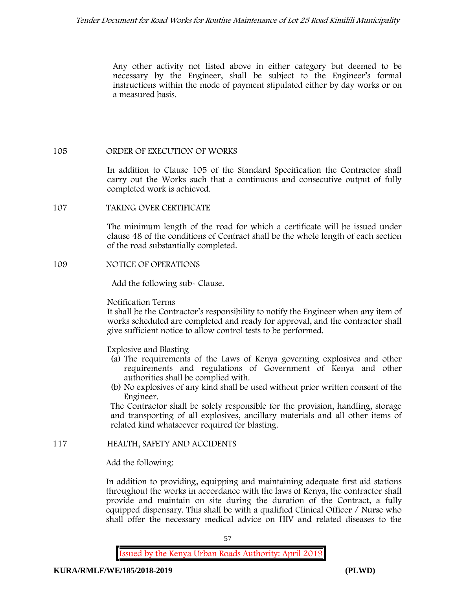Any other activity not listed above in either category but deemed to be necessary by the Engineer, shall be subject to the Engineer's formal instructions within the mode of payment stipulated either by day works or on a measured basis.

# **105 ORDER OF EXECUTION OF WORKS**

In addition to Clause 105 of the Standard Specification the Contractor shall carry out the Works such that a continuous and consecutive output of fully completed work is achieved.

**107 TAKING OVER CERTIFICATE**

The minimum length of the road for which a certificate will be issued under clause 48 of the conditions of Contract shall be the whole length of each section of the road substantially completed.

**109 NOTICE OF OPERATIONS**

Add the following sub- Clause.

# Notification Terms

It shall be the Contractor's responsibility to notify the Engineer when any item of works scheduled are completed and ready for approval, and the contractor shall give sufficient notice to allow control tests to be performed.

Explosive and Blasting

- (a) The requirements of the Laws of Kenya governing explosives and other requirements and regulations of Government of Kenya and other authorities shall be complied with.
- (b) No explosives of any kind shall be used without prior written consent of the Engineer.

The Contractor shall be solely responsible for the provision, handling, storage and transporting of all explosives, ancillary materials and all other items of related kind whatsoever required for blasting.

# **117 HEALTH, SAFETY AND ACCIDENTS**

Add the following:

In addition to providing, equipping and maintaining adequate first aid stations throughout the works in accordance with the laws of Kenya, the contractor shall provide and maintain on site during the duration of the Contract, a fully equipped dispensary. This shall be with a qualified Clinical Officer / Nurse who shall offer the necessary medical advice on HIV and related diseases to the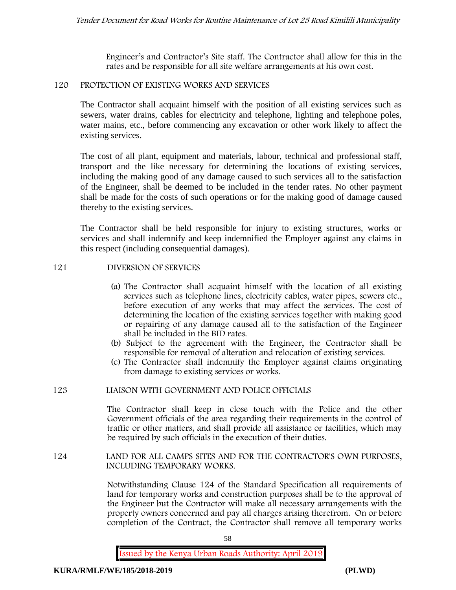Engineer's and Contractor's Site staff. The Contractor shall allow for this in the rates and be responsible for all site welfare arrangements at his own cost.

### **120 PROTECTION OF EXISTING WORKS AND SERVICES**

The Contractor shall acquaint himself with the position of all existing services such as sewers, water drains, cables for electricity and telephone, lighting and telephone poles, water mains, etc., before commencing any excavation or other work likely to affect the existing services.

The cost of all plant, equipment and materials, labour, technical and professional staff, transport and the like necessary for determining the locations of existing services, including the making good of any damage caused to such services all to the satisfaction of the Engineer, shall be deemed to be included in the tender rates. No other payment shall be made for the costs of such operations or for the making good of damage caused thereby to the existing services.

The Contractor shall be held responsible for injury to existing structures, works or services and shall indemnify and keep indemnified the Employer against any claims in this respect (including consequential damages).

### **121 DIVERSION OF SERVICES**

- (a) The Contractor shall acquaint himself with the location of all existing services such as telephone lines, electricity cables, water pipes, sewers etc., before execution of any works that may affect the services. The cost of determining the location of the existing services together with making good or repairing of any damage caused all to the satisfaction of the Engineer shall be included in the BID rates.
- (b) Subject to the agreement with the Engineer, the Contractor shall be responsible for removal of alteration and relocation of existing services.
- (c) The Contractor shall indemnify the Employer against claims originating from damage to existing services or works.

### **123 LIAISON WITH GOVERNMENT AND POLICE OFFICIALS**

The Contractor shall keep in close touch with the Police and the other Government officials of the area regarding their requirements in the control of traffic or other matters, and shall provide all assistance or facilities, which may be required by such officials in the execution of their duties.

### **124 LAND FOR ALL CAMPS SITES AND FOR THE CONTRACTOR'S OWN PURPOSES, INCLUDING TEMPORARY WORKS.**

Notwithstanding Clause 124 of the Standard Specification all requirements of land for temporary works and construction purposes shall be to the approval of the Engineer but the Contractor will make all necessary arrangements with the property owners concerned and pay all charges arising therefrom. On or before completion of the Contract, the Contractor shall remove all temporary works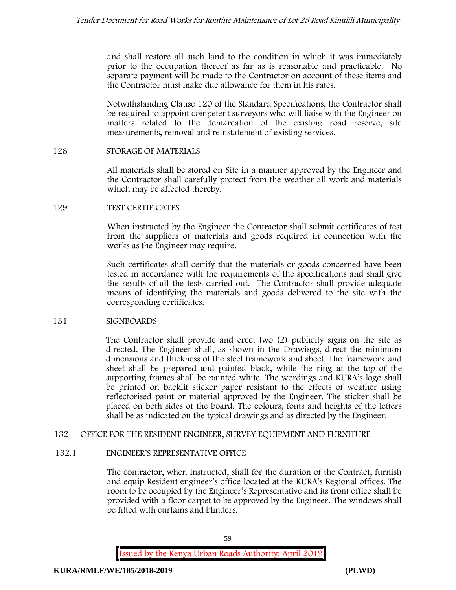and shall restore all such land to the condition in which it was immediately prior to the occupation thereof as far as is reasonable and practicable. No separate payment will be made to the Contractor on account of these items and the Contractor must make due allowance for them in his rates.

Notwithstanding Clause 120 of the Standard Specifications, the Contractor shall be required to appoint competent surveyors who will liaise with the Engineer on matters related to the demarcation of the existing road reserve, site measurements, removal and reinstatement of existing services.

### **128 STORAGE OF MATERIALS**

All materials shall be stored on Site in a manner approved by the Engineer and the Contractor shall carefully protect from the weather all work and materials which may be affected thereby.

### **129 TEST CERTIFICATES**

When instructed by the Engineer the Contractor shall submit certificates of test from the suppliers of materials and goods required in connection with the works as the Engineer may require.

Such certificates shall certify that the materials or goods concerned have been tested in accordance with the requirements of the specifications and shall give the results of all the tests carried out. The Contractor shall provide adequate means of identifying the materials and goods delivered to the site with the corresponding certificates.

# **131 SIGNBOARDS**

The Contractor shall provide and erect two (2) publicity signs on the site as directed. The Engineer shall, as shown in the Drawings, direct the minimum dimensions and thickness of the steel framework and sheet. The framework and sheet shall be prepared and painted black, while the ring at the top of the supporting frames shall be painted white. The wordings and KURA's logo shall be printed on backlit sticker paper resistant to the effects of weather using reflectorised paint or material approved by the Engineer. The sticker shall be placed on both sides of the board. The colours, fonts and heights of the letters shall be as indicated on the typical drawings and as directed by the Engineer.

# **132 OFFICE FOR THE RESIDENT ENGINEER, SURVEY EQUIPMENT AND FURNITURE**

# **132.1 ENGINEER'S REPRESENTATIVE OFFICE**

The contractor, when instructed, shall for the duration of the Contract, furnish and equip Resident engineer's office located at the KURA's Regional offices. The room to be occupied by the Engineer's Representative and its front office shall be provided with a floor carpet to be approved by the Engineer. The windows shall be fitted with curtains and blinders.

59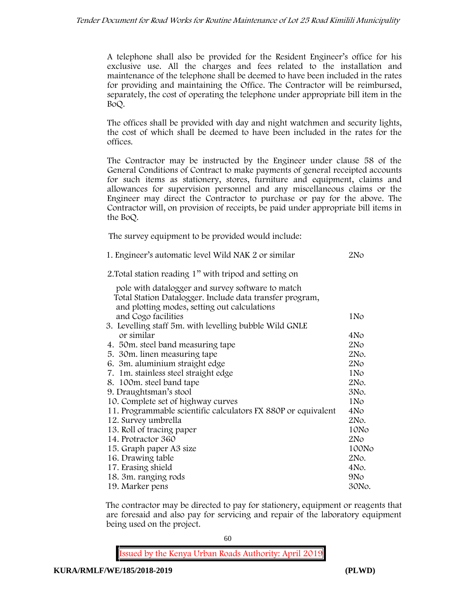A telephone shall also be provided for the Resident Engineer's office for his exclusive use. All the charges and fees related to the installation and maintenance of the telephone shall be deemed to have been included in the rates for providing and maintaining the Office. The Contractor will be reimbursed, separately, the cost of operating the telephone under appropriate bill item in the BoQ.

The offices shall be provided with day and night watchmen and security lights, the cost of which shall be deemed to have been included in the rates for the offices.

The Contractor may be instructed by the Engineer under clause 58 of the General Conditions of Contract to make payments of general receipted accounts for such items as stationery, stores, furniture and equipment, claims and allowances for supervision personnel and any miscellaneous claims or the Engineer may direct the Contractor to purchase or pay for the above. The Contractor will, on provision of receipts, be paid under appropriate bill items in the BoQ.

**The survey equipment to be provided would include:**

| 1. Engineer's automatic level Wild NAK 2 or similar           | 2N <sub>O</sub> |
|---------------------------------------------------------------|-----------------|
| 2. Total station reading 1" with tripod and setting on        |                 |
| pole with datalogger and survey software to match             |                 |
| Total Station Datalogger. Include data transfer program,      |                 |
| and plotting modes, setting out calculations                  |                 |
| and Cogo facilities                                           | 1No             |
| 3. Levelling staff 5m. with levelling bubble Wild GNLE        |                 |
| or similar                                                    | 4No             |
| 4. 50 m. steel band measuring tape                            | 2No             |
| 5. 30 m. linen measuring tape                                 | 2No.            |
| 6. 3m. aluminium straight edge                                | 2N <sub>O</sub> |
| 7. 1m. stainless steel straight edge                          | 1No             |
| 8. 100m. steel band tape                                      | 2No.            |
| 9. Draughtsman's stool                                        | 3No.            |
| 10. Complete set of highway curves                            | 1N <sub>o</sub> |
| 11. Programmable scientific calculators FX 880P or equivalent | 4No             |
| 12. Survey umbrella                                           | 2No.            |
| 13. Roll of tracing paper                                     | 10No            |
| 14. Protractor 360                                            | 2N <sub>O</sub> |
| 15. Graph paper A3 size                                       | 100No           |
| 16. Drawing table                                             | 2No.            |
| 17. Erasing shield                                            | 4No.            |
| 18. 3m. ranging rods                                          | 9N <sub>o</sub> |
| 19. Marker pens                                               | 30No.           |

The contractor may be directed to pay for stationery, equipment or reagents that are foresaid and also pay for servicing and repair of the laboratory equipment being used on the project.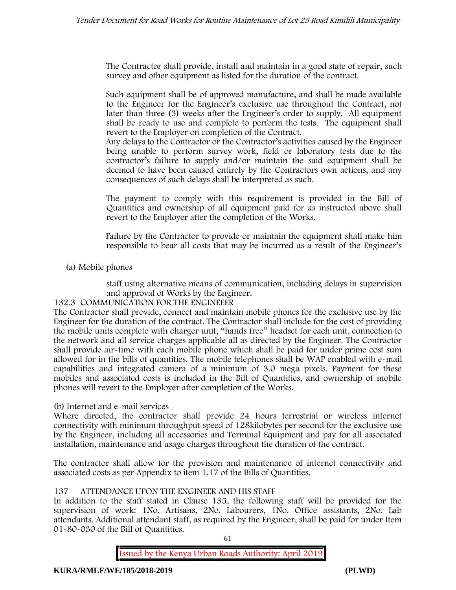The Contractor shall provide, install and maintain in a good state of repair, such survey and other equipment as listed for the duration of the contract.

Such equipment shall be of approved manufacture, and shall be made available to the Engineer for the Engineer's exclusive use throughout the Contract, not later than three (3) weeks after the Engineer's order to supply. All equipment shall be ready to use and complete to perform the tests. The equipment shall revert to the Employer on completion of the Contract.

Any delays to the Contractor or the Contractor's activities caused by the Engineer being unable to perform survey work, field or laboratory tests due to the contractor's failure to supply and/or maintain the said equipment shall be deemed to have been caused entirely by the Contractors own actions, and any consequences of such delays shall be interpreted as such.

The payment to comply with this requirement is provided in the Bill of Quantities and ownership of all equipment paid for as instructed above shall revert to the Employer after the completion of the Works.

Failure by the Contractor to provide or maintain the equipment shall make him responsible to bear all costs that may be incurred as a result of the Engineer's

# **(a) Mobile phones**

staff using alternative means of communication, including delays in supervision and approval of Works by the Engineer.

# **132.3 COMMUNICATION FOR THE ENGINEEER**

The Contractor shall provide, connect and maintain mobile phones for the exclusive use by the Engineer for the duration of the contract. The Contractor shall include for the cost of providing the mobile units complete with charger unit, "hands free" headset for each unit, connection to the network and all service charges applicable all as directed by the Engineer. The Contractor shall provide air-time with each mobile phone which shall be paid for under prime cost sum allowed for in the bills of quantities. The mobile telephones shall be WAP enabled with e-mail capabilities and integrated camera of a minimum of 3.0 mega pixels. Payment for these mobiles and associated costs is included in the Bill of Quantities, and ownership of mobile phones will revert to the Employer after completion of the Works.

# **(b) Internet and e-mail services**

Where directed, the contractor shall provide 24 hours terrestrial or wireless internet connectivity with minimum throughput speed of 128kilobytes per second for the exclusive use by the Engineer, including all accessories and Terminal Equipment and pay for all associated installation, maintenance and usage charges throughout the duration of the contract.

The contractor shall allow for the provision and maintenance of internet connectivity and associated costs as per Appendix to item 1.17 of the Bills of Quantities.

# **137 ATTENDANCE UPON THE ENGINEER AND HIS STAFF**

In addition to the staff stated in Clause 135, the following staff will be provided for the supervision of work: 1No. Artisans, 2No. Labourers, 1No. Office assistants, 2No. Lab attendants. Additional attendant staff, as required by the Engineer, shall be paid for under Item 01-80-030 of the Bill of Quantities.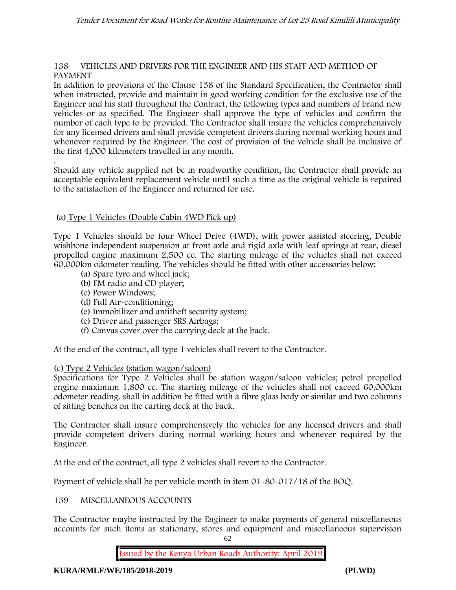### **138 VEHICLES AND DRIVERS FOR THE ENGINEER AND HIS STAFF AND METHOD OF PAYMENT**

In addition to provisions of the Clause 138 of the Standard Specification, the Contractor shall when instructed, provide and maintain in good working condition for the exclusive use of the Engineer and his staff throughout the Contract, the following types and numbers of brand new vehicles or as specified. The Engineer shall approve the type of vehicles and confirm the number of each type to be provided. The Contractor shall insure the vehicles comprehensively for any licensed drivers and shall provide competent drivers during normal working hours and whenever required by the Engineer. The cost of provision of the vehicle shall be inclusive of the first 4,000 kilometers travelled in any month.

.Should any vehicle supplied not be in roadworthy condition, the Contractor shall provide an acceptable equivalent replacement vehicle until such a time as the original vehicle is repaired to the satisfaction of the Engineer and returned for use.

# **(a) Type 1 Vehicles (Double Cabin 4WD Pick up)**

Type 1 Vehicles should be four Wheel Drive (4WD), with power assisted steering, Double wishbone independent suspension at front axle and rigid axle with leaf springs at rear, diesel propelled engine maximum 2,500 cc. The starting mileage of the vehicles shall not exceed 60,000km odometer reading. The vehicles should be fitted with other accessories below:

- (a) Spare tyre and wheel jack;
- (b) FM radio and CD player;
- (c) Power Windows;
- (d) Full Air-conditioning;
- (e) Immobilizer and antitheft security system;
- (e) Driver and passenger SRS Airbags;
- (f) Canvas cover over the carrying deck at the back.

At the end of the contract, all type 1 vehicles shall revert to the Contractor.

# **(c) Type 2 Vehicles (station wagon/saloon)**

Specifications for Type 2 Vehicles shall be station wagon/saloon vehicles; petrol propelled engine maximum 1,800 cc. The starting mileage of the vehicles shall not exceed 60,000km odometer reading. shall in addition be fitted with a fibre glass body or similar and two columns of sitting benches on the carting deck at the back.

The Contractor shall insure comprehensively the vehicles for any licensed drivers and shall provide competent drivers during normal working hours and whenever required by the Engineer.

At the end of the contract, all type 2 vehicles shall revert to the Contractor.

Payment of vehicle shall be per vehicle month in item 01-80-017/18 of the BOQ.

# **139 MISCELLANEOUS ACCOUNTS**

The Contractor maybe instructed by the Engineer to make payments of general miscellaneous accounts for such items as stationary, stores and equipment and miscellaneous supervision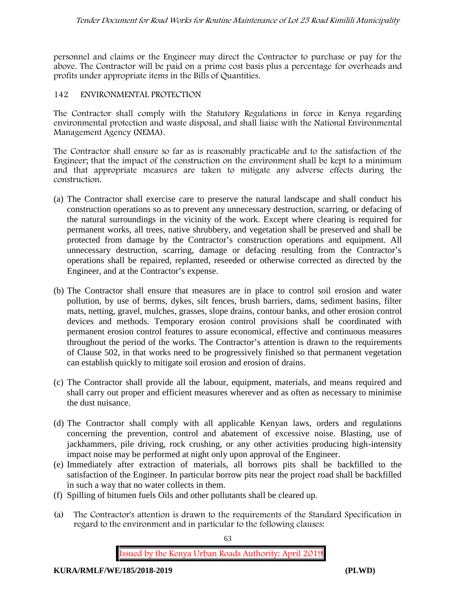personnel and claims or the Engineer may direct the Contractor to purchase or pay for the above. The Contractor will be paid on a prime cost basis plus a percentage for overheads and profits under appropriate items in the Bills of Quantities.

# **142 ENVIRONMENTAL PROTECTION**

The Contractor shall comply with the Statutory Regulations in force in Kenya regarding environmental protection and waste disposal, and shall liaise with the National Environmental Management Agency (NEMA).

The Contractor shall ensure so far as is reasonably practicable and to the satisfaction of the Engineer; that the impact of the construction on the environment shall be kept to a minimum and that appropriate measures are taken to mitigate any adverse effects during the construction.

- (a) The Contractor shall exercise care to preserve the natural landscape and shall conduct his construction operations so as to prevent any unnecessary destruction, scarring, or defacing of the natural surroundings in the vicinity of the work. Except where clearing is required for permanent works, all trees, native shrubbery, and vegetation shall be preserved and shall be protected from damage by the Contractor's construction operations and equipment. All unnecessary destruction, scarring, damage or defacing resulting from the Contractor's operations shall be repaired, replanted, reseeded or otherwise corrected as directed by the Engineer, and at the Contractor's expense.
- (b) The Contractor shall ensure that measures are in place to control soil erosion and water pollution, by use of berms, dykes, silt fences, brush barriers, dams, sediment basins, filter mats, netting, gravel, mulches, grasses, slope drains, contour banks, and other erosion control devices and methods. Temporary erosion control provisions shall be coordinated with permanent erosion control features to assure economical, effective and continuous measures throughout the period of the works. The Contractor's attention is drawn to the requirements of Clause 502, in that works need to be progressively finished so that permanent vegetation can establish quickly to mitigate soil erosion and erosion of drains.
- (c) The Contractor shall provide all the labour, equipment, materials, and means required and shall carry out proper and efficient measures wherever and as often as necessary to minimise the dust nuisance.
- (d) The Contractor shall comply with all applicable Kenyan laws, orders and regulations concerning the prevention, control and abatement of excessive noise. Blasting, use of jackhammers, pile driving, rock crushing, or any other activities producing high-intensity impact noise may be performed at night only upon approval of the Engineer.
- (e) Immediately after extraction of materials, all borrows pits shall be backfilled to the satisfaction of the Engineer. In particular borrow pits near the project road shall be backfilled in such a way that no water collects in them.
- (f) Spilling of bitumen fuels Oils and other pollutants shall be cleared up.
- (a) The Contractor's attention is drawn to the requirements of the Standard Specification in regard to the environment and in particular to the following clauses: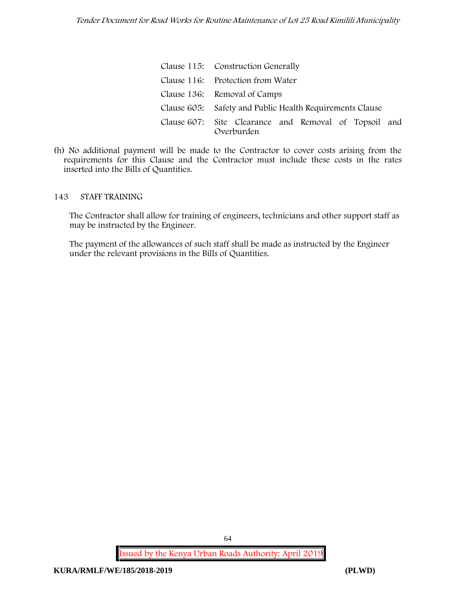| Clause 115: Construction Generally                                  |
|---------------------------------------------------------------------|
| Clause 116: Protection from Water                                   |
| Clause 136: Removal of Camps                                        |
| Clause 605: Safety and Public Health Requirements Clause            |
| Clause 607: Site Clearance and Removal of Topsoil and<br>Overburden |

(h) No additional payment will be made to the Contractor to cover costs arising from the requirements for this Clause and the Contractor must include these costs in the rates inserted into the Bills of Quantities.

### **143 STAFF TRAINING**

The Contractor shall allow for training of engineers, technicians and other support staff as may be instructed by the Engineer.

The payment of the allowances of such staff shall be made as instructed by the Engineer under the relevant provisions in the Bills of Quantities.

**Issued by the Kenya Urban Roads Authority: April 2019**

64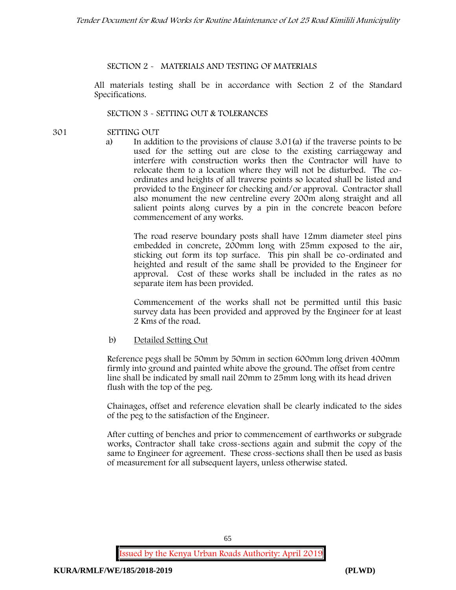# **SECTION 2 - MATERIALS AND TESTING OF MATERIALS**

All materials testing shall be in accordance with Section 2 of the Standard Specifications.

# **SECTION 3 - SETTING OUT & TOLERANCES**

- **301 SETTING OUT**
	- a) In addition to the provisions of clause 3.01(a) if the traverse points to be used for the setting out are close to the existing carriageway and interfere with construction works then the Contractor will have to relocate them to a location where they will not be disturbed. The co ordinates and heights of all traverse points so located shall be listed and provided to the Engineer for checking and/or approval. Contractor shall also monument the new centreline every 200m along straight and all salient points along curves by a pin in the concrete beacon before commencement of any works.

The road reserve boundary posts shall have 12mm diameter steel pins embedded in concrete, 200mm long with 25mm exposed to the air, sticking out form its top surface. This pin shall be co-ordinated and heighted and result of the same shall be provided to the Engineer for approval. Cost of these works shall be included in the rates as no separate item has been provided.

Commencement of the works shall not be permitted until this basic survey data has been provided and approved by the Engineer for at least 2 Kms of the road.

# b) Detailed Setting Out

Reference pegs shall be 50mm by 50mm in section 600mm long driven 400mm firmly into ground and painted white above the ground. The offset from centre line shall be indicated by small nail 20mm to 25mm long with its head driven flush with the top of the peg.

Chainages, offset and reference elevation shall be clearly indicated to the sides of the peg to the satisfaction of the Engineer.

After cutting of benches and prior to commencement of earthworks or subgrade works, Contractor shall take cross-sections again and submit the copy of the same to Engineer for agreement. These cross-sections shall then be used as basis of measurement for all subsequent layers, unless otherwise stated.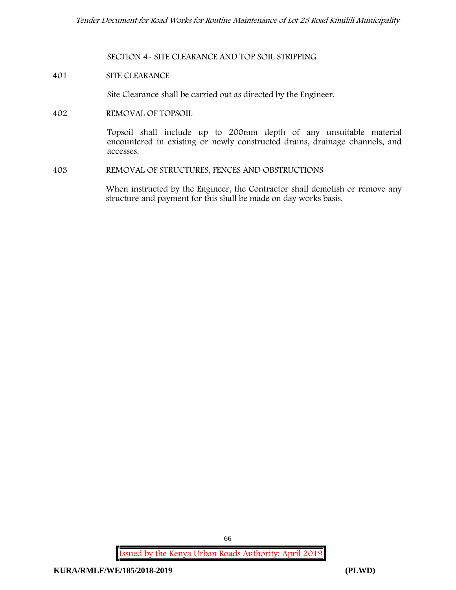**SECTION 4- SITE CLEARANCE AND TOP SOIL STRIPPING**

### **401 SITE CLEARANCE**

Site Clearance shall be carried out as directed by the Engineer.

**402 REMOVAL OF TOPSOIL**

Topsoil shall include up to 200mm depth of any unsuitable material encountered in existing or newly constructed drains, drainage channels, and accesses.

**403 REMOVAL OF STRUCTURES, FENCES AND OBSTRUCTIONS**

When instructed by the Engineer, the Contractor shall demolish or remove any structure and payment for this shall be made on day works basis.

**Issued by the Kenya Urban Roads Authority: April 2019**

66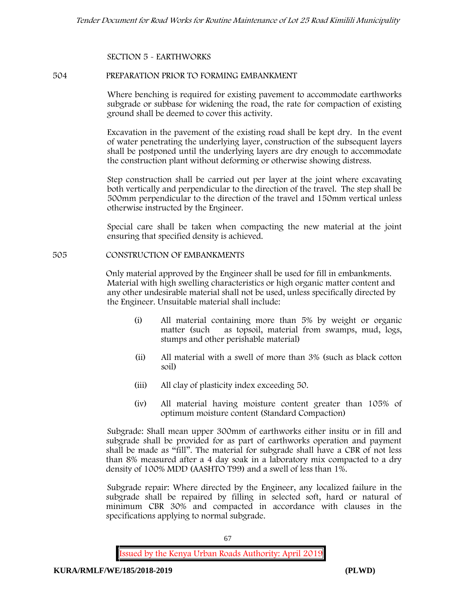# **SECTION 5 - EARTHWORKS**

### **504 PREPARATION PRIOR TO FORMING EMBANKMENT**

Where benching is required for existing pavement to accommodate earthworks subgrade or subbase for widening the road, the rate for compaction of existing ground shall be deemed to cover this activity.

Excavation in the pavement of the existing road shall be kept dry. In the event of water penetrating the underlying layer, construction of the subsequent layers shall be postponed until the underlying layers are dry enough to accommodate the construction plant without deforming or otherwise showing distress.

Step construction shall be carried out per layer at the joint where excavating both vertically and perpendicular to the direction of the travel. The step shall be 500mm perpendicular to the direction of the travel and 150mm vertical unless otherwise instructed by the Engineer.

Special care shall be taken when compacting the new material at the joint ensuring that specified density is achieved.

### **505 CONSTRUCTION OF EMBANKMENTS**

Only material approved by the Engineer shall be used for fill in embankments. Material with high swelling characteristics or high organic matter content and any other undesirable material shall not be used, unless specifically directed by the Engineer. Unsuitable material shall include:

- (i) All material containing more than 5% by weight or organic matter (such as topsoil, material from swamps, mud, logs, stumps and other perishable material)
- (ii) All material with a swell of more than 3% (such as black cotton soil)
- (iii) All clay of plasticity index exceeding 50.
- (iv) All material having moisture content greater than 105% of optimum moisture content (Standard Compaction)

Subgrade: Shall mean upper 300mm of earthworks either insitu or in fill and subgrade shall be provided for as part of earthworks operation and payment shall be made as "fill". The material for subgrade shall have a CBR of not less than 8% measured after a 4 day soak in a laboratory mix compacted to a dry density of 100% MDD (AASHTO T99) and a swell of less than 1%.

Subgrade repair: Where directed by the Engineer, any localized failure in the subgrade shall be repaired by filling in selected soft, hard or natural of minimum CBR 30% and compacted in accordance with clauses in the specifications applying to normal subgrade.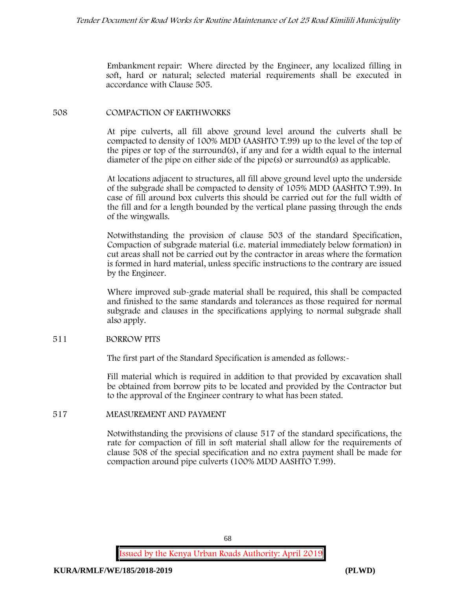Embankment repair: Where directed by the Engineer, any localized filling in soft, hard or natural; selected material requirements shall be executed in accordance with Clause 505.

# **508 COMPACTION OF EARTHWORKS**

At pipe culverts, all fill above ground level around the culverts shall be compacted to density of 100% MDD (AASHTO T.99) up to the level of the top of the pipes or top of the surround(s), if any and for a width equal to the internal diameter of the pipe on either side of the pipe(s) or surround(s) as applicable.

At locations adjacent to structures, all fill above ground level upto the underside of the subgrade shall be compacted to density of 105% MDD (AASHTO T.99). In case of fill around box culverts this should be carried out for the full width of the fill and for a length bounded by the vertical plane passing through the ends of the wingwalls.

Notwithstanding the provision of clause 503 of the standard Specification, Compaction of subgrade material (i.e. material immediately below formation) in cut areas shall not be carried out by the contractor in areas where the formation is formed in hard material, unless specific instructions to the contrary are issued by the Engineer.

Where improved sub-grade material shall be required, this shall be compacted and finished to the same standards and tolerances as those required for normal subgrade and clauses in the specifications applying to normal subgrade shall also apply.

# **511 BORROW PITS**

The first part of the Standard Specification is amended as follows:-

Fill material which is required in addition to that provided by excavation shall be obtained from borrow pits to be located and provided by the Contractor but to the approval of the Engineer contrary to what has been stated.

# **517 MEASUREMENT AND PAYMENT**

Notwithstanding the provisions of clause 517 of the standard specifications, the rate for compaction of fill in soft material shall allow for the requirements of clause 508 of the special specification and no extra payment shall be made for compaction around pipe culverts (100% MDD AASHTO T.99).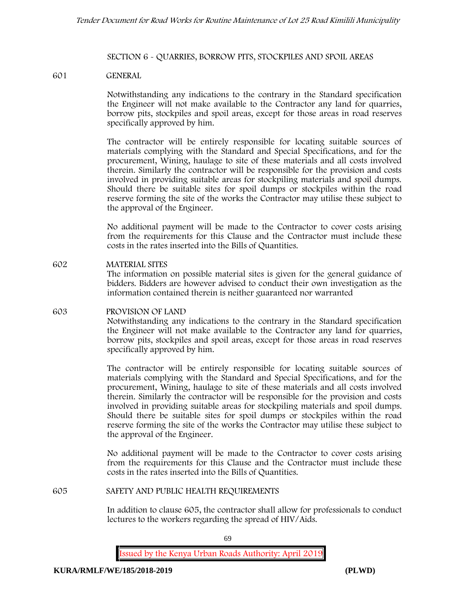### **SECTION 6 - QUARRIES, BORROW PITS, STOCKPILES AND SPOIL AREAS**

### **601 GENERAL**

Notwithstanding any indications to the contrary in the Standard specification the Engineer will not make available to the Contractor any land for quarries, borrow pits, stockpiles and spoil areas, except for those areas in road reserves specifically approved by him.

The contractor will be entirely responsible for locating suitable sources of materials complying with the Standard and Special Specifications, and for the procurement, Wining, haulage to site of these materials and all costs involved therein. Similarly the contractor will be responsible for the provision and costs involved in providing suitable areas for stockpiling materials and spoil dumps. Should there be suitable sites for spoil dumps or stockpiles within the road reserve forming the site of the works the Contractor may utilise these subject to the approval of the Engineer.

No additional payment will be made to the Contractor to cover costs arising from the requirements for this Clause and the Contractor must include these costs in the rates inserted into the Bills of Quantities.

# **602 MATERIAL SITES** The information on possible material sites is given for the general guidance of bidders. Bidders are however advised to conduct their own investigation as the information contained therein is neither guaranteed nor warranted

# **603 PROVISION OF LAND**

Notwithstanding any indications to the contrary in the Standard specification the Engineer will not make available to the Contractor any land for quarries, borrow pits, stockpiles and spoil areas, except for those areas in road reserves specifically approved by him.

The contractor will be entirely responsible for locating suitable sources of materials complying with the Standard and Special Specifications, and for the procurement, Wining, haulage to site of these materials and all costs involved therein. Similarly the contractor will be responsible for the provision and costs involved in providing suitable areas for stockpiling materials and spoil dumps. Should there be suitable sites for spoil dumps or stockpiles within the road reserve forming the site of the works the Contractor may utilise these subject to the approval of the Engineer.

No additional payment will be made to the Contractor to cover costs arising from the requirements for this Clause and the Contractor must include these costs in the rates inserted into the Bills of Quantities.

### **605 SAFETY AND PUBLIC HEALTH REQUIREMENTS**

In addition to clause 605, the contractor shall allow for professionals to conduct lectures to the workers regarding the spread of HIV/Aids.

69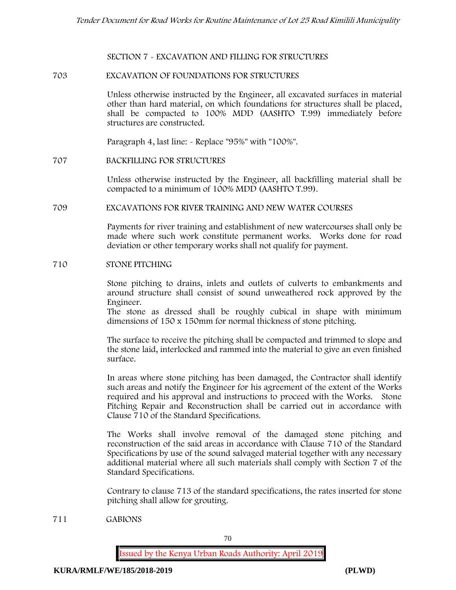### **SECTION 7 - EXCAVATION AND FILLING FOR STRUCTURES**

### **703 EXCAVATION OF FOUNDATIONS FOR STRUCTURES**

Unless otherwise instructed by the Engineer, all excavated surfaces in material other than hard material, on which foundations for structures shall be placed, shall be compacted to 100% MDD (AASHTO T.99) immediately before structures are constructed.

Paragraph 4, last line: - Replace "95%" with "100%".

### **707 BACKFILLING FOR STRUCTURES**

Unless otherwise instructed by the Engineer, all backfilling material shall be compacted to a minimum of 100% MDD (AASHTO T.99).

### **709 EXCAVATIONS FOR RIVER TRAINING AND NEW WATER COURSES**

Payments for river training and establishment of new watercourses shall only be made where such work constitute permanent works. Works done for road deviation or other temporary works shall not qualify for payment.

### **710 STONE PITCHING**

Stone pitching to drains, inlets and outlets of culverts to embankments and around structure shall consist of sound unweathered rock approved by the Engineer.

The stone as dressed shall be roughly cubical in shape with minimum dimensions of 150 x 150mm for normal thickness of stone pitching.

The surface to receive the pitching shall be compacted and trimmed to slope and the stone laid, interlocked and rammed into the material to give an even finished surface.

In areas where stone pitching has been damaged, the Contractor shall identify such areas and notify the Engineer for his agreement of the extent of the Works required and his approval and instructions to proceed with the Works. Stone Pitching Repair and Reconstruction shall be carried out in accordance with Clause 710 of the Standard Specifications.

The Works shall involve removal of the damaged stone pitching and reconstruction of the said areas in accordance with Clause 710 of the Standard Specifications by use of the sound salvaged material together with any necessary additional material where all such materials shall comply with Section 7 of the Standard Specifications.

Contrary to clause 713 of the standard specifications, the rates inserted for stone pitching shall allow for grouting.

**711 GABIONS**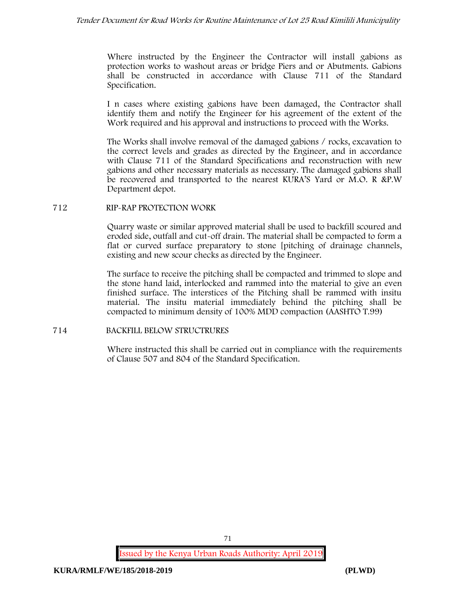Where instructed by the Engineer the Contractor will install gabions as protection works to washout areas or bridge Piers and or Abutments. Gabions shall be constructed in accordance with Clause 711 of the Standard Specification.

I n cases where existing gabions have been damaged, the Contractor shall identify them and notify the Engineer for his agreement of the extent of the Work required and his approval and instructions to proceed with the Works.

The Works shall involve removal of the damaged gabions / rocks, excavation to the correct levels and grades as directed by the Engineer, and in accordance with Clause 711 of the Standard Specifications and reconstruction with new gabions and other necessary materials as necessary. The damaged gabions shall be recovered and transported to the nearest KURA'S Yard or M.O. R &P.W Department depot.

### **712 RIP-RAP PROTECTION WORK**

Quarry waste or similar approved material shall be used to backfill scoured and eroded side, outfall and cut-off drain. The material shall be compacted to form a flat or curved surface preparatory to stone [pitching of drainage channels, existing and new scour checks as directed by the Engineer.

The surface to receive the pitching shall be compacted and trimmed to slope and the stone hand laid, interlocked and rammed into the material to give an even finished surface. The interstices of the Pitching shall be rammed with insitu material. The insitu material immediately behind the pitching shall be compacted to minimum density of 100% MDD compaction (AASHTO T.99)

# **714 BACKFILL BELOW STRUCTRURES**

Where instructed this shall be carried out in compliance with the requirements of Clause 507 and 804 of the Standard Specification.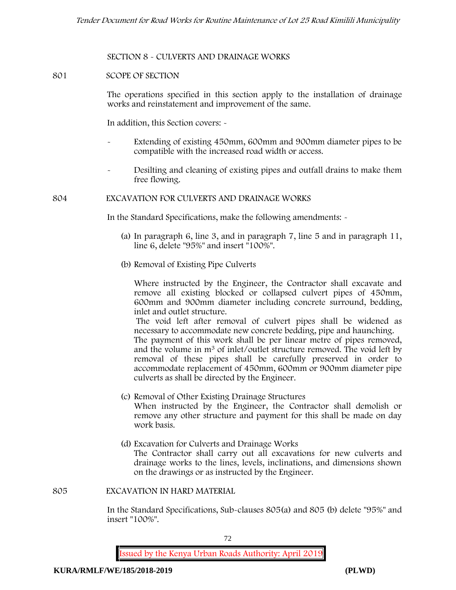### **SECTION 8 - CULVERTS AND DRAINAGE WORKS**

### **801 SCOPE OF SECTION**

The operations specified in this section apply to the installation of drainage works and reinstatement and improvement of the same.

In addition, this Section covers: -

- Extending of existing 450mm, 600mm and 900mm diameter pipes to be compatible with the increased road width or access.
- Desilting and cleaning of existing pipes and outfall drains to make them free flowing.

#### **804 EXCAVATION FOR CULVERTS AND DRAINAGE WORKS**

In the Standard Specifications, make the following amendments: -

- (a) In paragraph 6, line 3, and in paragraph 7, line 5 and in paragraph 11, line 6, delete "95%" and insert "100%".
- (b) Removal of Existing Pipe Culverts

Where instructed by the Engineer, the Contractor shall excavate and remove all existing blocked or collapsed culvert pipes of 450mm, 600mm and 900mm diameter including concrete surround, bedding, inlet and outlet structure.

The void left after removal of culvert pipes shall be widened as necessary to accommodate new concrete bedding, pipe and haunching. The payment of this work shall be per linear metre of pipes removed, and the volume in m<sup>3</sup> of inlet/outlet structure removed. The void left by removal of these pipes shall be carefully preserved in order to accommodate replacement of 450mm, 600mm or 900mm diameter pipe culverts as shall be directed by the Engineer.

- (c) Removal of Other Existing Drainage Structures When instructed by the Engineer, the Contractor shall demolish or remove any other structure and payment for this shall be made on day work basis.
- (d) Excavation for Culverts and Drainage Works The Contractor shall carry out all excavations for new culverts and drainage works to the lines, levels, inclinations, and dimensions shown on the drawings or as instructed by the Engineer.

#### **805 EXCAVATION IN HARD MATERIAL**

In the Standard Specifications, Sub-clauses 805(a) and 805 (b) delete "95%" and insert "100%".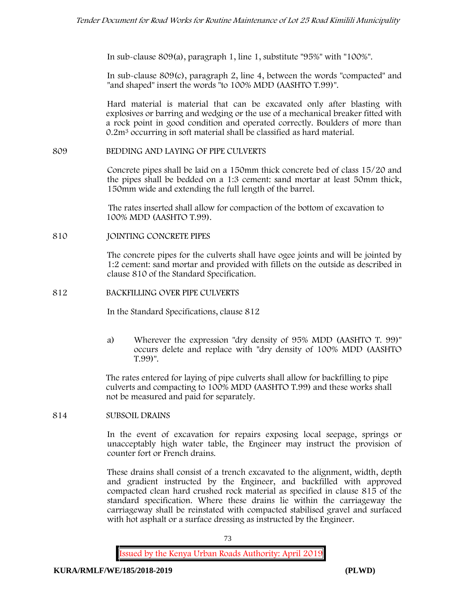In sub-clause 809(a), paragraph 1, line 1, substitute "95%" with "100%".

In sub-clause 809(c), paragraph 2, line 4, between the words "compacted" and "and shaped" insert the words "to 100% MDD (AASHTO T.99)".

Hard material is material that can be excavated only after blasting with explosives or barring and wedging or the use of a mechanical breaker fitted with a rock point in good condition and operated correctly. Boulders of more than 0.2m<sup>3</sup> occurring in soft material shall be classified as hard material.

#### **809 BEDDING AND LAYING OF PIPE CULVERTS**

Concrete pipes shall be laid on a 150mm thick concrete bed of class 15/20 and the pipes shall be bedded on a 1:3 cement: sand mortar at least 50mm thick, 150mm wide and extending the full length of the barrel.

The rates inserted shall allow for compaction of the bottom of excavation to 100% MDD (AASHTO T.99).

**810 JOINTING CONCRETE PIPES**

The concrete pipes for the culverts shall have ogee joints and will be jointed by 1:2 cement: sand mortar and provided with fillets on the outside as described in clause 810 of the Standard Specification.

**812 BACKFILLING OVER PIPE CULVERTS**

In the Standard Specifications, clause 812

a) Wherever the expression "dry density of 95% MDD (AASHTO T. 99)" occurs delete and replace with "dry density of 100% MDD (AASHTO T.99)".

The rates entered for laying of pipe culverts shall allow for backfilling to pipe culverts and compacting to 100% MDD (AASHTO T.99) and these works shall not be measured and paid for separately.

### **814 SUBSOIL DRAINS**

In the event of excavation for repairs exposing local seepage, springs or unacceptably high water table, the Engineer may instruct the provision of counter fort or French drains.

These drains shall consist of a trench excavated to the alignment, width, depth and gradient instructed by the Engineer, and backfilled with approved compacted clean hard crushed rock material as specified in clause 815 of the standard specification. Where these drains lie within the carriageway the carriageway shall be reinstated with compacted stabilised gravel and surfaced with hot asphalt or a surface dressing as instructed by the Engineer.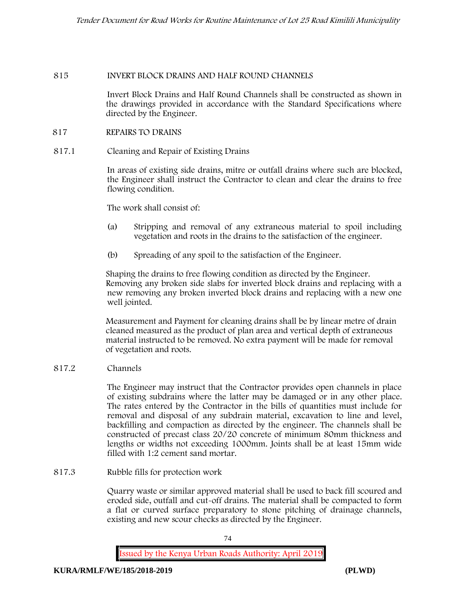#### **815 INVERT BLOCK DRAINS AND HALF ROUND CHANNELS**

Invert Block Drains and Half Round Channels shall be constructed as shown in the drawings provided in accordance with the Standard Specifications where directed by the Engineer.

#### **817 REPAIRS TO DRAINS**

**817.1 Cleaning and Repair of Existing Drains**

In areas of existing side drains, mitre or outfall drains where such are blocked, the Engineer shall instruct the Contractor to clean and clear the drains to free flowing condition.

The work shall consist of:

- (a) Stripping and removal of any extraneous material to spoil including vegetation and roots in the drains to the satisfaction of the engineer.
- (b) Spreading of any spoil to the satisfaction of the Engineer.

Shaping the drains to free flowing condition as directed by the Engineer. Removing any broken side slabs for inverted block drains and replacing with a new removing any broken inverted block drains and replacing with a new one well jointed.

Measurement and Payment for cleaning drains shall be by linear metre of drain cleaned measured as the product of plan area and vertical depth of extraneous material instructed to be removed. No extra payment will be made for removal of vegetation and roots.

**817.2 Channels**

The Engineer may instruct that the Contractor provides open channels in place of existing subdrains where the latter may be damaged or in any other place. The rates entered by the Contractor in the bills of quantities must include for removal and disposal of any subdrain material, excavation to line and level, backfilling and compaction as directed by the engineer. The channels shall be constructed of precast class 20/20 concrete of minimum 80mm thickness and lengths or widths not exceeding 1000mm. Joints shall be at least 15mm wide filled with 1:2 cement sand mortar.

**817.3 Rubble fills for protection work**

Quarry waste or similar approved material shall be used to back fill scoured and eroded side, outfall and cut-off drains. The material shall be compacted to form a flat or curved surface preparatory to stone pitching of drainage channels, existing and new scour checks as directed by the Engineer.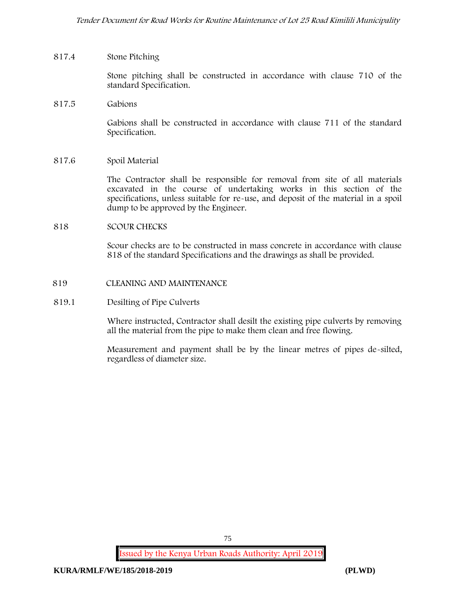### **817.4 Stone Pitching**

Stone pitching shall be constructed in accordance with clause 710 of the standard Specification.

**817.5 Gabions**

Gabions shall be constructed in accordance with clause 711 of the standard Specification.

**817.6 Spoil Material**

The Contractor shall be responsible for removal from site of all materials excavated in the course of undertaking works in this section of the specifications, unless suitable for re-use, and deposit of the material in a spoil dump to be approved by the Engineer.

#### **818 SCOUR CHECKS**

Scour checks are to be constructed in mass concrete in accordance with clause 818 of the standard Specifications and the drawings as shall be provided.

**819 CLEANING AND MAINTENANCE**

#### **819.1 Desilting of Pipe Culverts**

Where instructed, Contractor shall desilt the existing pipe culverts by removing all the material from the pipe to make them clean and free flowing.

Measurement and payment shall be by the linear metres of pipes de-silted, regardless of diameter size.

75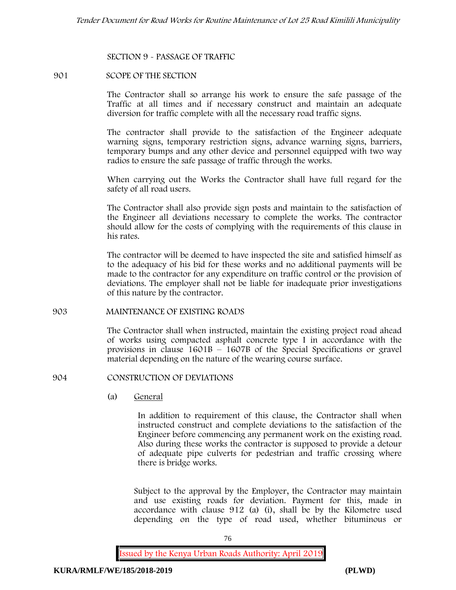#### **SECTION 9 - PASSAGE OF TRAFFIC**

#### **901 SCOPE OF THE SECTION**

The Contractor shall so arrange his work to ensure the safe passage of the Traffic at all times and if necessary construct and maintain an adequate diversion for traffic complete with all the necessary road traffic signs.

The contractor shall provide to the satisfaction of the Engineer adequate warning signs, temporary restriction signs, advance warning signs, barriers, temporary bumps and any other device and personnel equipped with two way radios to ensure the safe passage of traffic through the works.

When carrying out the Works the Contractor shall have full regard for the safety of all road users.

The Contractor shall also provide sign posts and maintain to the satisfaction of the Engineer all deviations necessary to complete the works. The contractor should allow for the costs of complying with the requirements of this clause in his rates.

The contractor will be deemed to have inspected the site and satisfied himself as to the adequacy of his bid for these works and no additional payments will be made to the contractor for any expenditure on traffic control or the provision of deviations. The employer shall not be liable for inadequate prior investigations of this nature by the contractor.

#### **903 MAINTENANCE OF EXISTING ROADS**

The Contractor shall when instructed, maintain the existing project road ahead of works using compacted asphalt concrete type I in accordance with the provisions in clause 1601B – 1607B of the Special Specifications or gravel material depending on the nature of the wearing course surface.

#### **904 CONSTRUCTION OF DEVIATIONS**

(a) **General**

In addition to requirement of this clause, the Contractor shall when instructed construct and complete deviations to the satisfaction of the Engineer before commencing any permanent work on the existing road. Also during these works the contractor is supposed to provide a detour of adequate pipe culverts for pedestrian and traffic crossing where there is bridge works.

Subject to the approval by the Employer, the Contractor may maintain and use existing roads for deviation. Payment for this, made in accordance with clause 912 (a) (i), shall be by the Kilometre used depending on the type of road used, whether bituminous or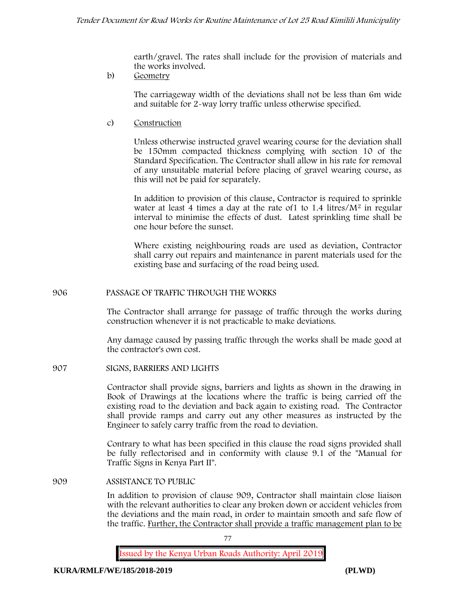earth/gravel. The rates shall include for the provision of materials and the works involved.

b) **Geometry**

The carriageway width of the deviations shall not be less than 6m wide and suitable for 2-way lorry traffic unless otherwise specified.

c) **Construction**

Unless otherwise instructed gravel wearing course for the deviation shall be 150mm compacted thickness complying with section 10 of the Standard Specification. The Contractor shall allow in his rate for removal of any unsuitable material before placing of gravel wearing course, as this will not be paid for separately.

In addition to provision of this clause, Contractor is required to sprinkle water at least 4 times a day at the rate of  $1$  to  $1.4$  litres/ $M<sup>2</sup>$  in regular interval to minimise the effects of dust. Latest sprinkling time shall be one hour before the sunset.

Where existing neighbouring roads are used as deviation, Contractor shall carry out repairs and maintenance in parent materials used for the existing base and surfacing of the road being used.

#### **906 PASSAGE OF TRAFFIC THROUGH THE WORKS**

The Contractor shall arrange for passage of traffic through the works during construction whenever it is not practicable to make deviations.

Any damage caused by passing traffic through the works shall be made good at the contractor's own cost.

**907 SIGNS, BARRIERS AND LIGHTS**

Contractor shall provide signs, barriers and lights as shown in the drawing in Book of Drawings at the locations where the traffic is being carried off the existing road to the deviation and back again to existing road. The Contractor shall provide ramps and carry out any other measures as instructed by the Engineer to safely carry traffic from the road to deviation.

Contrary to what has been specified in this clause the road signs provided shall be fully reflectorised and in conformity with clause 9.1 of the "Manual for Traffic Signs in Kenya Part II".

**909 ASSISTANCE TO PUBLIC**

In addition to provision of clause 909, Contractor shall maintain close liaison with the relevant authorities to clear any broken down or accident vehicles from the deviations and the main road, in order to maintain smooth and safe flow of the traffic. Further, the Contractor shall provide a traffic management plan to be

77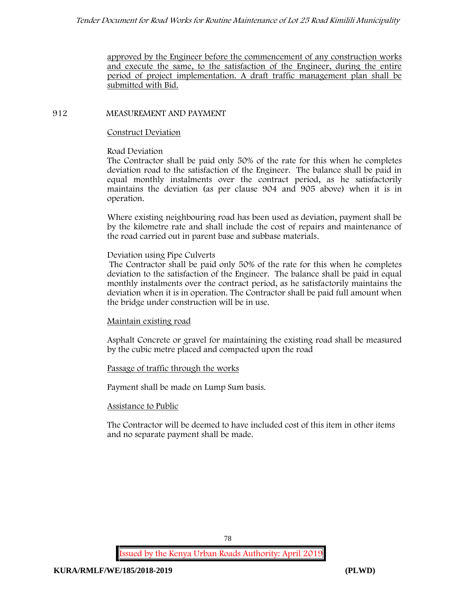approved by the Engineer before the commencement of any construction works and execute the same, to the satisfaction of the Engineer, during the entire period of project implementation. A draft traffic management plan shall be submitted with Bid.

### **912 MEASUREMENT AND PAYMENT**

#### **Construct Deviation**

### **Road Deviation**

The Contractor shall be paid only 50% of the rate for this when he completes deviation road to the satisfaction of the Engineer. The balance shall be paid in equal monthly instalments over the contract period, as he satisfactorily maintains the deviation (as per clause 904 and 905 above) when it is in operation.

Where existing neighbouring road has been used as deviation, payment shall be by the kilometre rate and shall include the cost of repairs and maintenance of the road carried out in parent base and subbase materials.

#### **Deviation using Pipe Culverts**

The Contractor shall be paid only 50% of the rate for this when he completes deviation to the satisfaction of the Engineer. The balance shall be paid in equal monthly instalments over the contract period, as he satisfactorily maintains the deviation when it is in operation. The Contractor shall be paid full amount when the bridge under construction will be in use.

### **Maintain existing road**

Asphalt Concrete or gravel for maintaining the existing road shall be measured by the cubic metre placed and compacted upon the road

### **Passage of traffic through the works**

Payment shall be made on Lump Sum basis.

#### **Assistance to Public**

The Contractor will be deemed to have included cost of this item in other items and no separate payment shall be made.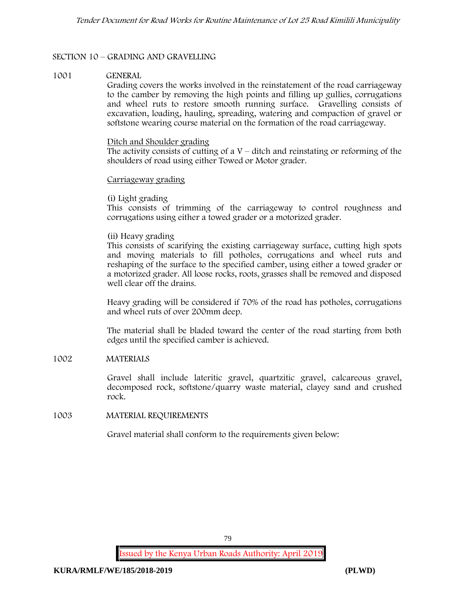### **SECTION 10 – GRADING AND GRAVELLING**

#### **1001 GENERAL**

Grading covers the works involved in the reinstatement of the road carriageway to the camber by removing the high points and filling up gullies, corrugations and wheel ruts to restore smooth running surface. Gravelling consists of excavation, loading, hauling, spreading, watering and compaction of gravel or softstone wearing course material on the formation of the road carriageway.

#### Ditch and Shoulder grading

The activity consists of cutting of a  $V$  – ditch and reinstating or reforming of the shoulders of road using either Towed or Motor grader.

#### Carriageway grading

### **(i) Light grading**

This consists of trimming of the carriageway to control roughness and corrugations using either a towed grader or a motorized grader.

#### **(ii) Heavy grading**

This consists of scarifying the existing carriageway surface, cutting high spots and moving materials to fill potholes, corrugations and wheel ruts and reshaping of the surface to the specified camber, using either a towed grader or a motorized grader. All loose rocks, roots, grasses shall be removed and disposed well clear off the drains.

Heavy grading will be considered if 70% of the road has potholes, corrugations and wheel ruts of over 200mm deep.

The material shall be bladed toward the center of the road starting from both edges until the specified camber is achieved.

### **1002 MATERIALS**

Gravel shall include lateritic gravel, quartzitic gravel, calcareous gravel, decomposed rock, softstone/quarry waste material, clayey sand and crushed rock.

**1003 MATERIAL REQUIREMENTS**

Gravel material shall conform to the requirements given below: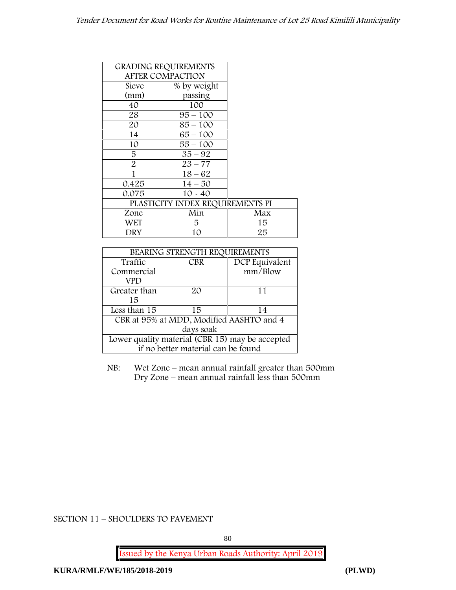### *Tender Document for Road Works for Routine Maintenance of Lot 25 Road Kimilili Municipality*

|       | <b>GRADING REQUIREMENTS</b>      |     |
|-------|----------------------------------|-----|
|       | <b>AFTER COMPACTION</b>          |     |
| Sieve | % by weight                      |     |
| (mm)  | passing                          |     |
| 40    | 100                              |     |
| 28    | $95 - 100$                       |     |
| 20    | $85 - 100$                       |     |
| 14    | $65 - 100$                       |     |
| 10    | $55 - 100$                       |     |
| 5     | $35 - 92$                        |     |
| 2     | $23 - 77$                        |     |
| 1     | $18 - 62$                        |     |
| 0.425 | $14 - 50$                        |     |
| 0.075 | $10 - 40$                        |     |
|       | PLASTICITY INDEX REQUIREMENTS PI |     |
| Zone  | Min                              | Max |
| WET   | 5                                | 15  |
| DRY   | 10                               | 25  |

| BEARING STRENGTH REQUIREMENTS                   |            |                |  |  |
|-------------------------------------------------|------------|----------------|--|--|
| Traffic                                         | <b>CBR</b> | DCP Equivalent |  |  |
| Commercial                                      |            | mm/Blow        |  |  |
| VPD                                             |            |                |  |  |
| Greater than                                    | 20         | 11             |  |  |
| 15                                              |            |                |  |  |
| Less than 15                                    | 15         | 14             |  |  |
| CBR at 95% at MDD, Modified AASHTO and 4        |            |                |  |  |
| days soak                                       |            |                |  |  |
| Lower quality material (CBR 15) may be accepted |            |                |  |  |
| if no better material can be found              |            |                |  |  |

NB: Wet Zone – mean annual rainfall greater than 500mm Dry Zone – mean annual rainfall less than 500mm

**SECTION 11 – SHOULDERS TO PAVEMENT**

80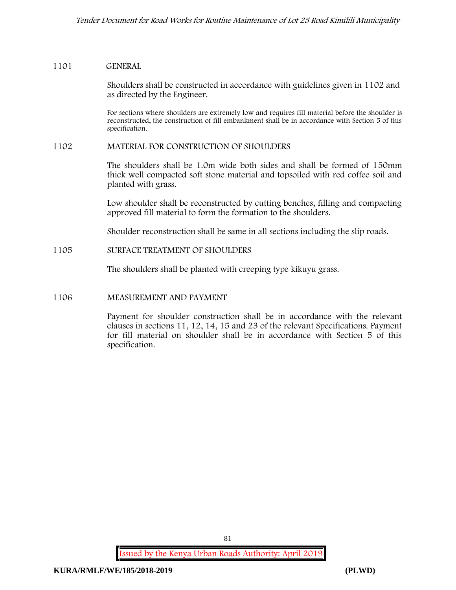#### **1101 GENERAL**

Shoulders shall be constructed in accordance with guidelines given in 1102 and as directed by the Engineer.

For sections where shoulders are extremely low and requires fill material before the shoulder is reconstructed, the construction of fill embankment shall be in accordance with Section 5 of this specification.

#### **1102 MATERIAL FOR CONSTRUCTION OF SHOULDERS**

The shoulders shall be 1.0m wide both sides and shall be formed of 150mm thick well compacted soft stone material and topsoiled with red coffee soil and planted with grass.

Low shoulder shall be reconstructed by cutting benches, filling and compacting approved fill material to form the formation to the shoulders.

Shoulder reconstruction shall be same in all sections including the slip roads.

### **1105 SURFACE TREATMENT OF SHOULDERS**

The shoulders shall be planted with creeping type kikuyu grass.

#### **1106 MEASUREMENT AND PAYMENT**

Payment for shoulder construction shall be in accordance with the relevant clauses in sections 11, 12, 14, 15 and 23 of the relevant Specifications. Payment for fill material on shoulder shall be in accordance with Section 5 of this specification.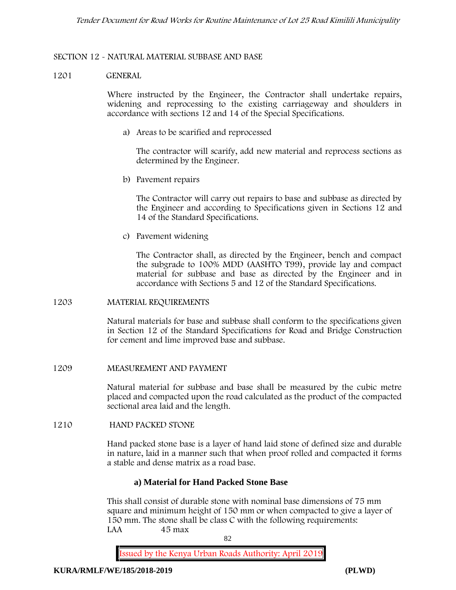### **SECTION 12 - NATURAL MATERIAL SUBBASE AND BASE**

#### **1201 GENERAL**

Where instructed by the Engineer, the Contractor shall undertake repairs, widening and reprocessing to the existing carriageway and shoulders in accordance with sections 12 and 14 of the Special Specifications.

**a) Areas to be scarified and reprocessed**

The contractor will scarify, add new material and reprocess sections as determined by the Engineer.

**b) Pavement repairs**

The Contractor will carry out repairs to base and subbase as directed by the Engineer and according to Specifications given in Sections 12 and 14 of the Standard Specifications.

**c) Pavement widening**

The Contractor shall, as directed by the Engineer, bench and compact the subgrade to 100% MDD (AASHTO T99), provide lay and compact material for subbase and base as directed by the Engineer and in accordance with Sections 5 and 12 of the Standard Specifications.

#### **1203 MATERIAL REQUIREMENTS**

Natural materials for base and subbase shall conform to the specifications given in Section 12 of the Standard Specifications for Road and Bridge Construction for cement and lime improved base and subbase.

#### **1209 MEASUREMENT AND PAYMENT**

Natural material for subbase and base shall be measured by the cubic metre placed and compacted upon the road calculated as the product of the compacted sectional area laid and the length.

#### **1210 HAND PACKED STONE**

Hand packed stone base is a layer of hand laid stone of defined size and durable in nature, laid in a manner such that when proof rolled and compacted it forms a stable and dense matrix as a road base.

#### **a) Material for Hand Packed Stone Base**

This shall consist of durable stone with nominal base dimensions of 75 mm square and minimum height of 150 mm or when compacted to give a layer of 150 mm. The stone shall be class C with the following requirements: **LAA 45 max**

82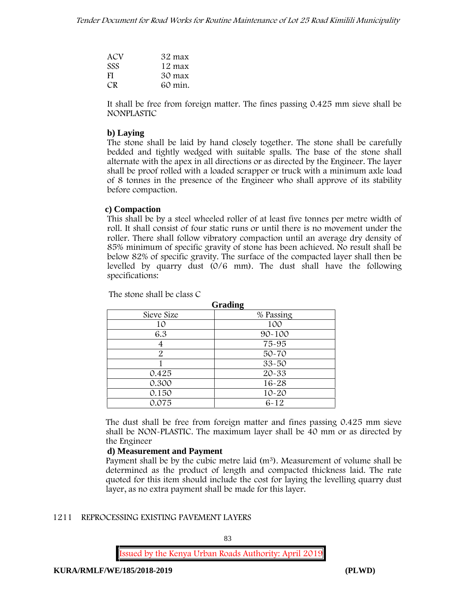| ACV        | 32 max  |
|------------|---------|
| <b>SSS</b> | 12 max  |
| FI.        | 30 max  |
| CR.        | 60 min. |

It shall be free from foreign matter. The fines passing 0.425 mm sieve shall be **NONPLASTIC**

### **b) Laying**

The stone shall be laid by hand closely together. The stone shall be carefully bedded and tightly wedged with suitable spalls. The base of the stone shall alternate with the apex in all directions or as directed by the Engineer. The layer shall be proof rolled with a loaded scrapper or truck with a minimum axle load of 8 tonnes in the presence of the Engineer who shall approve of its stability before compaction.

#### **c) Compaction**

This shall be by a steel wheeled roller of at least five tonnes per metre width of roll. It shall consist of four static runs or until there is no movement under the roller. There shall follow vibratory compaction until an average dry density of 85% minimum of specific gravity of stone has been achieved. No result shall be below 82% of specific gravity. The surface of the compacted layer shall then be levelled by quarry dust (0/6 mm). The dust shall have the following specifications:

|            | Grading    |
|------------|------------|
| Sieve Size | % Passing  |
| 10         | 100        |
| 6.3        | $90 - 100$ |
| 4          | 75-95      |
| 2          | 50-70      |
|            | $33 - 50$  |
| 0.425      | 20-33      |
| 0.300      | $16 - 28$  |
| 0.150      | $10 - 20$  |
| 0.075      | $6 - 12$   |

The stone shall be class C

The dust shall be free from foreign matter and fines passing 0.425 mm sieve shall be **NON-PLASTIC**. The maximum layer shall be 40 mm or as directed by the Engineer

### **d) Measurement and Payment**

Payment shall be by the cubic metre laid  $(m<sup>3</sup>)$ . Measurement of volume shall be determined as the product of length and compacted thickness laid. The rate quoted for this item should include the cost for laying the levelling quarry dust layer, as no extra payment shall be made for this layer.

#### **1211 REPROCESSING EXISTING PAVEMENT LAYERS**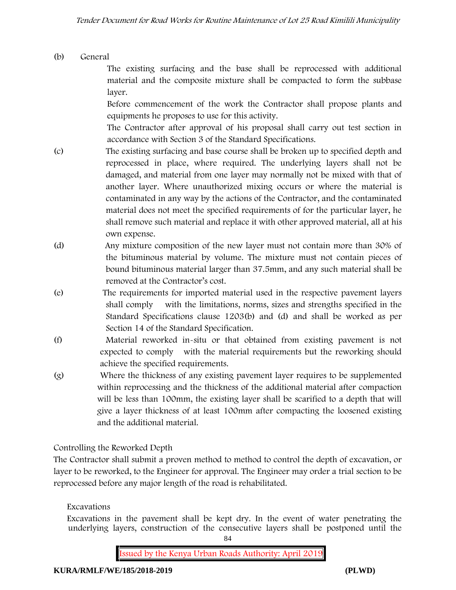# **(b) General**

The existing surfacing and the base shall be reprocessed with additional material and the composite mixture shall be compacted to form the subbase layer.

Before commencement of the work the Contractor shall propose plants and equipments he proposes to use for this activity.

The Contractor after approval of his proposal shall carry out test section in accordance with Section 3 of the Standard Specifications.

- (c) The existing surfacing and base course shall be broken up to specified depth and reprocessed in place, where required. The underlying layers shall not be damaged, and material from one layer may normally not be mixed with that of another layer. Where unauthorized mixing occurs or where the material is contaminated in any way by the actions of the Contractor, and the contaminated material does not meet the specified requirements of for the particular layer, he shall remove such material and replace it with other approved material, all at his own expense.
- (d) Any mixture composition of the new layer must not contain more than 30% of the bituminous material by volume. The mixture must not contain pieces of bound bituminous material larger than 37.5mm, and any such material shall be removed at the Contractor's cost.
- (e) The requirements for imported material used in the respective pavement layers shall comply with the limitations, norms, sizes and strengths specified in the Standard Specifications clause 1203(b) and (d) and shall be worked as per Section 14 of the Standard Specification.
- (f) Material reworked in-situ or that obtained from existing pavement is not expected to comply with the material requirements but the reworking should achieve the specified requirements.
- (g) Where the thickness of any existing pavement layer requires to be supplemented within reprocessing and the thickness of the additional material after compaction will be less than 100mm, the existing layer shall be scarified to a depth that will give a layer thickness of at least 100mm after compacting the loosened existing and the additional material.

# **Controlling the Reworked Depth**

The Contractor shall submit a proven method to method to control the depth of excavation, or layer to be reworked, to the Engineer for approval. The Engineer may order a trial section to be reprocessed before any major length of the road is rehabilitated.

# **Excavations**

Excavations in the pavement shall be kept dry. In the event of water penetrating the underlying layers, construction of the consecutive layers shall be postponed until the

84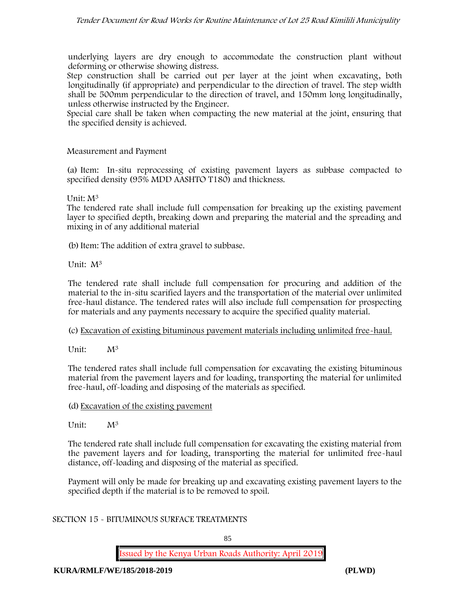underlying layers are dry enough to accommodate the construction plant without deforming or otherwise showing distress.

Step construction shall be carried out per layer at the joint when excavating, both longitudinally (if appropriate) and perpendicular to the direction of travel. The step width shall be 500mm perpendicular to the direction of travel, and 150mm long longitudinally, unless otherwise instructed by the Engineer.

Special care shall be taken when compacting the new material at the joint, ensuring that the specified density is achieved.

### **Measurement and Payment**

(a) Item: In-situ reprocessing of existing pavement layers as subbase compacted to specified density (95% MDD AASHTO T180) and thickness.

Unit: M<sup>3</sup>

The tendered rate shall include full compensation for breaking up the existing pavement layer to specified depth, breaking down and preparing the material and the spreading and mixing in of any additional material

(b) Item: The addition of extra gravel to subbase.

Unit: M<sup>3</sup>

The tendered rate shall include full compensation for procuring and addition of the material to the in-situ scarified layers and the transportation of the material over unlimited free-haul distance. The tendered rates will also include full compensation for prospecting for materials and any payments necessary to acquire the specified quality material.

(c) Excavation of existing bituminous pavement materials including unlimited free-haul.

Unit:  $M^3$ 

The tendered rates shall include full compensation for excavating the existing bituminous material from the pavement layers and for loading, transporting the material for unlimited free-haul, off-loading and disposing of the materials as specified.

### (d) Excavation of the existing pavement

Unit: M<sup>3</sup>

The tendered rate shall include full compensation for excavating the existing material from the pavement layers and for loading, transporting the material for unlimited free-haul distance, off-loading and disposing of the material as specified.

Payment will only be made for breaking up and excavating existing pavement layers to the specified depth if the material is to be removed to spoil.

#### **SECTION 15 - BITUMINOUS SURFACE TREATMENTS**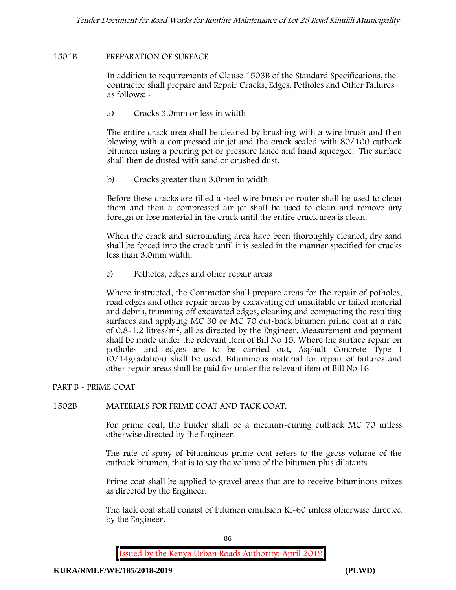### **1501B PREPARATION OF SURFACE**

In addition to requirements of Clause 1503B of the Standard Specifications, the contractor shall prepare and Repair Cracks, Edges, Potholes and Other Failures as follows: **-**

a) **Cracks 3.0mm or less in width**

The entire crack area shall be cleaned by brushing with a wire brush and then blowing with a compressed air jet and the crack sealed with 80/100 cutback bitumen using a pouring pot or pressure lance and hand squeegee. The surface shall then de dusted with sand or crushed dust.

b) **Cracks greater than 3.0mm in width**

Before these cracks are filled a steel wire brush or router shall be used to clean them and then a compressed air jet shall be used to clean and remove any foreign or lose material in the crack until the entire crack area is clean.

When the crack and surrounding area have been thoroughly cleaned, dry sand shall be forced into the crack until it is sealed in the manner specified for cracks less than 3.0mm width.

c) **Potholes, edges and other repair areas**

Where instructed, the Contractor shall prepare areas for the repair of potholes, road edges and other repair areas by excavating off unsuitable or failed material and debris, trimming off excavated edges, cleaning and compacting the resulting surfaces and applying MC 30 or MC 70 cut-back bitumen prime coat at a rate of 0.8-1.2 litres/m2, all as directed by the Engineer. Measurement and payment shall be made under the relevant item of Bill No 15. Where the surface repair on potholes and edges are to be carried out, Asphalt Concrete Type I (0/14gradation) shall be used. Bituminous material for repair of failures and other repair areas shall be paid for under the relevant item of Bill No 16

### **PART B - PRIME COAT**

### **1502B MATERIALS FOR PRIME COAT AND TACK COAT.**

For prime coat, the binder shall be a medium-curing cutback MC 70 unless otherwise directed by the Engineer.

The rate of spray of bituminous prime coat refers to the gross volume of the cutback bitumen, that is to say the volume of the bitumen plus dilatants.

Prime coat shall be applied to gravel areas that are to receive bituminous mixes as directed by the Engineer.

The tack coat shall consist of bitumen emulsion KI-60 unless otherwise directed by the Engineer.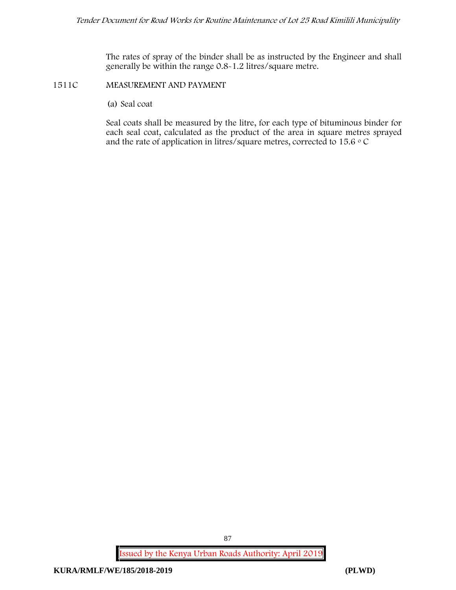The rates of spray of the binder shall be as instructed by the Engineer and shall generally be within the range 0.8-1.2 litres/square metre.

#### **1511C MEASUREMENT AND PAYMENT**

(a) Seal coat

Seal coats shall be measured by the litre, for each type of bituminous binder for each seal coat, calculated as the product of the area in square metres sprayed and the rate of application in litres/square metres, corrected to 15.6  $\circ$  C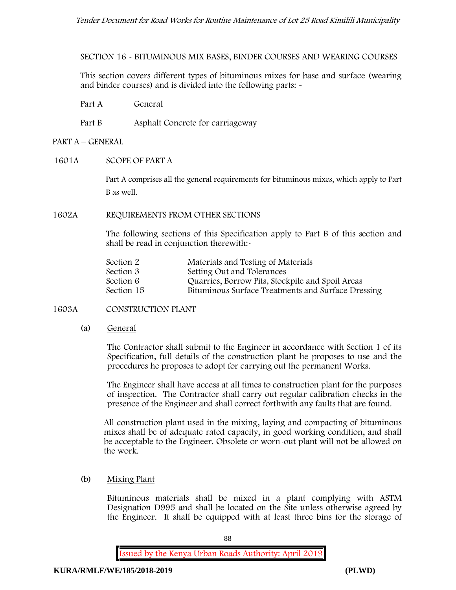**SECTION 16 - BITUMINOUS MIX BASES, BINDER COURSES AND WEARING COURSES**

This section covers different types of bituminous mixes for base and surface (wearing and binder courses) and is divided into the following parts: -

Part A General

Part B Asphalt Concrete for carriageway

#### **PART A –GENERAL**

#### **1601A SCOPE OF PART A**

Part A comprises all the general requirements for bituminous mixes, which apply to Part B as well.

#### **1602A REQUIREMENTS FROM OTHER SECTIONS**

The following sections of this Specification apply to Part B of this section and shall be read in conjunction therewith:-

| Section 2  | Materials and Testing of Materials                 |
|------------|----------------------------------------------------|
| Section 3  | Setting Out and Tolerances                         |
| Section 6  | Quarries, Borrow Pits, Stockpile and Spoil Areas   |
| Section 15 | Bituminous Surface Treatments and Surface Dressing |

#### **1603A CONSTRUCTION PLANT**

(a) **General**

The Contractor shall submit to the Engineer in accordance with Section 1 of its Specification, full details of the construction plant he proposes to use and the procedures he proposes to adopt for carrying out the permanent Works.

The Engineer shall have access at all times to construction plant for the purposes of inspection. The Contractor shall carry out regular calibration checks in the presence of the Engineer and shall correct forthwith any faults that are found.

All construction plant used in the mixing, laying and compacting of bituminous mixes shall be of adequate rated capacity, in good working condition, and shall be acceptable to the Engineer. Obsolete or worn-out plant will not be allowed on the work.

(b) **Mixing Plant**

Bituminous materials shall be mixed in a plant complying with ASTM Designation D995 and shall be located on the Site unless otherwise agreed by the Engineer. It shall be equipped with at least three bins for the storage of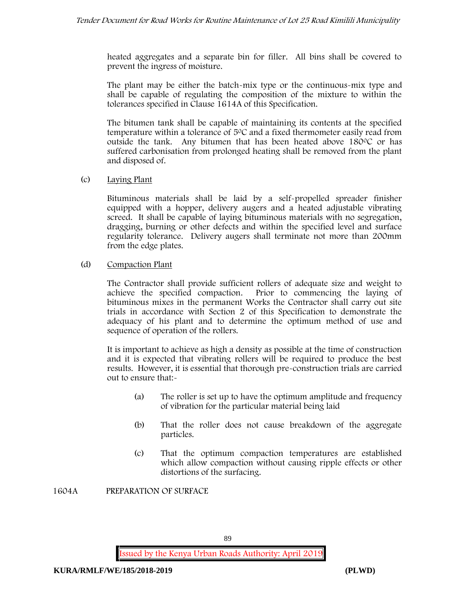heated aggregates and a separate bin for filler. All bins shall be covered to prevent the ingress of moisture.

The plant may be either the batch-mix type or the continuous-mix type and shall be capable of regulating the composition of the mixture to within the tolerances specified in Clause 1614A of this Specification.

The bitumen tank shall be capable of maintaining its contents at the specified temperature within a tolerance of  $5^{\circ}$ C and a fixed thermometer easily read from outside the tank. Any bitumen that has been heated above  $180^{\circ}$ C or has suffered carbonisation from prolonged heating shall be removed from the plant and disposed of.

#### (c) **Laying Plant**

Bituminous materials shall be laid by a self-propelled spreader finisher equipped with a hopper, delivery augers and a heated adjustable vibrating screed. It shall be capable of laying bituminous materials with no segregation, dragging, burning or other defects and within the specified level and surface regularity tolerance. Delivery augers shall terminate not more than 200mm from the edge plates.

### (d) **Compaction Plant**

The Contractor shall provide sufficient rollers of adequate size and weight to achieve the specified compaction. Prior to commencing the laying of bituminous mixes in the permanent Works the Contractor shall carry out site trials in accordance with Section 2 of this Specification to demonstrate the adequacy of his plant and to determine the optimum method of use and sequence of operation of the rollers.

It is important to achieve as high a density as possible at the time of construction and it is expected that vibrating rollers will be required to produce the best results. However, it is essential that thorough pre-construction trials are carried out to ensure that:-

- (a) The roller is set up to have the optimum amplitude and frequency of vibration for the particular material being laid
- (b) That the roller does not cause breakdown of the aggregate particles.
- (c) That the optimum compaction temperatures are established which allow compaction without causing ripple effects or other distortions of the surfacing.

**1604A PREPARATION OF SURFACE**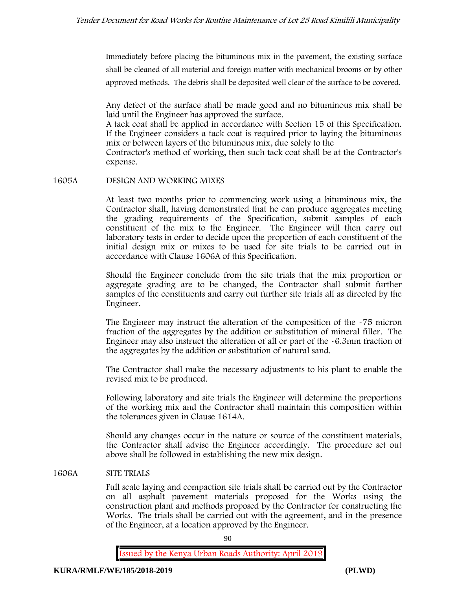Immediately before placing the bituminous mix in the pavement, the existing surface shall be cleaned of all material and foreign matter with mechanical brooms or by other approved methods. The debris shall be deposited well clear of the surface to be covered.

Any defect of the surface shall be made good and no bituminous mix shall be laid until the Engineer has approved the surface.

A tack coat shall be applied in accordance with Section 15 of this Specification. If the Engineer considers a tack coat is required prior to laying the bituminous mix or between layers of the bituminous mix, due solely to the

Contractor's method of working, then such tack coat shall be at the Contractor's expense.

#### **1605A DESIGN AND WORKING MIXES**

At least two months prior to commencing work using a bituminous mix, the Contractor shall, having demonstrated that he can produce aggregates meeting the grading requirements of the Specification, submit samples of each constituent of the mix to the Engineer. The Engineer will then carry out laboratory tests in order to decide upon the proportion of each constituent of the initial design mix or mixes to be used for site trials to be carried out in accordance with Clause 1606A of this Specification.

Should the Engineer conclude from the site trials that the mix proportion or aggregate grading are to be changed, the Contractor shall submit further samples of the constituents and carry out further site trials all as directed by the Engineer.

The Engineer may instruct the alteration of the composition of the -75 micron fraction of the aggregates by the addition or substitution of mineral filler. The Engineer may also instruct the alteration of all or part of the -6.3mm fraction of the aggregates by the addition or substitution of natural sand.

The Contractor shall make the necessary adjustments to his plant to enable the revised mix to be produced.

Following laboratory and site trials the Engineer will determine the proportions of the working mix and the Contractor shall maintain this composition within the tolerances given in Clause 1614A.

Should any changes occur in the nature or source of the constituent materials, the Contractor shall advise the Engineer accordingly. The procedure set out above shall be followed in establishing the new mix design.

### **1606A SITE TRIALS**

Full scale laying and compaction site trials shall be carried out by the Contractor on all asphalt pavement materials proposed for the Works using the construction plant and methods proposed by the Contractor for constructing the Works. The trials shall be carried out with the agreement, and in the presence of the Engineer, at a location approved by the Engineer.

90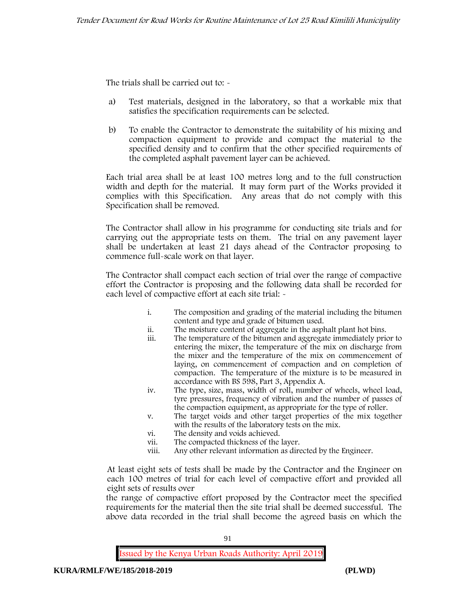The trials shall be carried out to: -

- a) Test materials, designed in the laboratory, so that a workable mix that satisfies the specification requirements can be selected.
- b) To enable the Contractor to demonstrate the suitability of his mixing and compaction equipment to provide and compact the material to the specified density and to confirm that the other specified requirements of the completed asphalt pavement layer can be achieved.

Each trial area shall be at least 100 metres long and to the full construction width and depth for the material. It may form part of the Works provided it complies with this Specification. Any areas that do not comply with this Specification shall be removed.

The Contractor shall allow in his programme for conducting site trials and for carrying out the appropriate tests on them. The trial on any pavement layer shall be undertaken at least 21 days ahead of the Contractor proposing to commence full-scale work on that layer.

The Contractor shall compact each section of trial over the range of compactive effort the Contractor is proposing and the following data shall be recorded for each level of compactive effort at each site trial: -

- i. The composition and grading of the material including the bitumen content and type and grade of bitumen used.
- ii. The moisture content of aggregate in the asphalt plant hot bins.
- iii. The temperature of the bitumen and aggregate immediately prior to entering the mixer, the temperature of the mix on discharge from the mixer and the temperature of the mix on commencement of laying, on commencement of compaction and on completion of compaction. The temperature of the mixture is to be measured in accordance with BS 598, Part 3, Appendix A.
- iv. The type, size, mass, width of roll, number of wheels, wheel load, tyre pressures, frequency of vibration and the number of passes of the compaction equipment, as appropriate for the type of roller.
- v. The target voids and other target properties of the mix together with the results of the laboratory tests on the mix.
- vi. The density and voids achieved.
- vii. The compacted thickness of the layer.
- viii. Any other relevant information as directed by the Engineer.

At least eight sets of tests shall be made by the Contractor and the Engineer on each 100 metres of trial for each level of compactive effort and provided all eight sets of results over

the range of compactive effort proposed by the Contractor meet the specified requirements for the material then the site trial shall be deemed successful. The above data recorded in the trial shall become the agreed basis on which the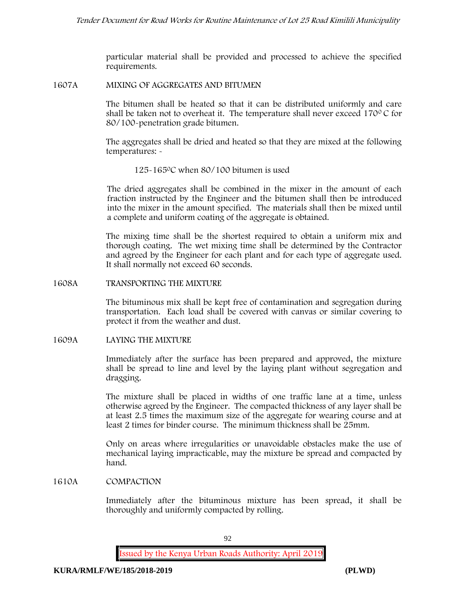particular material shall be provided and processed to achieve the specified requirements.

#### **1607A MIXING OF AGGREGATES AND BITUMEN**

The bitumen shall be heated so that it can be distributed uniformly and care shall be taken not to overheat it. The temperature shall never exceed  $170^{\circ}$ C for 80/100-penetration grade bitumen.

The aggregates shall be dried and heated so that they are mixed at the following temperatures: -

#### 125-1650C when 80/100 bitumen is used

The dried aggregates shall be combined in the mixer in the amount of each fraction instructed by the Engineer and the bitumen shall then be introduced into the mixer in the amount specified. The materials shall then be mixed until a complete and uniform coating of the aggregate is obtained.

The mixing time shall be the shortest required to obtain a uniform mix and thorough coating. The wet mixing time shall be determined by the Contractor and agreed by the Engineer for each plant and for each type of aggregate used. It shall normally not exceed 60 seconds.

**1608A TRANSPORTING THE MIXTURE**

The bituminous mix shall be kept free of contamination and segregation during transportation. Each load shall be covered with canvas or similar covering to protect it from the weather and dust.

#### **1609A LAYING THE MIXTURE**

Immediately after the surface has been prepared and approved, the mixture shall be spread to line and level by the laying plant without segregation and dragging.

The mixture shall be placed in widths of one traffic lane at a time, unless otherwise agreed by the Engineer. The compacted thickness of any layer shall be at least 2.5 times the maximum size of the aggregate for wearing course and at least 2 times for binder course. The minimum thickness shall be 25mm.

Only on areas where irregularities or unavoidable obstacles make the use of mechanical laying impracticable, may the mixture be spread and compacted by hand.

#### **1610A COMPACTION**

Immediately after the bituminous mixture has been spread, it shall be thoroughly and uniformly compacted by rolling.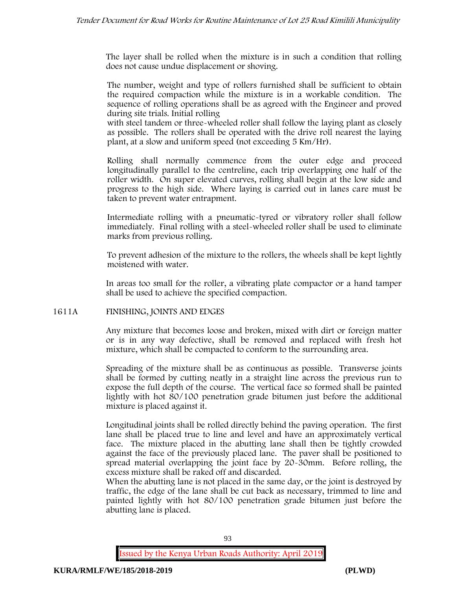The layer shall be rolled when the mixture is in such a condition that rolling does not cause undue displacement or shoving.

The number, weight and type of rollers furnished shall be sufficient to obtain the required compaction while the mixture is in a workable condition. The sequence of rolling operations shall be as agreed with the Engineer and proved during site trials. Initial rolling

with steel tandem or three-wheeled roller shall follow the laying plant as closely as possible. The rollers shall be operated with the drive roll nearest the laying plant, at a slow and uniform speed (not exceeding 5 Km/Hr).

Rolling shall normally commence from the outer edge and proceed longitudinally parallel to the centreline, each trip overlapping one half of the roller width. On super elevated curves, rolling shall begin at the low side and progress to the high side. Where laying is carried out in lanes care must be taken to prevent water entrapment.

Intermediate rolling with a pneumatic-tyred or vibratory roller shall follow immediately. Final rolling with a steel-wheeled roller shall be used to eliminate marks from previous rolling.

To prevent adhesion of the mixture to the rollers, the wheels shall be kept lightly moistened with water.

In areas too small for the roller, a vibrating plate compactor or a hand tamper shall be used to achieve the specified compaction.

### **1611A FINISHING, JOINTS AND EDGES**

Any mixture that becomes loose and broken, mixed with dirt or foreign matter or is in any way defective, shall be removed and replaced with fresh hot mixture, which shall be compacted to conform to the surrounding area.

Spreading of the mixture shall be as continuous as possible. Transverse joints shall be formed by cutting neatly in a straight line across the previous run to expose the full depth of the course. The vertical face so formed shall be painted lightly with hot 80/100 penetration grade bitumen just before the additional mixture is placed against it.

Longitudinal joints shall be rolled directly behind the paving operation. The first lane shall be placed true to line and level and have an approximately vertical face. The mixture placed in the abutting lane shall then be tightly crowded against the face of the previously placed lane. The paver shall be positioned to spread material overlapping the joint face by 20-30mm. Before rolling, the excess mixture shall be raked off and discarded.

When the abutting lane is not placed in the same day, or the joint is destroyed by traffic, the edge of the lane shall be cut back as necessary, trimmed to line and painted lightly with hot 80/100 penetration grade bitumen just before the abutting lane is placed.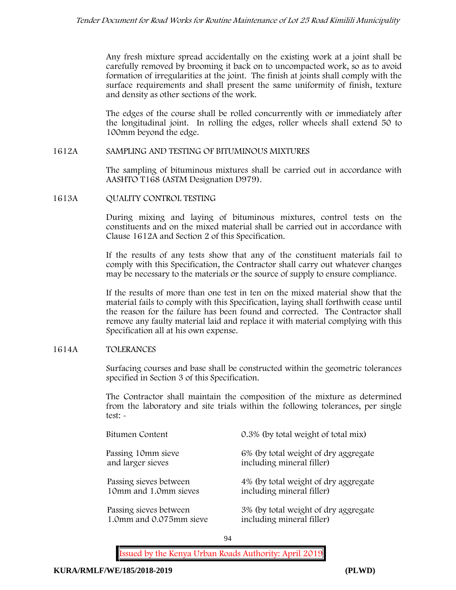Any fresh mixture spread accidentally on the existing work at a joint shall be carefully removed by brooming it back on to uncompacted work, so as to avoid formation of irregularities at the joint. The finish at joints shall comply with the surface requirements and shall present the same uniformity of finish, texture and density as other sections of the work.

The edges of the course shall be rolled concurrently with or immediately after the longitudinal joint. In rolling the edges, roller wheels shall extend 50 to 100mm beyond the edge.

#### **1612A SAMPLING AND TESTING OF BITUMINOUS MIXTURES**

The sampling of bituminous mixtures shall be carried out in accordance with AASHTO T168 (ASTM Designation D979).

**1613A QUALITY CONTROL TESTING**

During mixing and laying of bituminous mixtures, control tests on the constituents and on the mixed material shall be carried out in accordance with Clause 1612A and Section 2 of this Specification.

If the results of any tests show that any of the constituent materials fail to comply with this Specification, the Contractor shall carry out whatever changes may be necessary to the materials or the source of supply to ensure compliance.

If the results of more than one test in ten on the mixed material show that the material fails to comply with this Specification, laying shall forthwith cease until the reason for the failure has been found and corrected. The Contractor shall remove any faulty material laid and replace it with material complying with this Specification all at his own expense.

### **1614A TOLERANCES**

Surfacing courses and base shall be constructed within the geometric tolerances specified in Section 3 of this Specification.

The Contractor shall maintain the composition of the mixture as determined from the laboratory and site trials within the following tolerances, per single test: -

| Bitumen Content         | 0.3% (by total weight of total mix)  |
|-------------------------|--------------------------------------|
| Passing 10mm sieve      | 6% (by total weight of dry aggregate |
| and larger sieves       | including mineral filler)            |
| Passing sieves between  | 4% (by total weight of dry aggregate |
| 10mm and 1.0mm sieves   | including mineral filler)            |
| Passing sieves between  | 3% (by total weight of dry aggregate |
| 1.0mm and 0.075mm sieve | including mineral filler)            |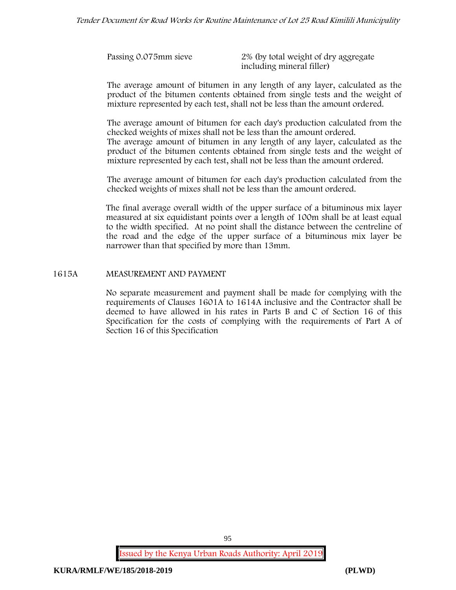| Passing 0.075mm sieve | 2% (by total weight of dry aggregate<br>including mineral filler) |
|-----------------------|-------------------------------------------------------------------|
|                       |                                                                   |

The average amount of bitumen in any length of any layer, calculated as the product of the bitumen contents obtained from single tests and the weight of mixture represented by each test, shall not be less than the amount ordered.

The average amount of bitumen for each day's production calculated from the checked weights of mixes shall not be less than the amount ordered.

The average amount of bitumen in any length of any layer, calculated as the product of the bitumen contents obtained from single tests and the weight of mixture represented by each test, shall not be less than the amount ordered.

The average amount of bitumen for each day's production calculated from the checked weights of mixes shall not be less than the amount ordered.

The final average overall width of the upper surface of a bituminous mix layer measured at six equidistant points over a length of 100m shall be at least equal to the width specified. At no point shall the distance between the centreline of the road and the edge of the upper surface of a bituminous mix layer be narrower than that specified by more than 13mm.

#### **1615A MEASUREMENT AND PAYMENT**

No separate measurement and payment shall be made for complying with the requirements of Clauses 1601A to 1614A inclusive and the Contractor shall be deemed to have allowed in his rates in Parts B and C of Section 16 of this Specification for the costs of complying with the requirements of Part A of Section 16 of this Specification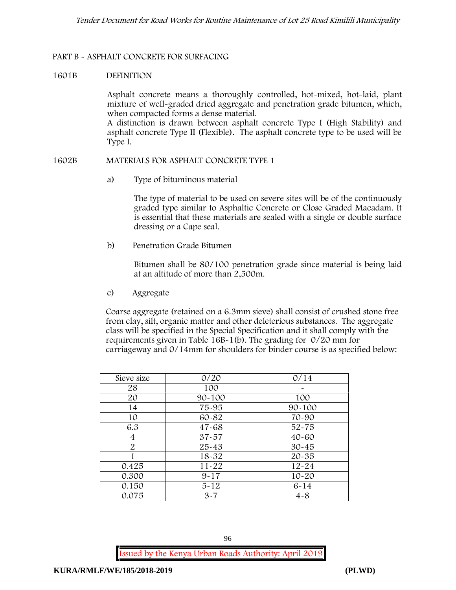### **PART B - ASPHALT CONCRETE FOR SURFACING**

### **1601B DEFINITION**

Asphalt concrete means a thoroughly controlled, hot-mixed, hot-laid, plant mixture of well-graded dried aggregate and penetration grade bitumen, which, when compacted forms a dense material.

A distinction is drawn between asphalt concrete Type I (High Stability) and asphalt concrete Type II (Flexible). The asphalt concrete type to be used will be Type I.

#### **1602B MATERIALS FOR ASPHALT CONCRETE TYPE 1**

a) **Type of bituminous material**

The type of material to be used on severe sites will be of the continuously graded type similar to Asphaltic Concrete or Close Graded Macadam. It is essential that these materials are sealed with a single or double surface dressing or a Cape seal.

b) **Penetration Grade Bitumen**

Bitumen shall be 80/100 penetration grade since material is being laid at an altitude of more than 2,500m.

c) **Aggregate**

Coarse aggregate (retained on a 6.3mm sieve) shall consist of crushed stone free from clay, silt, organic matter and other deleterious substances. The aggregate class will be specified in the Special Specification and it shall comply with the requirements given in Table 16B-1(b). The grading for 0/20 mm for carriageway and 0/14mm for shoulders for binder course is as specified below:

| Sieve size | 0/20       | 0/14       |
|------------|------------|------------|
| 28         | 100        |            |
| 20         | $90 - 100$ | 100        |
| 14         | 75-95      | $90 - 100$ |
| 10         | 60-82      | 70-90      |
| 6.3        | $47 - 68$  | $52 - 75$  |
| 4          | $37 - 57$  | $40 - 60$  |
| 2          | $25 - 43$  | $30 - 45$  |
|            | 18-32      | $20 - 35$  |
| 0.425      | $11 - 22$  | $12 - 24$  |
| 0.300      | $9 - 17$   | $10 - 20$  |
| 0.150      | $5 - 12$   | $6 - 14$   |
| 0.075      | $3 - 7$    | $4 - 8$    |

96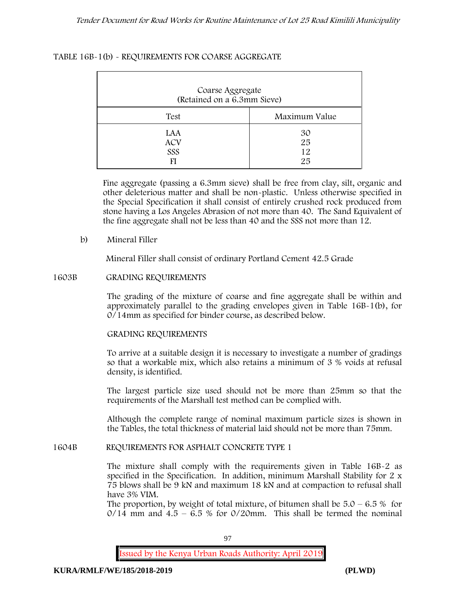### **TABLE 16B-1(b) - REQUIREMENTS FOR COARSE AGGREGATE**

| Coarse Aggregate<br>(Retained on a 6.3mm Sieve) |                      |
|-------------------------------------------------|----------------------|
| Test                                            | Maximum Value        |
| LAA<br><b>ACV</b><br>SSS<br>FI                  | 30<br>25<br>12<br>25 |

Fine aggregate (passing a 6.3mm sieve) shall be free from clay, silt, organic and other deleterious matter and shall be non-plastic. Unless otherwise specified in the Special Specification it shall consist of entirely crushed rock produced from stone having a Los Angeles Abrasion of not more than 40. The Sand Equivalent of the fine aggregate shall not be less than 40 and the SSS not more than 12.

#### **b) Mineral Filler**

Mineral Filler shall consist of ordinary Portland Cement 42.5 Grade

#### **1603B GRADING REQUIREMENTS**

The grading of the mixture of coarse and fine aggregate shall be within and approximately parallel to the grading envelopes given in Table 16B-1(b), for 0/14mm as specified for binder course, as described below.

### **GRADING REQUIREMENTS**

To arrive at a suitable design it is necessary to investigate a number of gradings so that a workable mix, which also retains a minimum of 3 % voids at refusal density, is identified.

The largest particle size used should not be more than 25mm so that the requirements of the Marshall test method can be complied with.

Although the complete range of nominal maximum particle sizes is shown in the Tables, the total thickness of material laid should not be more than 75mm.

#### **1604B REQUIREMENTS FOR ASPHALT CONCRETE TYPE 1**

The mixture shall comply with the requirements given in Table 16B-2 as specified in the Specification. In addition, minimum Marshall Stability for 2 x 75 blows shall be 9 kN and maximum 18 kN and at compaction to refusal shall have 3% VIM.

The proportion, by weight of total mixture, of bitumen shall be  $5.0 - 6.5$  % for  $0/14$  mm and  $4.5 - 6.5$  % for  $0/20$ mm. This shall be termed the nominal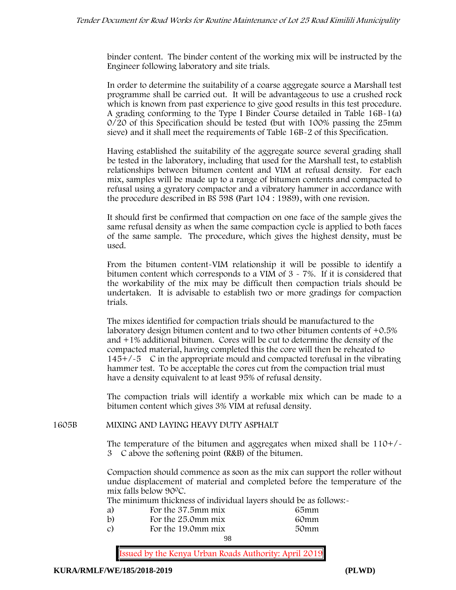binder content. The binder content of the working mix will be instructed by the Engineer following laboratory and site trials.

In order to determine the suitability of a coarse aggregate source a Marshall test programme shall be carried out. It will be advantageous to use a crushed rock which is known from past experience to give good results in this test procedure. A grading conforming to the Type I Binder Course detailed in Table 16B-1(a) 0/20 of this Specification should be tested (but with 100% passing the 25mm sieve) and it shall meet the requirements of Table 16B-2 of this Specification.

Having established the suitability of the aggregate source several grading shall be tested in the laboratory, including that used for the Marshall test, to establish relationships between bitumen content and VIM at refusal density. For each mix, samples will be made up to a range of bitumen contents and compacted to refusal using a gyratory compactor and a vibratory hammer in accordance with the procedure described in BS 598 (Part 104 : 1989), with one revision.

It should first be confirmed that compaction on one face of the sample gives the same refusal density as when the same compaction cycle is applied to both faces of the same sample. The procedure, which gives the highest density, must be used.

From the bitumen content-VIM relationship it will be possible to identify a bitumen content which corresponds to a VIM of  $3 \times 7\%$ . If it is considered that the workability of the mix may be difficult then compaction trials should be undertaken. It is advisable to establish two or more gradings for compaction trials.

The mixes identified for compaction trials should be manufactured to the laboratory design bitumen content and to two other bitumen contents of +0.5% and +1% additional bitumen. Cores will be cut to determine the density of the compacted material, having completed this the core will then be reheated to  $145+/5$  C in the appropriate mould and compacted torefusal in the vibrating hammer test. To be acceptable the cores cut from the compaction trial must have a density equivalent to at least 95% of refusal density.

The compaction trials will identify a workable mix which can be made to a bitumen content which gives 3% VIM at refusal density.

#### **1605B MIXING AND LAYING HEAVY DUTY ASPHALT**

The temperature of the bitumen and aggregates when mixed shall be  $110+/$ 3C above the softening point (R&B) of the bitumen.

Compaction should commence as soon as the mix can support the roller without undue displacement of material and completed before the temperature of the mix falls below 900C.

The minimum thickness of individual layers should be as follows:-

| a) | For the 37.5mm mix | 65mm |  |
|----|--------------------|------|--|
| b) | For the 25.0mm mix | 60mm |  |
| C) | For the 19.0mm mix | 50mm |  |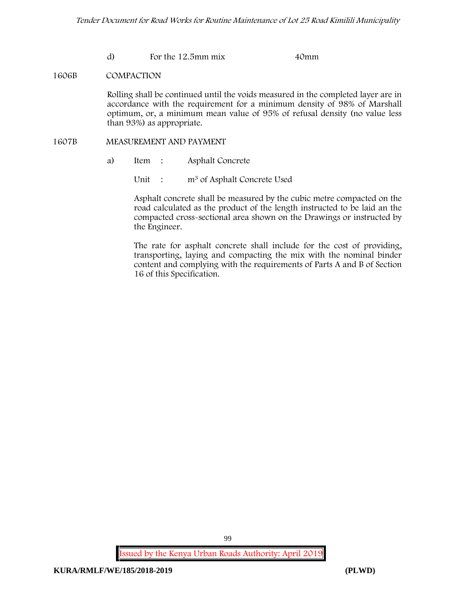d) For the 12.5mm mix 40mm

#### **1606B COMPACTION**

Rolling shall be continued until the voids measured in the completed layer are in accordance with the requirement for a minimum density of 98% of Marshall optimum, or, a minimum mean value of 95% of refusal density (no value less than 93%) as appropriate.

#### **1607B MEASUREMENT AND PAYMENT**

- a) Item : Asphalt Concrete
	- Unit : m<sup>3</sup> of Asphalt Concrete Used

Asphalt concrete shall be measured by the cubic metre compacted on the road calculated as the product of the length instructed to be laid an the compacted cross-sectional area shown on the Drawings or instructed by the Engineer.

The rate for asphalt concrete shall include for the cost of providing, transporting, laying and compacting the mix with the nominal binder content and complying with the requirements of Parts A and B of Section 16 of this Specification.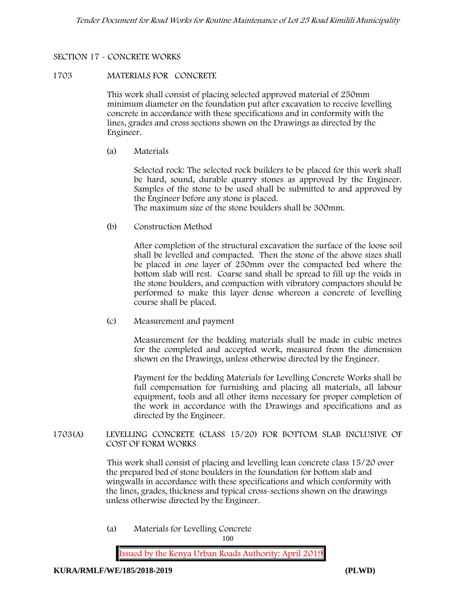## **SECTION 17 - CONCRETE WORKS**

### **1703 MATERIALS FOR CONCRETE**

This work shall consist of placing selected approved material of 250mm minimum diameter on the foundation put after excavation to receive levelling concrete in accordance with these specifications and in conformity with the lines, grades and cross sections shown on the Drawings as directed by the Engineer.

(a) **Materials**

Selected rock: The selected rock builders to be placed for this work shall be hard, sound, durable quarry stones as approved by the Engineer. Samples of the stone to be used shall be submitted to and approved by the Engineer before any stone is placed.

The maximum size of the stone boulders shall be 300mm.

(b) **Construction Method**

After completion of the structural excavation the surface of the loose soil shall be levelled and compacted. Then the stone of the above sizes shall be placed in one layer of 250mm over the compacted bed where the bottom slab will rest. Coarse sand shall be spread to fill up the voids in the stone boulders, and compaction with vibratory compactors should be performed to make this layer dense whereon a concrete of levelling course shall be placed.

(c) **Measurement and payment**

Measurement for the bedding materials shall be made in cubic metres for the completed and accepted work, measured from the dimension shown on the Drawings, unless otherwise directed by the Engineer.

Payment for the bedding Materials for Levelling Concrete Works shall be full compensation for furnishing and placing all materials, all labour equipment, tools and all other items necessary for proper completion of the work in accordance with the Drawings and specifications and as directed by the Engineer.

**1703(A) LEVELLING CONCRETE (CLASS 15/20) FOR BOTTOM SLAB INCLUSIVE OF COST OF FORM WORKS**

> This work shall consist of placing and levelling lean concrete class 15/20 over the prepared bed of stone boulders in the foundation for bottom slab and wingwalls in accordance with these specifications and which conformity with the lines, grades, thickness and typical cross-sections shown on the drawings unless otherwise directed by the Engineer.

(a) **Materials for Levelling Concrete**

100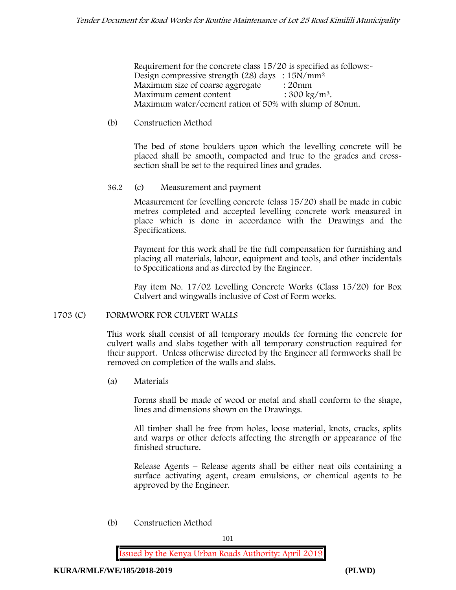Requirement for the concrete class  $15/20$  is specified as follows:-Design compressive strength (28) days :  $15N/mm^2$ Maximum size of coarse aggregate : 20mm Maximum cement content  $: 300 \text{ kg/m}^3$ . Maximum water/cement ration of 50% with slump of 80mm.

### (b) **Construction Method**

The bed of stone boulders upon which the levelling concrete will be placed shall be smooth, compacted and true to the grades and crosssection shall be set to the required lines and grades.

### **36.2** (c) **Measurement and payment**

Measurement for levelling concrete (class 15/20) shall be made in cubic metres completed and accepted levelling concrete work measured in place which is done in accordance with the Drawings and the Specifications.

Payment for this work shall be the full compensation for furnishing and placing all materials, labour, equipment and tools, and other incidentals to Specifications and as directed by the Engineer.

Pay item No. 17/02 Levelling Concrete Works (Class 15/20) for Box Culvert and wingwalls inclusive of Cost of Form works.

### **1703 (C) FORMWORK FOR CULVERT WALLS**

This work shall consist of all temporary moulds for forming the concrete for culvert walls and slabs together with all temporary construction required for their support. Unless otherwise directed by the Engineer all formworks shall be removed on completion of the walls and slabs.

(a) **Materials**

Forms shall be made of wood or metal and shall conform to the shape, lines and dimensions shown on the Drawings.

All timber shall be free from holes, loose material, knots, cracks, splits and warps or other defects affecting the strength or appearance of the finished structure.

Release Agents – Release agents shall be either neat oils containing a surface activating agent, cream emulsions, or chemical agents to be approved by the Engineer.

(b) **Construction Method**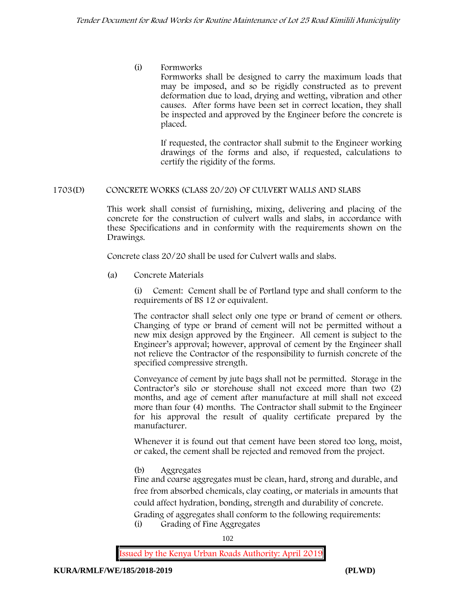(i) **Formworks**

Formworks shall be designed to carry the maximum loads that may be imposed, and so be rigidly constructed as to prevent deformation due to load, drying and wetting, vibration and other causes. After forms have been set in correct location, they shall be inspected and approved by the Engineer before the concrete is placed.

If requested, the contractor shall submit to the Engineer working drawings of the forms and also, if requested, calculations to certify the rigidity of the forms.

### **1703(D) CONCRETE WORKS (CLASS 20/20) OF CULVERT WALLS AND SLABS**

This work shall consist of furnishing, mixing, delivering and placing of the concrete for the construction of culvert walls and slabs, in accordance with these Specifications and in conformity with the requirements shown on the Drawings.

Concrete class 20/20 shall be used for Culvert walls and slabs.

**(a) Concrete Materials**

(i) Cement: Cement shall be of Portland type and shall conform to the requirements of BS 12 or equivalent.

The contractor shall select only one type or brand of cement or others. Changing of type or brand of cement will not be permitted without a new mix design approved by the Engineer. All cement is subject to the Engineer's approval; however, approval of cement by the Engineer shall not relieve the Contractor of the responsibility to furnish concrete of the specified compressive strength.

Conveyance of cement by jute bags shall not be permitted. Storage in the Contractor's silo or storehouse shall not exceed more than two (2) months, and age of cement after manufacture at mill shall not exceed more than four (4) months. The Contractor shall submit to the Engineer for his approval the result of quality certificate prepared by the manufacturer.

Whenever it is found out that cement have been stored too long, moist, or caked, the cement shall be rejected and removed from the project.

**(b) Aggregates**

Fine and coarse aggregates must be clean, hard, strong and durable, and free from absorbed chemicals, clay coating, or materials in amounts that could affect hydration, bonding, strength and durability of concrete. Grading of aggregates shall conform to the following requirements: **(i) Grading of Fine Aggregates**

102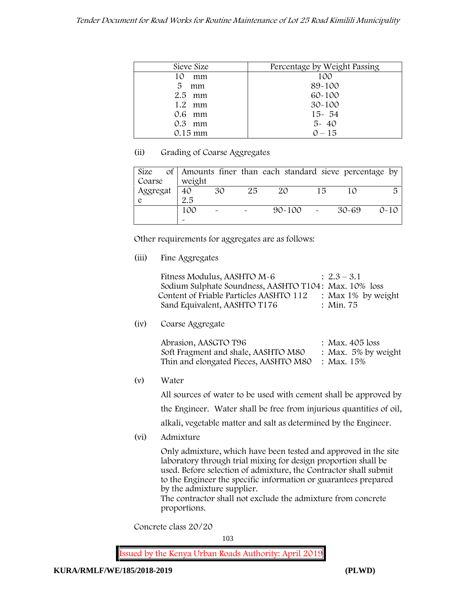| Sieve Size | Percentage by Weight Passing |
|------------|------------------------------|
| 10<br>mm   | 100                          |
| 5<br>mm    | 89-100                       |
| $2.5$ mm   | $60 - 100$                   |
| 1.2<br>mm  | $30 - 100$                   |
| 0.6 mm     | $15 - 54$                    |
| $0.3$ mm   | $5 - 40$                     |
| 0.15 mm    | $0 - 15$                     |

### **(ii) Grading of Coarse Aggregates**

| Size       |  |                       |                       |    | of Amounts finer than each standard sieve percentage by |    |       |          |
|------------|--|-----------------------|-----------------------|----|---------------------------------------------------------|----|-------|----------|
| Coarse     |  | weight                |                       |    |                                                         |    |       |          |
| Aggregat   |  | 40                    | 30                    | 25 | 20                                                      | 15 |       | 局        |
| $\epsilon$ |  | 2.5                   |                       |    |                                                         |    |       |          |
|            |  | 100                   | $\tilde{\phantom{a}}$ |    | $90 - 100$ -                                            |    | 30-69 | $0 - 10$ |
|            |  | $\tilde{\phantom{a}}$ |                       |    |                                                         |    |       |          |

Other requirements for aggregates are as follows:

# **(iii) Fine Aggregates**

| Fitness Modulus, AASHTO M-6                           | $: 2.3 - 3.1$         |
|-------------------------------------------------------|-----------------------|
| Sodium Sulphate Soundness, AASHTO T104: Max. 10% loss |                       |
| Content of Friable Particles AASHTO 112               | : Max $1\%$ by weight |
| Sand Equivalent, AASHTO T176                          | : Min. 75             |

**(iv) Coarse Aggregate**

| Abrasion, AASGTO T96                             | : Max. $405$ loss      |
|--------------------------------------------------|------------------------|
| Soft Fragment and shale, AASHTO M80              | : Max. $5\%$ by weight |
| Thin and elongated Pieces, AASHTO M80 : Max. 15% |                        |

**(v) Water**

All sources of water to be used with cement shall be approved by the Engineer. Water shall be free from injurious quantities of oil, alkali, vegetable matter and salt as determined by the Engineer.

**(vi) Admixture**

Only admixture, which have been tested and approved in the site laboratory through trial mixing for design proportion shall be used. Before selection of admixture, the Contractor shall submit to the Engineer the specific information or guarantees prepared by the admixture supplier.

The contractor shall not exclude the admixture from concrete proportions.

**Concrete class 20/20**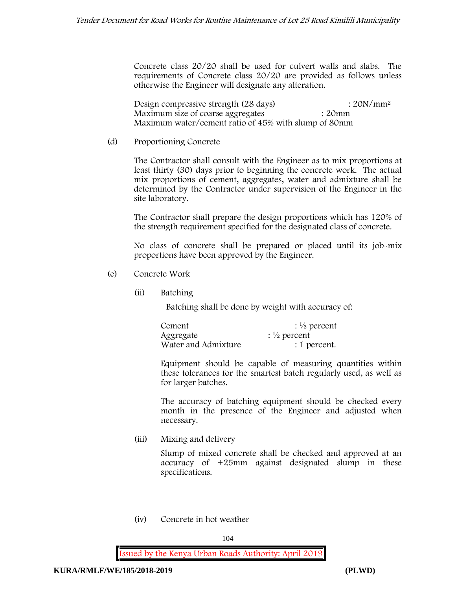Concrete class 20/20 shall be used for culvert walls and slabs. The requirements of Concrete class 20/20 are provided as follows unless otherwise the Engineer will designate any alteration.

Design compressive strength  $(28 \text{ days})$  :  $20N/mm^2$ Maximum size of coarse aggregates : 20mm Maximum water/cement ratio of 45% with slump of 80mm

#### (d) **Proportioning Concrete**

The Contractor shall consult with the Engineer as to mix proportions at least thirty (30) days prior to beginning the concrete work. The actual mix proportions of cement, aggregates, water and admixture shall be determined by the Contractor under supervision of the Engineer in the site laboratory.

The Contractor shall prepare the design proportions which has 120% of the strength requirement specified for the designated class of concrete.

No class of concrete shall be prepared or placed until its job-mix proportions have been approved by the Engineer.

- (e) **Concrete Work**
	- **(ii) Batching**

Batching shall be done by weight with accuracy of:

| Cement              | $\frac{1}{2}$ percent |
|---------------------|-----------------------|
| Aggregate           | $\frac{1}{2}$ percent |
| Water and Admixture | : 1 percent.          |

Equipment should be capable of measuring quantities within these tolerances for the smartest batch regularly used, as well as for larger batches.

The accuracy of batching equipment should be checked every month in the presence of the Engineer and adjusted when necessary.

**(iii) Mixing and delivery**

Slump of mixed concrete shall be checked and approved at an accuracy of +25mm against designated slump in these specifications.

**(iv) Concrete in hot weather**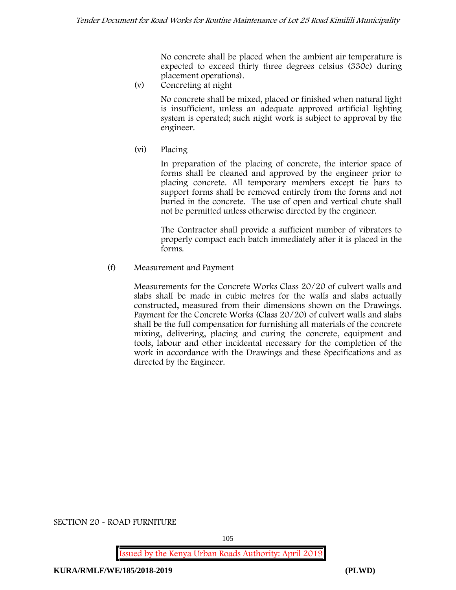No concrete shall be placed when the ambient air temperature is expected to exceed thirty three degrees celsius (330c) during placement operations).

**(v) Concreting at night**

No concrete shall be mixed, placed or finished when natural light is insufficient, unless an adequate approved artificial lighting system is operated; such night work is subject to approval by the engineer.

**(vi) Placing**

In preparation of the placing of concrete, the interior space of forms shall be cleaned and approved by the engineer prior to placing concrete. All temporary members except tie bars to support forms shall be removed entirely from the forms and not buried in the concrete. The use of open and vertical chute shall not be permitted unless otherwise directed by the engineer.

The Contractor shall provide a sufficient number of vibrators to properly compact each batch immediately after it is placed in the forms.

### (f) **Measurement and Payment**

Measurements for the Concrete Works Class 20/20 of culvert walls and slabs shall be made in cubic metres for the walls and slabs actually constructed, measured from their dimensions shown on the Drawings. Payment for the Concrete Works (Class 20/20) of culvert walls and slabs shall be the full compensation for furnishing all materials of the concrete mixing, delivering, placing and curing the concrete, equipment and tools, labour and other incidental necessary for the completion of the work in accordance with the Drawings and these Specifications and as directed by the Engineer.

**SECTION 20 - ROAD FURNITURE**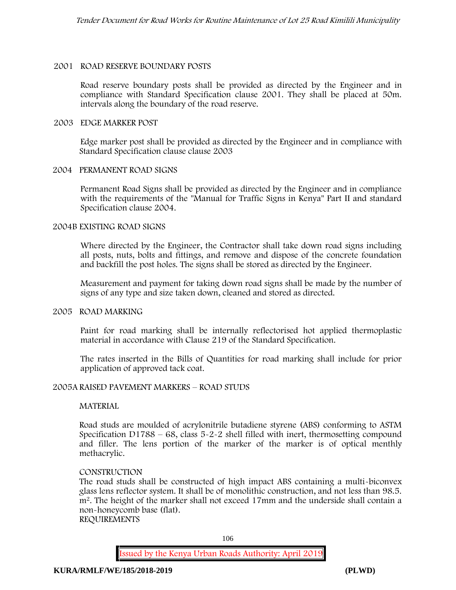#### **2001 ROAD RESERVE BOUNDARY POSTS**

Road reserve boundary posts shall be provided as directed by the Engineer and in compliance with Standard Specification clause 2001. They shall be placed at 50m. intervals along the boundary of the road reserve.

#### **2003 EDGE MARKER POST**

Edge marker post shall be provided as directed by the Engineer and in compliance with Standard Specification clause clause 2003

#### **2004 PERMANENT ROAD SIGNS**

Permanent Road Signs shall be provided as directed by the Engineer and in compliance with the requirements of the "Manual for Traffic Signs in Kenya" Part II and standard Specification clause 2004.

#### **2004B EXISTING ROAD SIGNS**

Where directed by the Engineer, the Contractor shall take down road signs including all posts, nuts, bolts and fittings, and remove and dispose of the concrete foundation and backfill the post holes. The signs shall be stored as directed by the Engineer.

Measurement and payment for taking down road signs shall be made by the number of signs of any type and size taken down, cleaned and stored as directed.

#### **2005 ROAD MARKING**

Paint for road marking shall be internally reflectorised hot applied thermoplastic material in accordance with Clause 219 of the Standard Specification.

The rates inserted in the Bills of Quantities for road marking shall include for prior application of approved tack coat.

### **2005A RAISED PAVEMENT MARKERS – ROAD STUDS**

#### **MATERIAL**

Road studs are moulded of acrylonitrile butadiene styrene (ABS) conforming to ASTM Specification D1788 –  $68$ , class  $5-2-2$  shell filled with inert, thermosetting compound and filler. The lens portion of the marker of the marker is of optical menthly methacrylic.

#### **CONSTRUCTION**

The road studs shall be constructed of high impact ABS containing a multi-biconvex glass lens reflector system. It shall be of monolithic construction, and not less than 98.5. m2. The height of the marker shall not exceed 17mm and the underside shall contain a non-honeycomb base (flat). **REQUIREMENTS**

106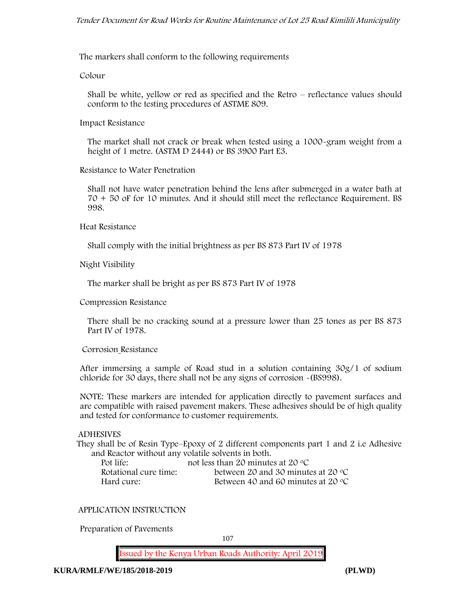The markers shall conform to the following requirements

**Colour**

Shall be white, yellow or red as specified and the Retro – reflectance values should conform to the testing procedures of ASTME 809.

**Impact Resistance**

The market shall not crack or break when tested using a 1000**-**gram weight from a height of 1 metre. (ASTM D 2444) or BS 3900 Part E3.

**Resistance to Water Penetration**

Shall not have water penetration behind the lens after submerged in a water bath at 70 + 50 oF for 10 minutes. And it should still meet the reflectance Requirement. BS 998.

**Heat Resistance**

Shall comply with the initial brightness as per BS 873 Part IV of 1978

**Night Visibility**

The marker shall be bright as per BS 873 Part IV of 1978

**Compression Resistance**

There shall be no cracking sound at a pressure lower than 25 tones as per BS 873 Part IV of 1978.

**Corrosion Resistance**

After immersing a sample of Road stud in a solution containing 30g/1 of sodium chloride for 30 days, there shall not be any signs of corrosion **-**(BS998).

**NOTE**: These markers are intended for application directly to pavement surfaces and are compatible with raised pavement makers. These adhesives should be of high quality and tested for conformance to customer requirements.

### **ADHESIVES**

They shall be of Resin Type–Epoxy of 2 different components part 1 and 2 i.e Adhesive and Reactor without any volatile solvents in both.

| Pot life:             | not less than 20 minutes at 20 $\degree$ C  |
|-----------------------|---------------------------------------------|
| Rotational cure time: | between 20 and 30 minutes at 20 $\degree$ C |
| Hard cure:            | Between 40 and 60 minutes at 20 $\degree$ C |

**APPLICATION INSTRUCTION**

**Preparation of Pavements**

107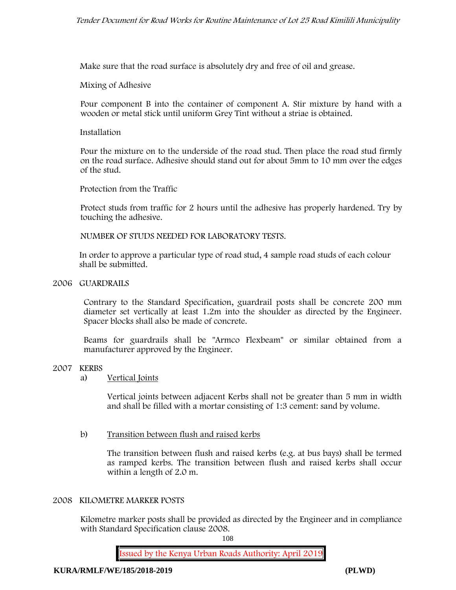Make sure that the road surface is absolutely dry and free of oil and grease**.**

**Mixing of Adhesive**

Pour component B into the container of component A. Stir mixture by hand with a wooden or metal stick until uniform Grey Tint without a striae is obtained.

**Installation**

Pour the mixture on to the underside of the road stud. Then place the road stud firmly on the road surface. Adhesive should stand out for about 5mm to 10 mm over the edges of the stud.

**Protection from the Traffic**

Protect studs from traffic for 2 hours until the adhesive has properly hardened. Try by touching the adhesive.

**NUMBER OF STUDS NEEDED FOR LABORATORY TESTS.**

In order to approve a particular type of road stud, 4 sample road studs of each colour shall be submitted.

**2006 GUARDRAILS**

Contrary to the Standard Specification, guardrail posts shall be concrete 200 mm diameter set vertically at least 1.2m into the shoulder as directed by the Engineer. Spacer blocks shall also be made of concrete.

Beams for guardrails shall be "Armco Flexbeam" or similar obtained from a manufacturer approved by the Engineer.

#### **2007 KERBS**

a) **Vertical Joints**

Vertical joints between adjacent Kerbs shall not be greater than 5 mm in width and shall be filled with a mortar consisting of 1:3 cement: sand by volume.

b) **Transition between flush and raised kerbs**

The transition between flush and raised kerbs (e.g. at bus bays) shall be termed as ramped kerbs. The transition between flush and raised kerbs shall occur within a length of 2.0 m.

#### **2008 KILOMETRE MARKER POSTS**

Kilometre marker posts shall be provided as directed by the Engineer and in compliance with Standard Specification clause 2008.

108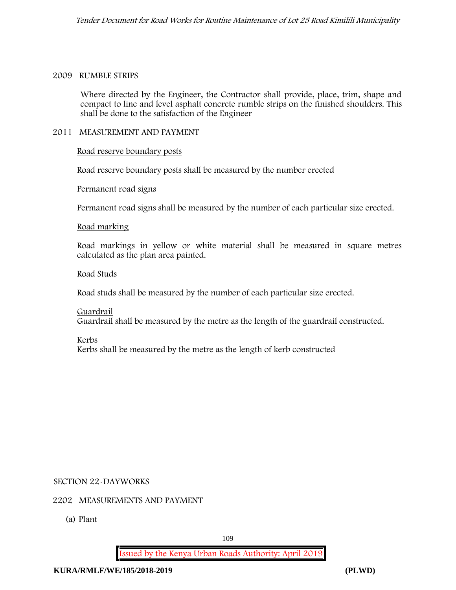#### **2009 RUMBLE STRIPS**

Where directed by the Engineer, the Contractor shall provide, place, trim, shape and compact to line and level asphalt concrete rumble strips on the finished shoulders. This shall be done to the satisfaction of the Engineer

#### **2011 MEASUREMENT AND PAYMENT**

#### **Road reserve boundary posts**

Road reserve boundary posts shall be measured by the number erected

#### **Permanent road signs**

Permanent road signs shall be measured by the number of each particular size erected.

#### **Road marking**

Road markings in yellow or white material shall be measured in square metres calculated as the plan area painted.

#### **Road Studs**

Road studs shall be measured by the number of each particular size erected.

**Guardrail** Guardrail shall be measured by the metre as the length of the guardrail constructed.

**Kerbs**

Kerbs shall be measured by the metre as the length of kerb constructed

#### **SECTION 22-DAYWORKS**

#### **2202 MEASUREMENTS AND PAYMENT**

(a) Plant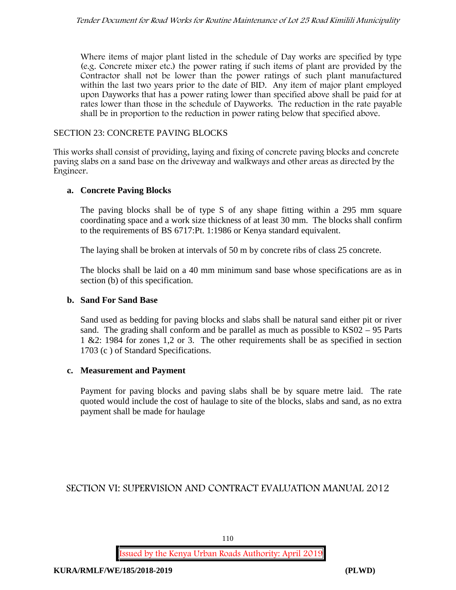Where items of major plant listed in the schedule of Day works are specified by type (e.g. Concrete mixer etc.) the power rating if such items of plant are provided by the Contractor shall not be lower than the power ratings of such plant manufactured within the last two years prior to the date of BID. Any item of major plant employed upon Dayworks that has a power rating lower than specified above shall be paid for at rates lower than those in the schedule of Dayworks. The reduction in the rate payable shall be in proportion to the reduction in power rating below that specified above.

## SECTION 23: CONCRETE PAVING BLOCKS

This works shall consist of providing, laying and fixing of concrete paving blocks and concrete paving slabs on a sand base on the driveway and walkways and other areas as directed by the Engineer.

## **a. Concrete Paving Blocks**

The paving blocks shall be of type S of any shape fitting within a 295 mm square coordinating space and a work size thickness of at least 30 mm. The blocks shall confirm to the requirements of BS 6717:Pt. 1:1986 or Kenya standard equivalent.

The laying shall be broken at intervals of 50 m by concrete ribs of class 25 concrete.

The blocks shall be laid on a 40 mm minimum sand base whose specifications are as in section (b) of this specification.

#### **b. Sand For Sand Base**

Sand used as bedding for paving blocks and slabs shall be natural sand either pit or river sand. The grading shall conform and be parallel as much as possible to KS02 – 95 Parts 1 &2: 1984 for zones 1,2 or 3. The other requirements shall be as specified in section 1703 (c ) of Standard Specifications.

#### **c. Measurement and Payment**

Payment for paving blocks and paving slabs shall be by square metre laid. The rate quoted would include the cost of haulage to site of the blocks, slabs and sand, as no extra payment shall be made for haulage

## **SECTION VI: SUPERVISION AND CONTRACT EVALUATION MANUAL 2012**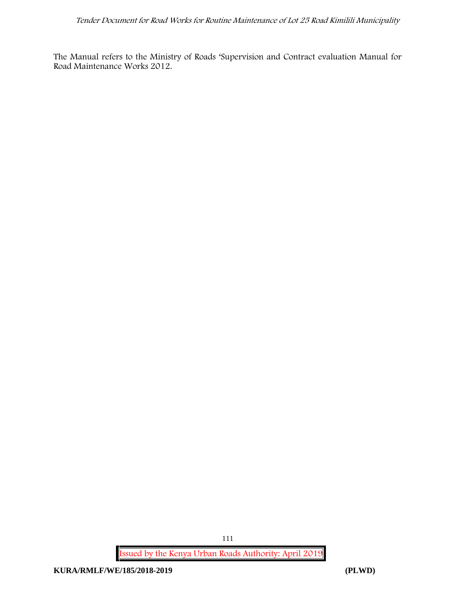The Manual refers to the Ministry of Roads 'Supervision and Contract evaluation Manual for Road Maintenance Works 2012.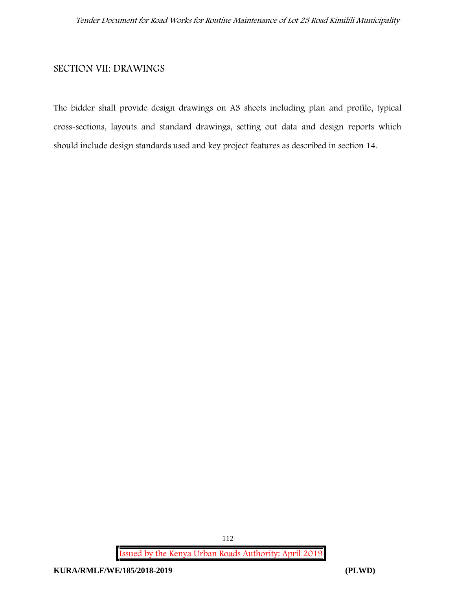## **SECTION VII: DRAWINGS**

The bidder shall provide design drawings on A3 sheets including plan and profile, typical cross-sections, layouts and standard drawings, setting out data and design reports which should include design standards used and key project features as described in section 14.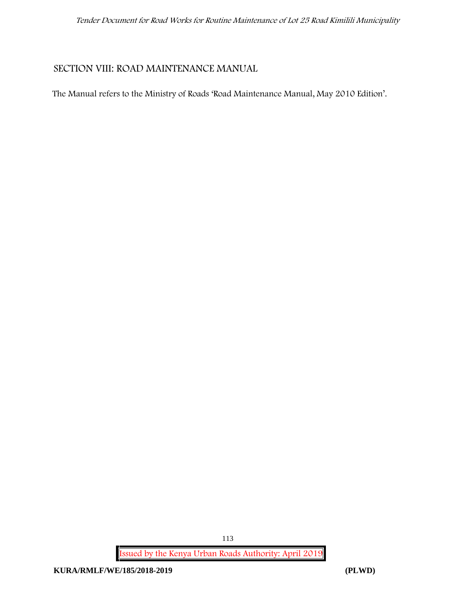## **SECTION VIII: ROAD MAINTENANCE MANUAL**

The Manual refers to the Ministry of Roads 'Road Maintenance Manual, May 2010 Edition'.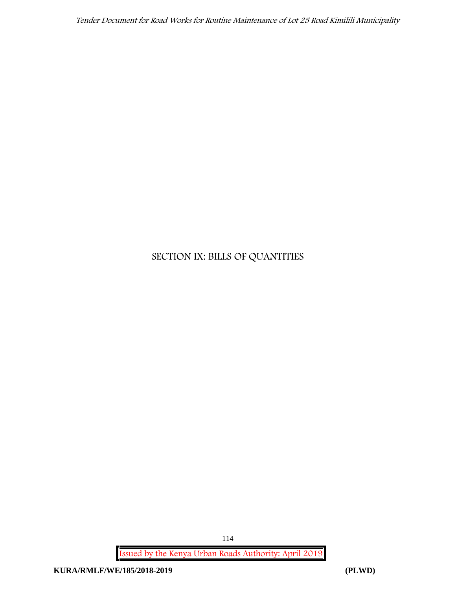## **SECTION IX: BILLS OF QUANTITIES**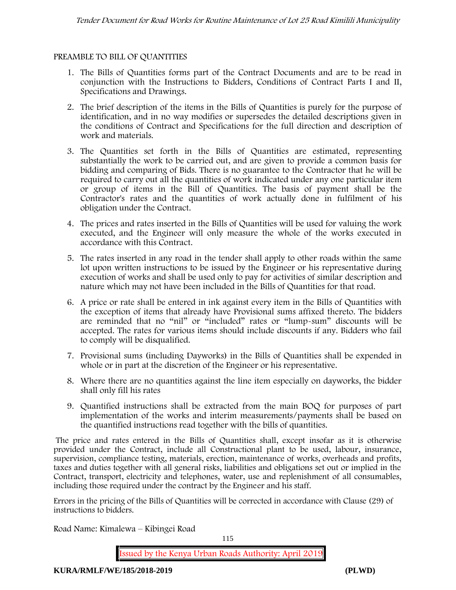## **PREAMBLE TO BILL OF QUANTITIES**

- 1. The Bills of Quantities forms part of the Contract Documents and are to be read in conjunction with the Instructions to Bidders, Conditions of Contract Parts I and II, Specifications and Drawings.
- 2. The brief description of the items in the Bills of Quantities is purely for the purpose of identification, and in no way modifies or supersedes the detailed descriptions given in the conditions of Contract and Specifications for the full direction and description of work and materials.
- 3. The Quantities set forth in the Bills of Quantities are estimated, representing substantially the work to be carried out, and are given to provide a common basis for bidding and comparing of Bids. There is no guarantee to the Contractor that he will be required to carry out all the quantities of work indicated under any one particular item or group of items in the Bill of Quantities. The basis of payment shall be the Contractor's rates and the quantities of work actually done in fulfilment of his obligation under the Contract.
- 4. The prices and rates inserted in the Bills of Quantities will be used for valuing the work executed, and the Engineer will only measure the whole of the works executed in accordance with this Contract.
- 5. The rates inserted in any road in the tender shall apply to other roads within the same lot upon written instructions to be issued by the Engineer or his representative during execution of works and shall be used only to pay for activities of similar description and nature which may not have been included in the Bills of Quantities for that road.
- 6. A price or rate shall be entered in ink against every item in the Bills of Quantities with the exception of items that already have Provisional sums affixed thereto. The bidders are reminded that no "nil" or "included" rates or "lump-sum" discounts will be accepted. The rates for various items should include discounts if any. Bidders who fail to comply will be disqualified.
- 7. Provisional sums (including Dayworks) in the Bills of Quantities shall be expended in whole or in part at the discretion of the Engineer or his representative.
- 8. Where there are no quantities against the line item especially on dayworks, the bidder shall only fill his rates
- 9. Quantified instructions shall be extracted from the main BOQ for purposes of part implementation of the works and interim measurements/payments shall be based on the quantified instructions read together with the bills of quantities.

The price and rates entered in the Bills of Quantities shall, except insofar as it is otherwise provided under the Contract, include all Constructional plant to be used, labour, insurance, supervision, compliance testing, materials, erection, maintenance of works, overheads and profits, taxes and duties together with all general risks, liabilities and obligations set out or implied in the Contract, transport, electricity and telephones, water, use and replenishment of all consumables, including those required under the contract by the Engineer and his staff.

Errors in the pricing of the Bills of Quantities will be corrected in accordance with Clause (29) of instructions to bidders.

**Road Name: Kimalewa – Kibingei Road**

115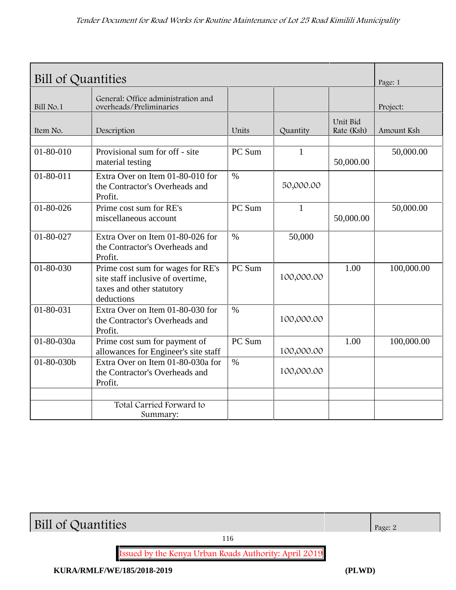| Bill of Quantities |                                                                                                                   |               |              |                        |            |
|--------------------|-------------------------------------------------------------------------------------------------------------------|---------------|--------------|------------------------|------------|
| Bill No.1          | General: Office administration and<br>overheads/Preliminaries                                                     |               |              |                        | Project:   |
| Item No.           | Description                                                                                                       | Units         | Quantity     | Unit Bid<br>Rate (Ksh) | Amount Ksh |
| 01-80-010          | Provisional sum for off - site<br>material testing                                                                | PC Sum        | $\mathbf{1}$ | 50,000.00              | 50,000.00  |
| 01-80-011          | Extra Over on Item 01-80-010 for<br>the Contractor's Overheads and<br>Profit.                                     | $\frac{0}{0}$ | 50,000.00    |                        |            |
| $01 - 80 - 026$    | Prime cost sum for RE's<br>miscellaneous account                                                                  | PC Sum        | 1            | 50,000.00              | 50,000.00  |
| $01 - 80 - 027$    | Extra Over on Item 01-80-026 for<br>the Contractor's Overheads and<br>Profit.                                     | $\%$          | 50,000       |                        |            |
| 01-80-030          | Prime cost sum for wages for RE's<br>site staff inclusive of overtime,<br>taxes and other statutory<br>deductions | PC Sum        | 100,000.00   | 1.00                   | 100,000.00 |
| 01-80-031          | Extra Over on Item 01-80-030 for<br>the Contractor's Overheads and<br>Profit.                                     | $\%$          | 100,000.00   |                        |            |
| 01-80-030a         | Prime cost sum for payment of<br>allowances for Engineer's site staff                                             | PC Sum        | 100,000.00   | 1.00                   | 100,000.00 |
| 01-80-030b         | Extra Over on Item 01-80-030a for<br>the Contractor's Overheads and<br>Profit.                                    | $\frac{0}{0}$ | 100,000.00   |                        |            |
|                    |                                                                                                                   |               |              |                        |            |
|                    | Total Carried Forward to<br>Summary:                                                                              |               |              |                        |            |

**Bill of Quantities**  $\Big| \text{Page: 2}$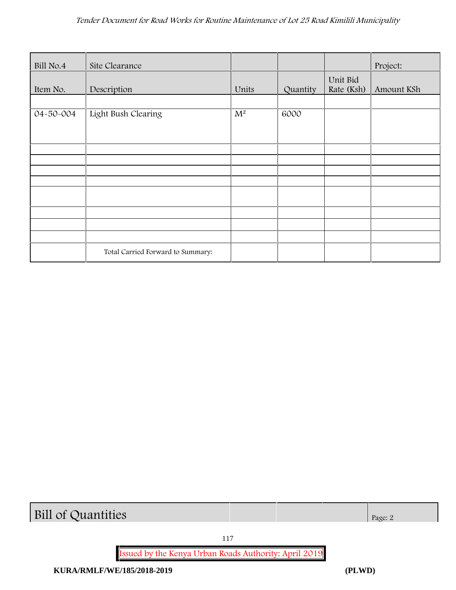| Bill No.4 | Site Clearance                    |       |          |                        | Project:   |
|-----------|-----------------------------------|-------|----------|------------------------|------------|
| Item No.  | Description                       | Units | Quantity | Unit Bid<br>Rate (Ksh) | Amount KSh |
|           |                                   |       |          |                        |            |
| 04-50-004 | Light Bush Clearing               | $M^2$ | 6000     |                        |            |
|           |                                   |       |          |                        |            |
|           |                                   |       |          |                        |            |
|           |                                   |       |          |                        |            |
|           |                                   |       |          |                        |            |
|           |                                   |       |          |                        |            |
|           |                                   |       |          |                        |            |
|           |                                   |       |          |                        |            |
|           |                                   |       |          |                        |            |
|           |                                   |       |          |                        |            |
|           |                                   |       |          |                        |            |
|           | Total Carried Forward to Summary: |       |          |                        |            |

**Bill of Quantities** Page: 2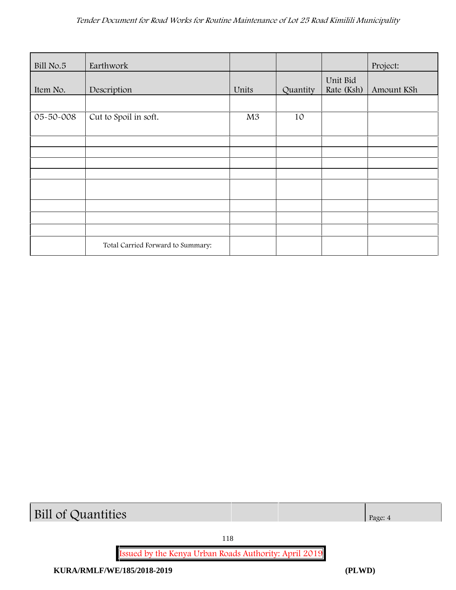| Bill No.5 | Earthwork                         |       |          |                        | Project:   |
|-----------|-----------------------------------|-------|----------|------------------------|------------|
| Item No.  | Description                       | Units | Quantity | Unit Bid<br>Rate (Ksh) | Amount KSh |
|           |                                   |       |          |                        |            |
| 05-50-008 | Cut to Spoil in soft.             | M3    | 10       |                        |            |
|           |                                   |       |          |                        |            |
|           |                                   |       |          |                        |            |
|           |                                   |       |          |                        |            |
|           |                                   |       |          |                        |            |
|           |                                   |       |          |                        |            |
|           |                                   |       |          |                        |            |
|           |                                   |       |          |                        |            |
|           | Total Carried Forward to Summary: |       |          |                        |            |

# **Bill of Quantities** Page: 4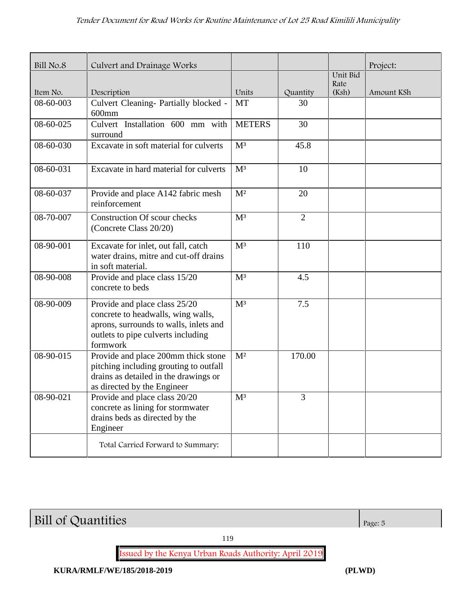| Bill No.8 | Culvert and Drainage Works                                                                                                                                      |                |                |                  | Project:   |
|-----------|-----------------------------------------------------------------------------------------------------------------------------------------------------------------|----------------|----------------|------------------|------------|
|           |                                                                                                                                                                 |                |                | Unit Bid<br>Rate |            |
| Item No.  | Description                                                                                                                                                     | Units          | Quantity       | (Ksh)            | Amount KSh |
| 08-60-003 | Culvert Cleaning- Partially blocked -<br>$600$ mm                                                                                                               | <b>MT</b>      | 30             |                  |            |
| 08-60-025 | Culvert Installation 600 mm with<br>surround                                                                                                                    | <b>METERS</b>  | 30             |                  |            |
| 08-60-030 | Excavate in soft material for culverts                                                                                                                          | M <sup>3</sup> | 45.8           |                  |            |
| 08-60-031 | Excavate in hard material for culverts                                                                                                                          | M <sup>3</sup> | 10             |                  |            |
| 08-60-037 | Provide and place A142 fabric mesh<br>reinforcement                                                                                                             | M <sup>2</sup> | 20             |                  |            |
| 08-70-007 | <b>Construction Of scour checks</b><br>(Concrete Class 20/20)                                                                                                   | M <sup>3</sup> | $\overline{2}$ |                  |            |
| 08-90-001 | Excavate for inlet, out fall, catch<br>water drains, mitre and cut-off drains<br>in soft material.                                                              | M <sup>3</sup> | 110            |                  |            |
| 08-90-008 | Provide and place class 15/20<br>concrete to beds                                                                                                               | M <sup>3</sup> | 4.5            |                  |            |
| 08-90-009 | Provide and place class 25/20<br>concrete to headwalls, wing walls,<br>aprons, surrounds to walls, inlets and<br>outlets to pipe culverts including<br>formwork | M <sup>3</sup> | 7.5            |                  |            |
| 08-90-015 | Provide and place 200mm thick stone<br>pitching including grouting to outfall<br>drains as detailed in the drawings or<br>as directed by the Engineer           | M <sup>2</sup> | 170.00         |                  |            |
| 08-90-021 | Provide and place class 20/20<br>concrete as lining for stormwater<br>drains beds as directed by the<br>Engineer                                                | $M^3$          | 3              |                  |            |
|           | Total Carried Forward to Summary:                                                                                                                               |                |                |                  |            |

**Bill of Quantities** Page: 5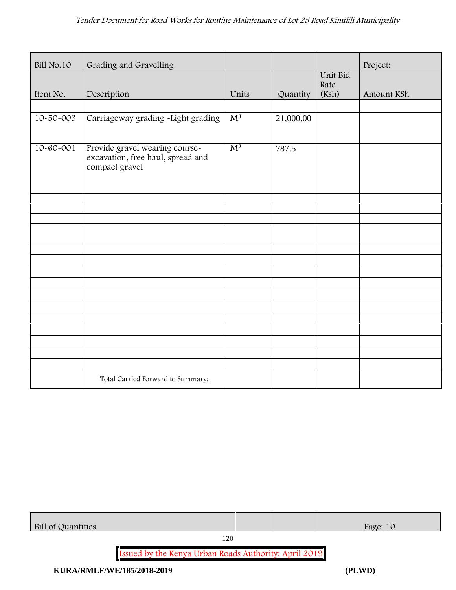| Bill No.10      | Grading and Gravelling                                                                |                  |           |                  | Project:   |
|-----------------|---------------------------------------------------------------------------------------|------------------|-----------|------------------|------------|
|                 |                                                                                       |                  |           | Unit Bid<br>Rate |            |
| Item No.        | Description                                                                           | Units            | Quantity  | (Ksh)            | Amount KSh |
|                 |                                                                                       |                  |           |                  |            |
| 10-50-003       | Carriageway grading -Light grading                                                    | $\overline{M^3}$ | 21,000.00 |                  |            |
| $10 - 60 - 001$ | Provide gravel wearing course-<br>excavation, free haul, spread and<br>compact gravel | $M^3$            | 787.5     |                  |            |
|                 |                                                                                       |                  |           |                  |            |
|                 |                                                                                       |                  |           |                  |            |
|                 |                                                                                       |                  |           |                  |            |
|                 |                                                                                       |                  |           |                  |            |
|                 |                                                                                       |                  |           |                  |            |
|                 |                                                                                       |                  |           |                  |            |
|                 |                                                                                       |                  |           |                  |            |
|                 |                                                                                       |                  |           |                  |            |
|                 |                                                                                       |                  |           |                  |            |
|                 |                                                                                       |                  |           |                  |            |
|                 |                                                                                       |                  |           |                  |            |
|                 |                                                                                       |                  |           |                  |            |
|                 | Total Carried Forward to Summary:                                                     |                  |           |                  |            |

| Bill of Quantities | Page: 10 |
|--------------------|----------|
|--------------------|----------|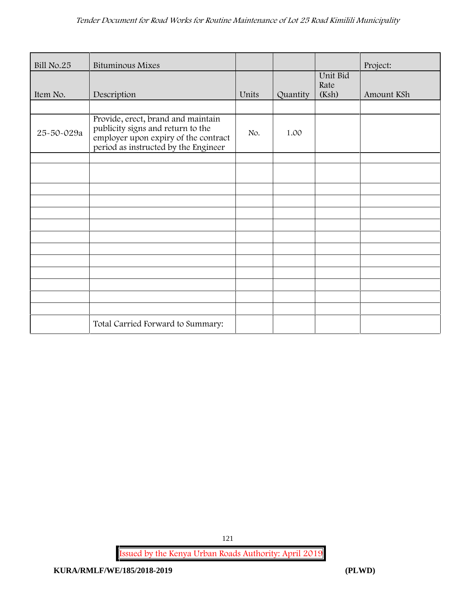| Bill No.25 | <b>Bituminous Mixes</b>                                                                                                                                 |       |          |                           | Project:   |
|------------|---------------------------------------------------------------------------------------------------------------------------------------------------------|-------|----------|---------------------------|------------|
| Item No.   | Description                                                                                                                                             | Units | Quantity | Unit Bid<br>Rate<br>(Ksh) | Amount KSh |
|            |                                                                                                                                                         |       |          |                           |            |
| 25-50-029a | Provide, erect, brand and maintain<br>publicity signs and return to the<br>employer upon expiry of the contract<br>period as instructed by the Engineer | No.   | 1.00     |                           |            |
|            |                                                                                                                                                         |       |          |                           |            |
|            |                                                                                                                                                         |       |          |                           |            |
|            |                                                                                                                                                         |       |          |                           |            |
|            |                                                                                                                                                         |       |          |                           |            |
|            |                                                                                                                                                         |       |          |                           |            |
|            |                                                                                                                                                         |       |          |                           |            |
|            |                                                                                                                                                         |       |          |                           |            |
|            |                                                                                                                                                         |       |          |                           |            |
|            |                                                                                                                                                         |       |          |                           |            |
|            |                                                                                                                                                         |       |          |                           |            |
|            |                                                                                                                                                         |       |          |                           |            |
|            |                                                                                                                                                         |       |          |                           |            |
|            | Total Carried Forward to Summary:                                                                                                                       |       |          |                           |            |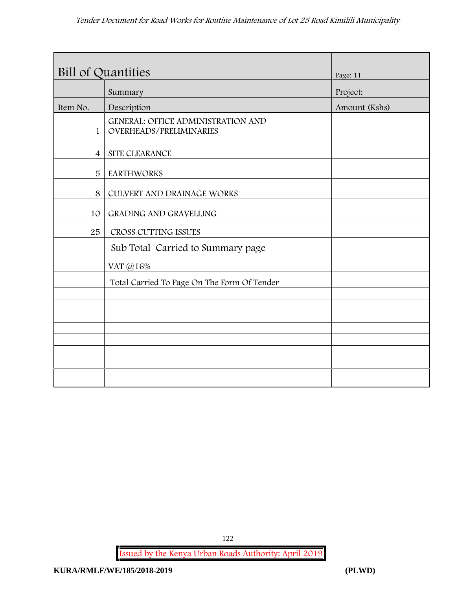| <b>Bill of Quantities</b> |                                                                      | Page: 11      |
|---------------------------|----------------------------------------------------------------------|---------------|
|                           | Summary                                                              | Project:      |
| Item No.                  | Description                                                          | Amount (Kshs) |
| $\mathbf{1}$              | <b>GENERAL: OFFICE ADMINISTRATION AND</b><br>OVERHEADS/PRELIMINARIES |               |
| $\overline{4}$            | SITE CLEARANCE                                                       |               |
| 5                         | <b>EARTHWORKS</b>                                                    |               |
| 8                         | CULVERT AND DRAINAGE WORKS                                           |               |
| 10                        | GRADING AND GRAVELLING                                               |               |
| 25                        | CROSS CUTTING ISSUES                                                 |               |
|                           | Sub Total Carried to Summary page                                    |               |
|                           | VAT @16%                                                             |               |
|                           | Total Carried To Page On The Form Of Tender                          |               |
|                           |                                                                      |               |
|                           |                                                                      |               |
|                           |                                                                      |               |
|                           |                                                                      |               |
|                           |                                                                      |               |
|                           |                                                                      |               |
|                           |                                                                      |               |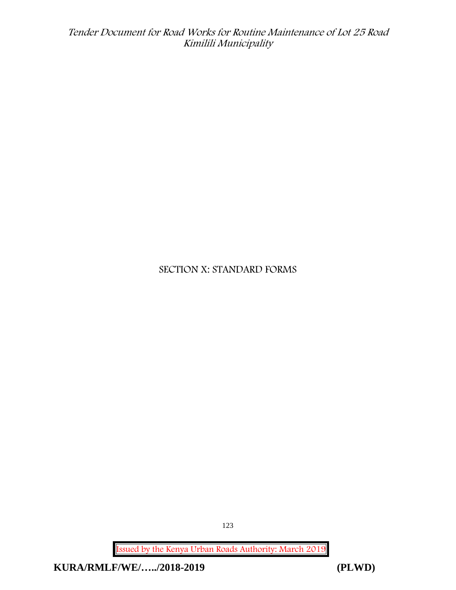## **SECTION X: STANDARD FORMS**

**Issued by the Kenya Urban Roads Authority: March 2019**

**KURA/RMLF/WE/…../2018-2019 (PLWD)**

123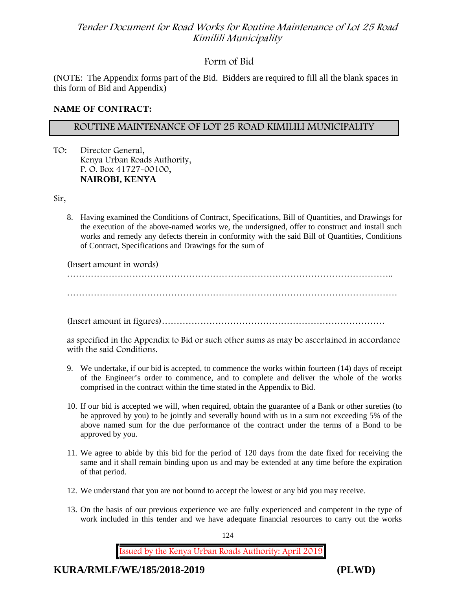## **Form of Bid**

(NOTE: The Appendix forms part of the Bid. Bidders are required to fill all the blank spaces in this form of Bid and Appendix)

#### **NAME OF CONTRACT:**

## **ROUTINE MAINTENANCE OF LOT 25 ROAD KIMILILI MUNICIPALITY**

TO: Director General, Kenya Urban Roads Authority, P. O. Box 41727-00100, **NAIROBI, KENYA**

Sir,

8. Having examined the Conditions of Contract, Specifications, Bill of Quantities, and Drawings for the execution of the above-named works we, the undersigned, offer to construct and install such works and remedy any defects therein in conformity with the said Bill of Quantities, Conditions of Contract, Specifications and Drawings for the sum of

(Insert amount in words)

………………………………………………………………………………………………..

…………………………………………………………………………………………………

(Insert amount in figures)…………………………………………………………………

as specified in the Appendix to Bid or such other sums as may be ascertained in accordance with the said Conditions.

- 9. We undertake, if our bid is accepted, to commence the works within fourteen (14) days of receipt of the Engineer's order to commence, and to complete and deliver the whole of the works comprised in the contract within the time stated in the Appendix to Bid.
- 10. If our bid is accepted we will, when required, obtain the guarantee of a Bank or other sureties (to be approved by you) to be jointly and severally bound with us in a sum not exceeding 5% of the above named sum for the due performance of the contract under the terms of a Bond to be approved by you.
- 11. We agree to abide by this bid for the period of 120 days from the date fixed for receiving the same and it shall remain binding upon us and may be extended at any time before the expiration of that period.
- 12. We understand that you are not bound to accept the lowest or any bid you may receive.
- 13. On the basis of our previous experience we are fully experienced and competent in the type of work included in this tender and we have adequate financial resources to carry out the works

124

**Issued by the Kenya Urban Roads Authority: April 2019**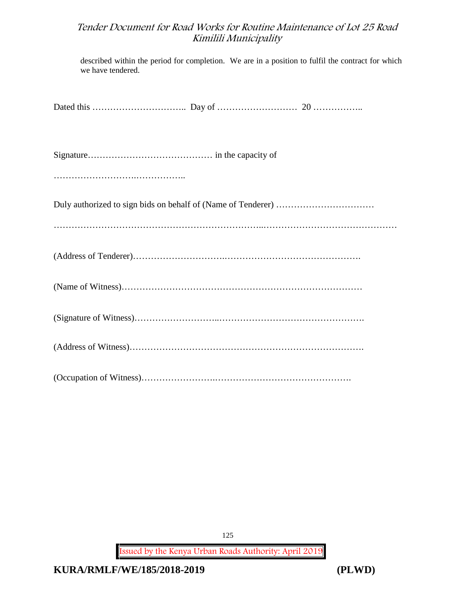described within the period for completion. We are in a position to fulfil the contract for which we have tendered.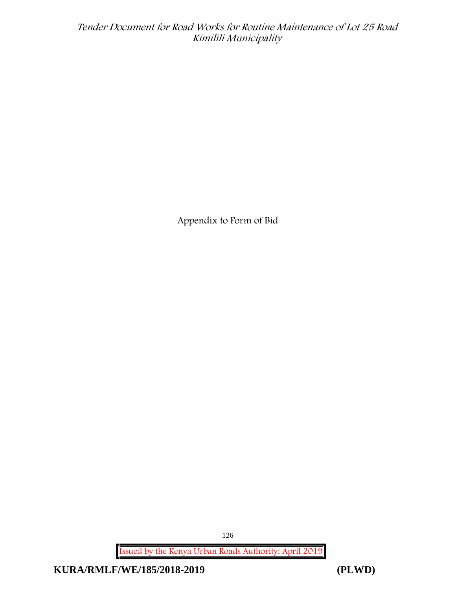**Appendix to Form of Bid**

**Issued by the Kenya Urban Roads Authority: April 2019**

**KURA/RMLF/WE/185/2018-2019 (PLWD)**

126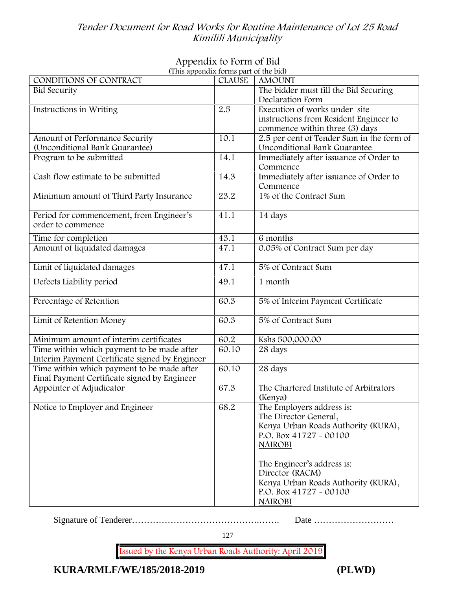# **Appendix to Form of Bid**

| (This appendix forms part of the bid)          |               |                                           |
|------------------------------------------------|---------------|-------------------------------------------|
| CONDITIONS OF CONTRACT                         | <b>CLAUSE</b> | <b>AMOUNT</b>                             |
| <b>Bid Security</b>                            |               | The bidder must fill the Bid Securing     |
|                                                |               | Declaration Form                          |
| Instructions in Writing                        | 2.5           | Execution of works under site             |
|                                                |               | instructions from Resident Engineer to    |
|                                                |               | commence within three (3) days            |
| Amount of Performance Security                 | 10.1          | 2.5 per cent of Tender Sum in the form of |
| (Unconditional Bank Guarantee)                 |               | Unconditional Bank Guarantee              |
| Program to be submitted                        | 14.1          | Immediately after issuance of Order to    |
|                                                |               | Commence                                  |
| Cash flow estimate to be submitted             | 14.3          | Immediately after issuance of Order to    |
|                                                |               | Commence                                  |
| Minimum amount of Third Party Insurance        | 23.2          | 1% of the Contract Sum                    |
|                                                |               |                                           |
| Period for commencement, from Engineer's       | 41.1          | 14 days                                   |
| order to commence                              |               |                                           |
|                                                |               |                                           |
| Time for completion                            | 43.1          | 6 months                                  |
| Amount of liquidated damages                   | 47.1          | 0.05% of Contract Sum per day             |
|                                                |               |                                           |
| Limit of liquidated damages                    | 47.1          | 5% of Contract Sum                        |
| Defects Liability period                       | 49.1          | 1 month                                   |
|                                                |               |                                           |
| Percentage of Retention                        | 60.3          | 5% of Interim Payment Certificate         |
|                                                |               |                                           |
| Limit of Retention Money                       | 60.3          | 5% of Contract Sum                        |
|                                                |               |                                           |
| Minimum amount of interim certificates         | 60.2          | Kshs 500,000.00                           |
| Time within which payment to be made after     | 60.10         | 28 days                                   |
| Interim Payment Certificate signed by Engineer |               |                                           |
| Time within which payment to be made after     | 60.10         | 28 days                                   |
| Final Payment Certificate signed by Engineer   |               |                                           |
| Appointer of Adjudicator                       | 67.3          | The Chartered Institute of Arbitrators    |
|                                                |               | (Kenya)                                   |
| Notice to Employer and Engineer                | 68.2          | The Employers address is:                 |
|                                                |               | The Director General,                     |
|                                                |               | Kenya Urban Roads Authority (KURA),       |
|                                                |               | P.O. Box 41727 - 00100                    |
|                                                |               |                                           |
|                                                |               | <b>NAIROBI</b>                            |
|                                                |               |                                           |
|                                                |               | The Engineer's address is:                |
|                                                |               | Director (RACM)                           |
|                                                |               | Kenya Urban Roads Authority (KURA),       |
|                                                |               | P.O. Box 41727 - 00100                    |
|                                                |               | <b>NAIROBI</b>                            |

Signature of Tenderer…………………………………….……. Date ………………………

127

**Issued by the Kenya Urban Roads Authority: April 2019**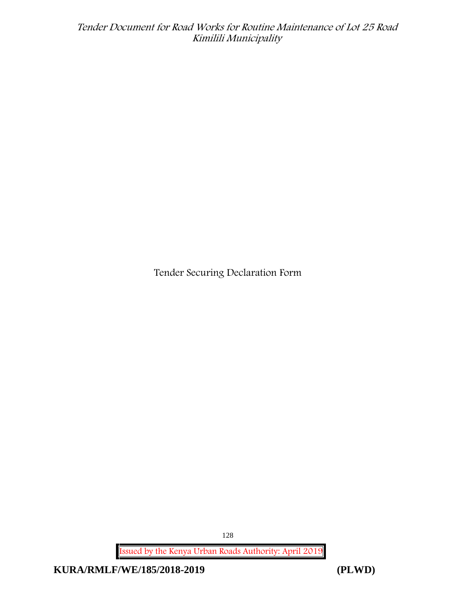**Tender Securing Declaration Form**

**Issued by the Kenya Urban Roads Authority: April 2019**

**KURA/RMLF/WE/185/2018-2019 (PLWD)**

128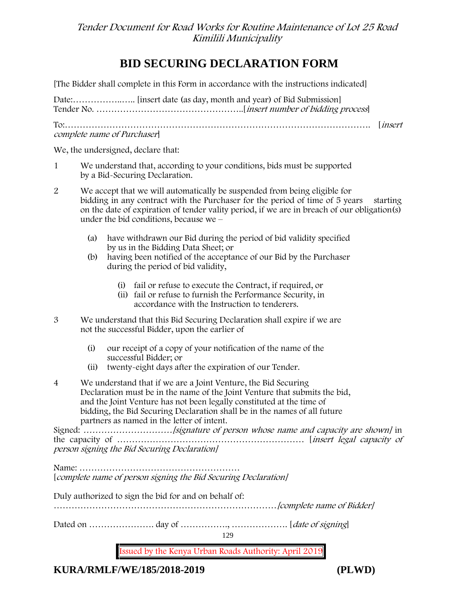# **BID SECURING DECLARATION FORM**

[The Bidder shall complete in this Form in accordance with the instructions indicated]

| complete name of Purchaser |  |
|----------------------------|--|

We, the undersigned, declare that:

- 1 We understand that, according to your conditions, bids must be supported by a Bid-Securing Declaration.
- 2 We accept that we will automatically be suspended from being eligible for bidding in any contract with the Purchaser for the period of time of 5 years starting on the date of expiration of tender vality period, if we are in breach of our obligation(s) under the bid conditions, because we –
	- (a) have withdrawn our Bid during the period of bid validity specified by us in the Bidding Data Sheet; or
	- (b) having been notified of the acceptance of our Bid by the Purchaser during the period of bid validity,
		- (i) fail or refuse to execute the Contract, if required, or
		- (ii) fail or refuse to furnish the Performance Security, in accordance with the Instruction to tenderers.
- 3 We understand that this Bid Securing Declaration shall expire if we are not the successful Bidder, upon the earlier of
	- (i) our receipt of a copy of your notification of the name of the successful Bidder; or
	- (ii) twenty-eight days after the expiration of our Tender.
- 4 We understand that if we are a Joint Venture, the Bid Securing Declaration must be in the name of the Joint Venture that submits the bid, and the Joint Venture has not been legally constituted at the time of bidding, the Bid Securing Declaration shall be in the names of all future partners as named in the letter of intent.

Signed: *…………………………[signature of person whose name and capacity are shown]* in the capacity of ……………………………………………………… [*insert legal capacity of person signing the Bid Securing Declaration]*

Name: ……………………………………………… [*complete name of person signing the Bid Securing Declaration]*

Duly authorized to sign the bid for and on behalf of:

…………………………………………………………………*[complete name of Bidder]*

Dated on …………………. day of ……………., ………………. [*date of signing*]

129

**Issued by the Kenya Urban Roads Authority: April 2019**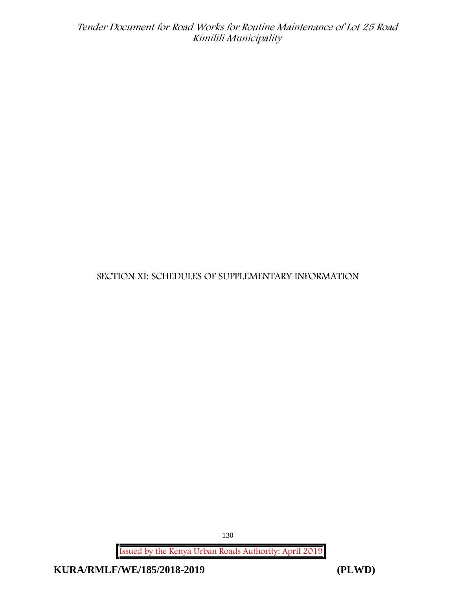## **SECTION XI: SCHEDULES OF SUPPLEMENTARY INFORMATION**

**Issued by the Kenya Urban Roads Authority: April 2019**

**KURA/RMLF/WE/185/2018-2019 (PLWD)**

130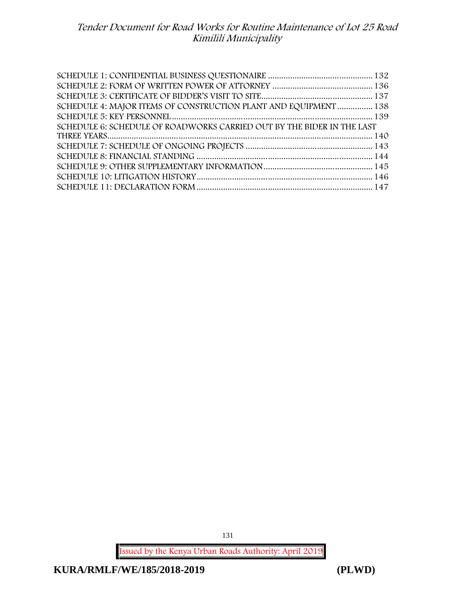| SCHEDULE 4: MAJOR ITEMS OF CONSTRUCTION PLANT AND EQUIPMENT  138       |  |
|------------------------------------------------------------------------|--|
|                                                                        |  |
| SCHEDULE 6: SCHEDULE OF ROADWORKS CARRIED OUT BY THE BIDER IN THE LAST |  |
|                                                                        |  |
|                                                                        |  |
|                                                                        |  |
|                                                                        |  |
|                                                                        |  |
|                                                                        |  |

**Issued by the Kenya Urban Roads Authority: April 2019**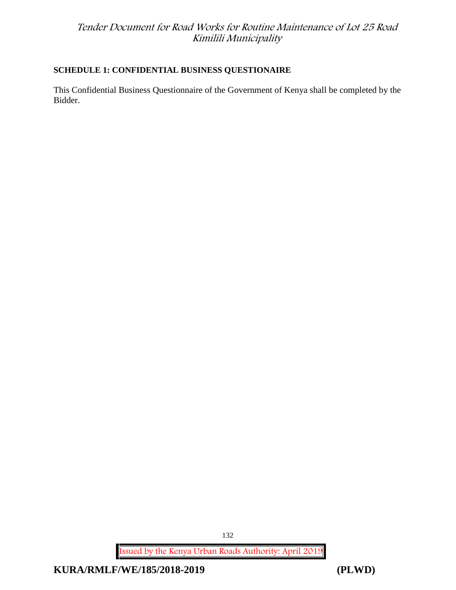## **SCHEDULE 1: CONFIDENTIAL BUSINESS QUESTIONAIRE**

This Confidential Business Questionnaire of the Government of Kenya shall be completed by the Bidder.

**Issued by the Kenya Urban Roads Authority: April 2019**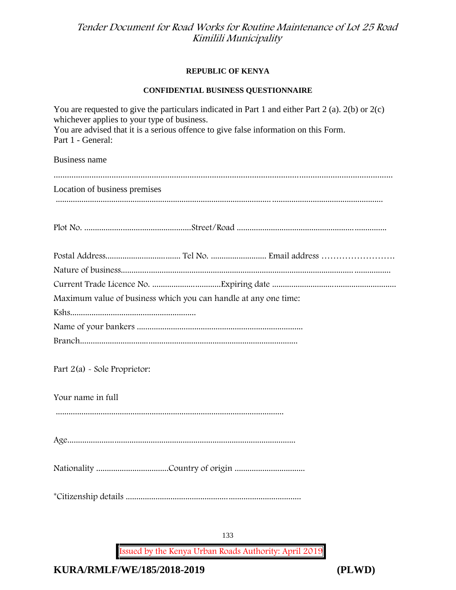#### **REPUBLIC OF KENYA**

#### **CONFIDENTIAL BUSINESS QUESTIONNAIRE**

| You are requested to give the particulars indicated in Part 1 and either Part 2 (a). $2(b)$ or $2(c)$<br>whichever applies to your type of business.<br>You are advised that it is a serious offence to give false information on this Form.<br>Part 1 - General: |
|-------------------------------------------------------------------------------------------------------------------------------------------------------------------------------------------------------------------------------------------------------------------|
| <b>Business name</b>                                                                                                                                                                                                                                              |
| Location of business premises                                                                                                                                                                                                                                     |
|                                                                                                                                                                                                                                                                   |
|                                                                                                                                                                                                                                                                   |
|                                                                                                                                                                                                                                                                   |
|                                                                                                                                                                                                                                                                   |
| Maximum value of business which you can handle at any one time:                                                                                                                                                                                                   |
|                                                                                                                                                                                                                                                                   |
|                                                                                                                                                                                                                                                                   |
|                                                                                                                                                                                                                                                                   |
| Part $2(a)$ - Sole Proprietor:                                                                                                                                                                                                                                    |
| Your name in full                                                                                                                                                                                                                                                 |
|                                                                                                                                                                                                                                                                   |
|                                                                                                                                                                                                                                                                   |
|                                                                                                                                                                                                                                                                   |
|                                                                                                                                                                                                                                                                   |

133

**Issued by the Kenya Urban Roads Authority: April 2019**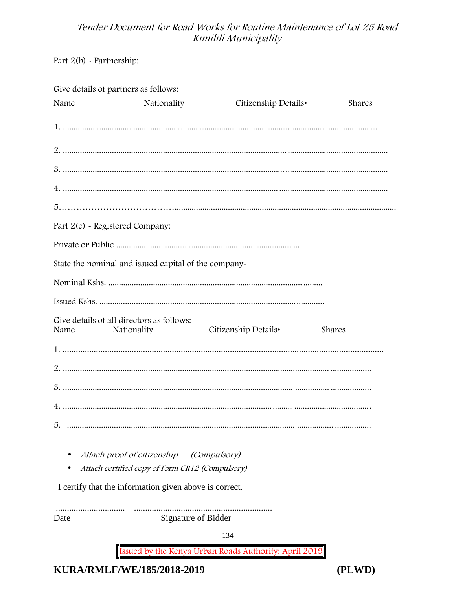Part 2(b) - Partnership:

| Give details of partners as follows: |                      |                                                                                                                                                                                                                                                                                                                                                                    |
|--------------------------------------|----------------------|--------------------------------------------------------------------------------------------------------------------------------------------------------------------------------------------------------------------------------------------------------------------------------------------------------------------------------------------------------------------|
| Nationality                          |                      | Shares                                                                                                                                                                                                                                                                                                                                                             |
|                                      |                      |                                                                                                                                                                                                                                                                                                                                                                    |
|                                      |                      |                                                                                                                                                                                                                                                                                                                                                                    |
|                                      |                      |                                                                                                                                                                                                                                                                                                                                                                    |
|                                      |                      |                                                                                                                                                                                                                                                                                                                                                                    |
|                                      |                      |                                                                                                                                                                                                                                                                                                                                                                    |
| Part 2(c) - Registered Company:      |                      |                                                                                                                                                                                                                                                                                                                                                                    |
|                                      |                      |                                                                                                                                                                                                                                                                                                                                                                    |
|                                      |                      |                                                                                                                                                                                                                                                                                                                                                                    |
|                                      |                      |                                                                                                                                                                                                                                                                                                                                                                    |
|                                      |                      |                                                                                                                                                                                                                                                                                                                                                                    |
| Nationality                          | Citizenship Details• | Shares                                                                                                                                                                                                                                                                                                                                                             |
|                                      |                      |                                                                                                                                                                                                                                                                                                                                                                    |
|                                      |                      |                                                                                                                                                                                                                                                                                                                                                                    |
|                                      |                      |                                                                                                                                                                                                                                                                                                                                                                    |
|                                      |                      |                                                                                                                                                                                                                                                                                                                                                                    |
|                                      |                      |                                                                                                                                                                                                                                                                                                                                                                    |
|                                      |                      |                                                                                                                                                                                                                                                                                                                                                                    |
|                                      |                      |                                                                                                                                                                                                                                                                                                                                                                    |
|                                      | 134                  |                                                                                                                                                                                                                                                                                                                                                                    |
|                                      |                      |                                                                                                                                                                                                                                                                                                                                                                    |
|                                      |                      | Citizenship Details•<br>State the nominal and issued capital of the company-<br>Give details of all directors as follows:<br>Attach proof of citizenship (Compulsory)<br>Attach certified copy of Form CR12 (Compulsory)<br>I certify that the information given above is correct.<br>Signature of Bidder<br>Issued by the Kenya Urban Roads Authority: April 2019 |

KURA/RMLF/WE/185/2018-2019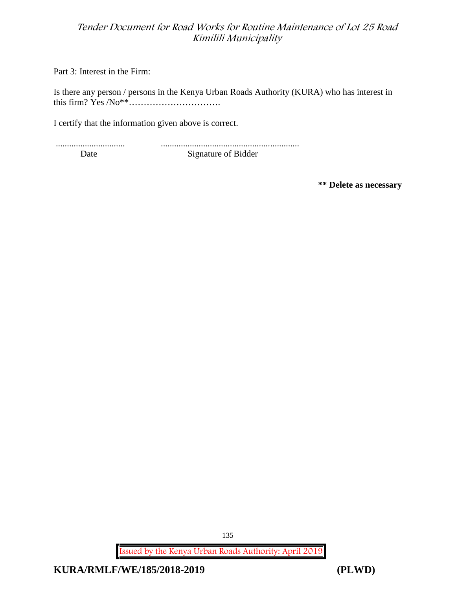Part 3: Interest in the Firm:

Is there any person / persons in the Kenya Urban Roads Authority (KURA) who has interest in this firm? Yes /No\*\*………………………….

I certify that the information given above is correct.

............................... ..............................................................

Date Signature of Bidder

**\*\* Delete as necessary**

**Issued by the Kenya Urban Roads Authority: April 2019**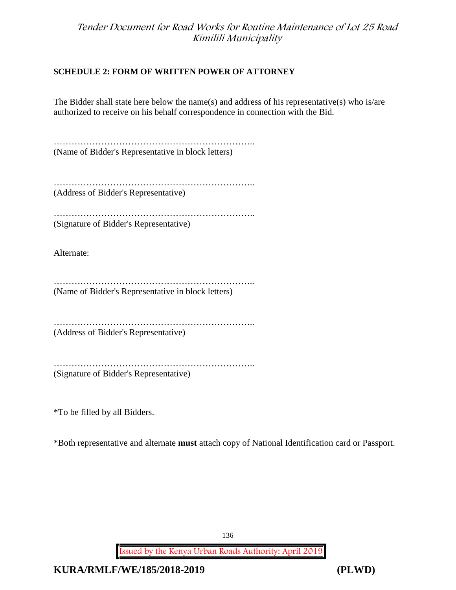## **SCHEDULE 2: FORM OF WRITTEN POWER OF ATTORNEY**

The Bidder shall state here below the name(s) and address of his representative(s) who is/are authorized to receive on his behalf correspondence in connection with the Bid.

………………………………………………………….. (Name of Bidder's Representative in block letters)

………………………………………………………….. (Address of Bidder's Representative)

………………………………………………………….. (Signature of Bidder's Representative)

Alternate:

………………………………………………………….. (Name of Bidder's Representative in block letters)

………………………………………………………….. (Address of Bidder's Representative)

…………………………………………………………………… (Signature of Bidder's Representative)

\*To be filled by all Bidders.

\*Both representative and alternate **must** attach copy of National Identification card or Passport.

136

**Issued by the Kenya Urban Roads Authority: April 2019**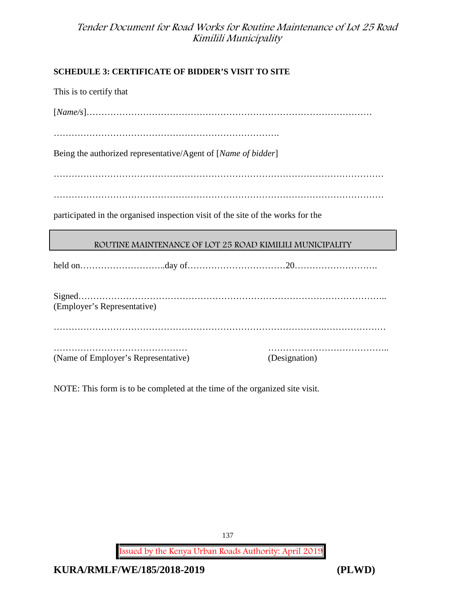## **SCHEDULE 3: CERTIFICATE OF BIDDER'S VISIT TO SITE**

This is to certify that

[*Name/s*]……………………………………………………………………………………

………………………………………………………………….

Being the authorized representative/Agent of [*Name of bidder*]

…………………………………………………………………………………………………

…………………………………………………………………………………………………

participated in the organised inspection visit of the site of the works for the

## **ROUTINE MAINTENANCE OF LOT 25 ROAD KIMILILI MUNICIPALITY**

held on………………………..day of……………………………20……………………….

| (Employer's Representative)         |              |
|-------------------------------------|--------------|
|                                     |              |
| (Name of Employer's Representative) | Designation) |

NOTE: This form is to be completed at the time of the organized site visit.

137

**Issued by the Kenya Urban Roads Authority: April 2019**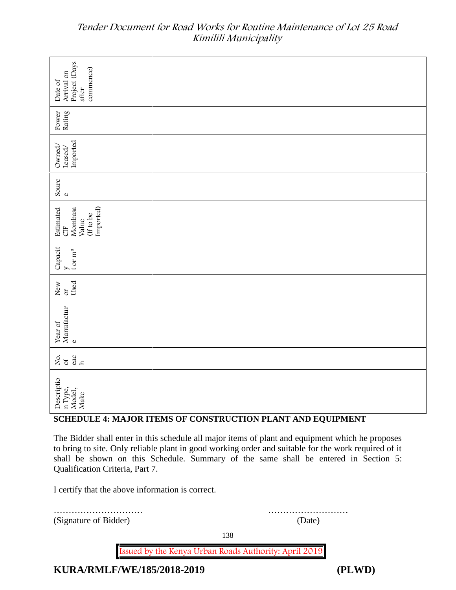| Project (Days<br>commence)<br>Arrival on<br>Date of<br>after                                                                                                                                                                                                                                                                       |                                                             |  |  |
|------------------------------------------------------------------------------------------------------------------------------------------------------------------------------------------------------------------------------------------------------------------------------------------------------------------------------------|-------------------------------------------------------------|--|--|
| Rating<br>Power                                                                                                                                                                                                                                                                                                                    |                                                             |  |  |
| Imported<br>Owned/<br>Leased/                                                                                                                                                                                                                                                                                                      |                                                             |  |  |
| Sourc<br>$\mathbf 0$                                                                                                                                                                                                                                                                                                               |                                                             |  |  |
| Imported)<br>Mombasa<br>Estimated<br>(If to be<br>Value<br><b>UE</b>                                                                                                                                                                                                                                                               |                                                             |  |  |
| Capacit<br>t or $\rm m^3$                                                                                                                                                                                                                                                                                                          |                                                             |  |  |
| Used<br>New<br>$\sigma$                                                                                                                                                                                                                                                                                                            |                                                             |  |  |
| Manufactur<br>Year of<br>$\mathbf{o}$                                                                                                                                                                                                                                                                                              |                                                             |  |  |
| $rac{60}{h}$<br>Lo to                                                                                                                                                                                                                                                                                                              |                                                             |  |  |
| Descriptio<br>n Type,<br>Model,<br>Make                                                                                                                                                                                                                                                                                            |                                                             |  |  |
|                                                                                                                                                                                                                                                                                                                                    | SCHEDULE 4: MAJOR ITEMS OF CONSTRUCTION PLANT AND EQUIPMENT |  |  |
| The Bidder shall enter in this schedule all major items of plant and equipment which he proposes<br>to bring to site. Only reliable plant in good working order and suitable for the work required of it<br>shall be shown on this Schedule. Summary of the same shall be entered in Section 5:<br>Qualification Criteria, Part 7. |                                                             |  |  |
| I certify that the above information is correct.                                                                                                                                                                                                                                                                                   |                                                             |  |  |
| (Signature of Bidder)                                                                                                                                                                                                                                                                                                              | (Date)                                                      |  |  |

## **SCHEDULE 4: MAJOR ITEMS OF CONSTRUCTION PLANT AND EQUIPMENT**

138

**Issued by the Kenya Urban Roads Authority: April 2019**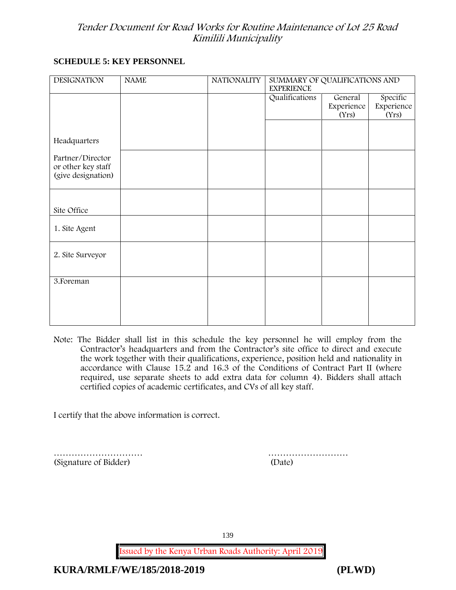## **SCHEDULE 5: KEY PERSONNEL**

| <b>DESIGNATION</b>                                           | <b>NAME</b> | <b>NATIONALITY</b> | SUMMARY OF QUALIFICATIONS AND<br><b>EXPERIENCE</b> |                     |                     |
|--------------------------------------------------------------|-------------|--------------------|----------------------------------------------------|---------------------|---------------------|
|                                                              |             |                    | Qualifications                                     | General             | Specific            |
|                                                              |             |                    |                                                    | Experience<br>(Yrs) | Experience<br>(Yrs) |
|                                                              |             |                    |                                                    |                     |                     |
| Headquarters                                                 |             |                    |                                                    |                     |                     |
| Partner/Director<br>or other key staff<br>(give designation) |             |                    |                                                    |                     |                     |
|                                                              |             |                    |                                                    |                     |                     |
|                                                              |             |                    |                                                    |                     |                     |
| Site Office                                                  |             |                    |                                                    |                     |                     |
| 1. Site Agent                                                |             |                    |                                                    |                     |                     |
| 2. Site Surveyor                                             |             |                    |                                                    |                     |                     |
|                                                              |             |                    |                                                    |                     |                     |
| 3. Foreman                                                   |             |                    |                                                    |                     |                     |
|                                                              |             |                    |                                                    |                     |                     |
|                                                              |             |                    |                                                    |                     |                     |
|                                                              |             |                    |                                                    |                     |                     |

**Note:** The Bidder shall list in this schedule the key personnel he will employ from the Contractor's headquarters and from the Contractor's site office to direct and execute the work together with their qualifications, experience, position held and nationality in accordance with Clause 15.2 and 16.3 of the Conditions of Contract Part II (where required, use separate sheets to add extra data for column 4). Bidders shall attach certified copies of academic certificates, and CVs of all key staff.

I certify that the above information is correct.

(Signature of Bidder) (Date)

………………………… ………………………

139

**Issued by the Kenya Urban Roads Authority: April 2019**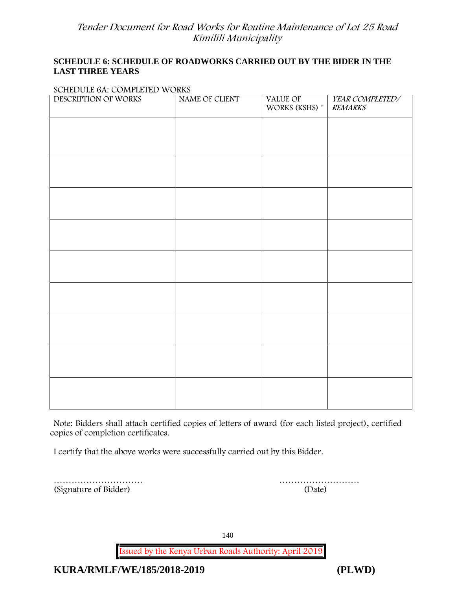#### **SCHEDULE 6: SCHEDULE OF ROADWORKS CARRIED OUT BY THE BIDER IN THE LAST THREE YEARS**

#### **SCHEDULE 6A: COMPLETED WORKS**

| $\frac{1}{2}$<br>DESCRIPTION OF WORKS | NAME OF CLIENT | VALUE OF<br>WORKS (KSHS) * | YEAR COMPLETED/<br><b>REMARKS</b> |
|---------------------------------------|----------------|----------------------------|-----------------------------------|
|                                       |                |                            |                                   |
|                                       |                |                            |                                   |
|                                       |                |                            |                                   |
|                                       |                |                            |                                   |
|                                       |                |                            |                                   |
|                                       |                |                            |                                   |
|                                       |                |                            |                                   |
|                                       |                |                            |                                   |
|                                       |                |                            |                                   |
|                                       |                |                            |                                   |
|                                       |                |                            |                                   |
|                                       |                |                            |                                   |

**Note:** Bidders shall attach certified copies of letters of award (for each listed project), certified copies of completion certificates.

I certify that the above works were successfully carried out by this Bidder.

(Signature of Bidder) (Date)

………………………… ………………………

140

**Issued by the Kenya Urban Roads Authority: April 2019**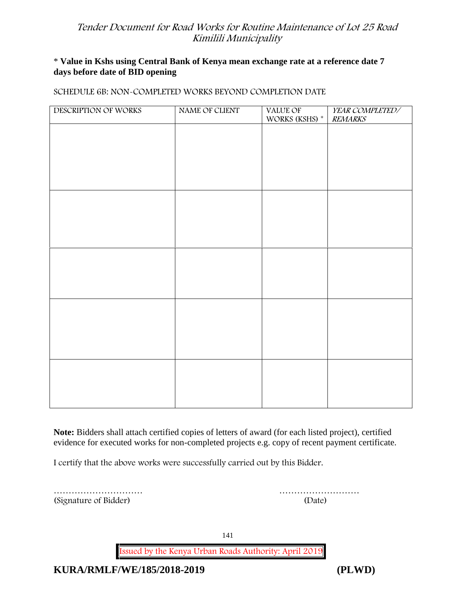## \* **Value in Kshs using Central Bank of Kenya mean exchange rate at a reference date 7 days before date of BID opening**

#### **SCHEDULE 6B: NON-COMPLETED WORKS BEYOND COMPLETION DATE**

| DESCRIPTION OF WORKS | NAME OF CLIENT | VALUE OF<br>WORKS (KSHS) * | YEAR COMPLETED/<br><b>REMARKS</b> |
|----------------------|----------------|----------------------------|-----------------------------------|
|                      |                |                            |                                   |
|                      |                |                            |                                   |
|                      |                |                            |                                   |
|                      |                |                            |                                   |
|                      |                |                            |                                   |
|                      |                |                            |                                   |
|                      |                |                            |                                   |
|                      |                |                            |                                   |
|                      |                |                            |                                   |
|                      |                |                            |                                   |
|                      |                |                            |                                   |
|                      |                |                            |                                   |
|                      |                |                            |                                   |
|                      |                |                            |                                   |
|                      |                |                            |                                   |
|                      |                |                            |                                   |
|                      |                |                            |                                   |

**Note:** Bidders shall attach certified copies of letters of award (for each listed project), certified evidence for executed works for non-completed projects e.g. copy of recent payment certificate.

I certify that the above works were successfully carried out by this Bidder.

(Signature of Bidder) (Date)

………………………… ………………………

141

**Issued by the Kenya Urban Roads Authority: April 2019**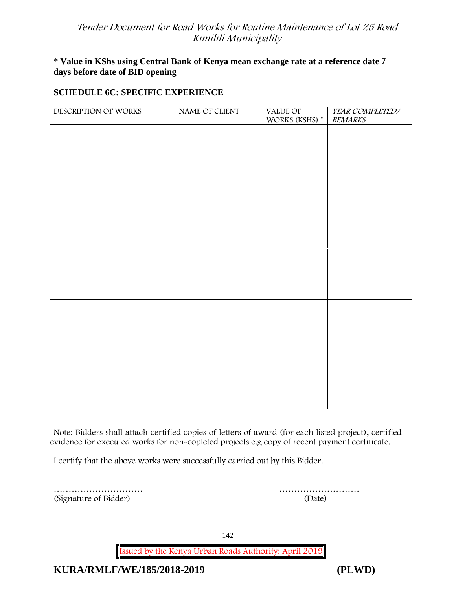## \* **Value in KShs using Central Bank of Kenya mean exchange rate at a reference date 7 days before date of BID opening**

## **SCHEDULE 6C: SPECIFIC EXPERIENCE**

| DESCRIPTION OF WORKS | NAME OF CLIENT | VALUE OF WORKS (KSHS) * | YEAR COMPLETED/<br><b>REMARKS</b> |
|----------------------|----------------|-------------------------|-----------------------------------|
|                      |                |                         |                                   |
|                      |                |                         |                                   |
|                      |                |                         |                                   |
|                      |                |                         |                                   |
|                      |                |                         |                                   |
|                      |                |                         |                                   |
|                      |                |                         |                                   |
|                      |                |                         |                                   |
|                      |                |                         |                                   |
|                      |                |                         |                                   |
|                      |                |                         |                                   |
|                      |                |                         |                                   |
|                      |                |                         |                                   |
|                      |                |                         |                                   |
|                      |                |                         |                                   |
|                      |                |                         |                                   |
|                      |                |                         |                                   |

**Note:** Bidders shall attach certified copies of letters of award (for each listed project), certified evidence for executed works for non-copleted projects e.g copy of recent payment certificate.

I certify that the above works were successfully carried out by this Bidder.

(Signature of Bidder) (Date)

………………………… ………………………

142

**Issued by the Kenya Urban Roads Authority: April 2019**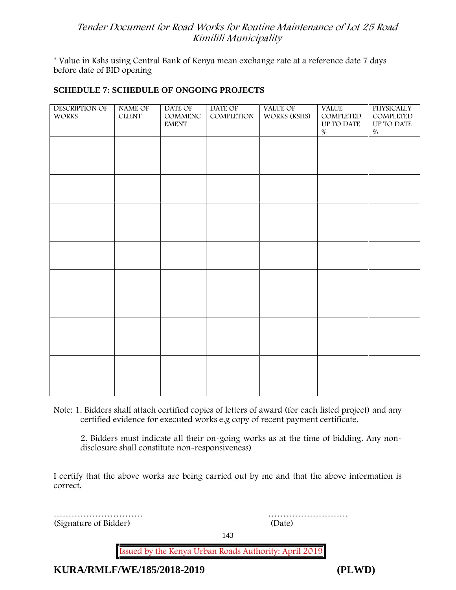\* **Value in Kshs using Central Bank of Kenya mean exchange rate at a reference date 7 days before date of BID opening**

#### **SCHEDULE 7: SCHEDULE OF ONGOING PROJECTS**

| <b>DESCRIPTION OF</b><br><b>WORKS</b> | NAME OF<br><b>CLIENT</b> | DATE OF<br>COMMENC<br><b>EMENT</b> | DATE OF<br>COMPLETION | VALUE OF<br>WORKS (KSHS) | <b>VALUE</b><br>COMPLETED<br>UP TO DATE<br>$\%$ | <b>PHYSICALLY</b><br>COMPLETED<br>UP TO DATE<br>$\%$ |  |
|---------------------------------------|--------------------------|------------------------------------|-----------------------|--------------------------|-------------------------------------------------|------------------------------------------------------|--|
|                                       |                          |                                    |                       |                          |                                                 |                                                      |  |
|                                       |                          |                                    |                       |                          |                                                 |                                                      |  |
|                                       |                          |                                    |                       |                          |                                                 |                                                      |  |
|                                       |                          |                                    |                       |                          |                                                 |                                                      |  |
|                                       |                          |                                    |                       |                          |                                                 |                                                      |  |
|                                       |                          |                                    |                       |                          |                                                 |                                                      |  |
|                                       |                          |                                    |                       |                          |                                                 |                                                      |  |
|                                       |                          |                                    |                       |                          |                                                 |                                                      |  |

**Note:** 1. Bidders shall attach certified copies of letters of award (for each listed project) and any certified evidence for executed works e.g copy of recent payment certificate.

2. Bidders must indicate all their on-going works as at the time of bidding. Any non disclosure shall constitute non-responsiveness)

I certify that the above works are being carried out by me and that the above information is correct.

(Signature of Bidder) (Date)

………………………… ………………………

143

**Issued by the Kenya Urban Roads Authority: April 2019**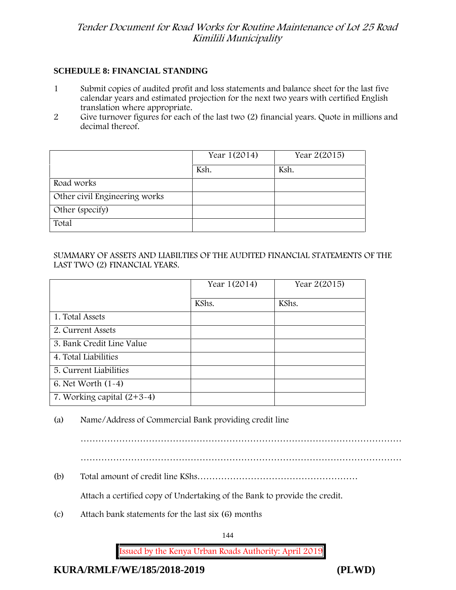#### **SCHEDULE 8: FINANCIAL STANDING**

- 1 Submit copies of audited profit and loss statements and balance sheet for the last five calendar years and estimated projection for the next two years with certified English translation where appropriate.
- 2 Give turnover figures for each of the last two (2) financial years. Quote in millions and decimal thereof.

|                               | Year 1(2014) | Year 2(2015) |
|-------------------------------|--------------|--------------|
|                               | Ksh.         | Ksh.         |
| Road works                    |              |              |
| Other civil Engineering works |              |              |
| Other (specify)               |              |              |
| Total                         |              |              |

#### SUMMARY OF ASSETS AND LIABILTIES OF THE AUDITED FINANCIAL STATEMENTS OF THE LAST TWO (2) FINANCIAL YEARS.

|                              | Year 1(2014) | Year 2(2015) |
|------------------------------|--------------|--------------|
|                              | KShs.        | KShs.        |
| 1. Total Assets              |              |              |
| 2. Current Assets            |              |              |
| 3. Bank Credit Line Value    |              |              |
| 4. Total Liabilities         |              |              |
| 5. Current Liabilities       |              |              |
| 6. Net Worth $(1-4)$         |              |              |
| 7. Working capital $(2+3-4)$ |              |              |

(a) Name/Address of Commercial Bank providing credit line

………………………………………………………………………………………………

………………………………………………………………………………………………

(b) Total amount of credit line KShs………………………………………………

Attach a certified copy of Undertaking of the Bank to provide the credit.

(c) Attach bank statements for the last six (6) months

144

**Issued by the Kenya Urban Roads Authority: April 2019**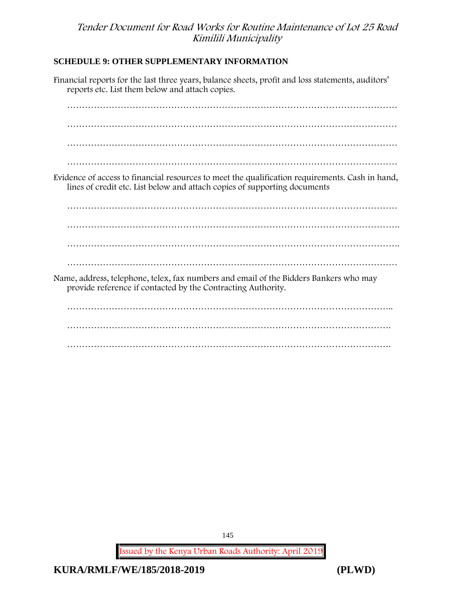### **SCHEDULE 9: OTHER SUPPLEMENTARY INFORMATION**

Financial reports for the last three years, balance sheets, profit and loss statements, auditors' reports etc. List them below and attach copies. ………………………………………………………………………………………………… ………………………………………………………………………………………………… ………………………………………………………………………………………………… ………………………………………………………………………………………………… Evidence of access to financial resources to meet the qualification requirements. Cash in hand, lines of credit etc. List below and attach copies of supporting documents ………………………………………………………………………………………………… …………………………………………………………………………………………………. …………………………………………………………………………………………………. ………………………………………………………………………………………………… Name, address, telephone, telex, fax numbers and email of the Bidders Bankers who may provide reference if contacted by the Contracting Authority. ……………………………………………………………………………………………….. ……………………………………………………………………………………………….

**Issued by the Kenya Urban Roads Authority: April 2019**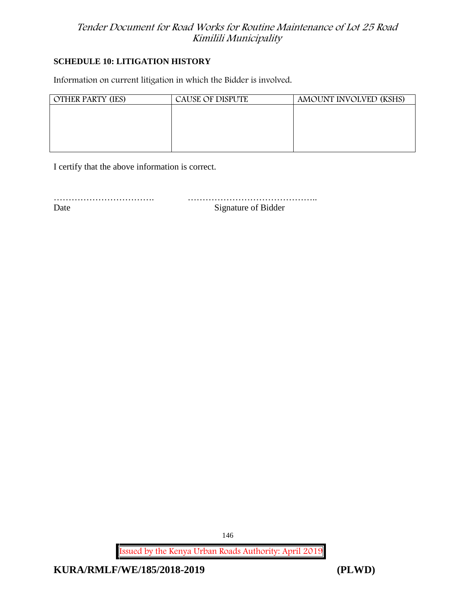#### **SCHEDULE 10: LITIGATION HISTORY**

Information on current litigation in which the Bidder is involved.

| <b>OTHER PARTY (IES)</b> | CAUSE OF DISPUTE | AMOUNT INVOLVED (KSHS) |
|--------------------------|------------------|------------------------|
|                          |                  |                        |
|                          |                  |                        |
|                          |                  |                        |
|                          |                  |                        |

I certify that the above information is correct.

……………………………. ……………………………………..

Date Signature of Bidder

**Issued by the Kenya Urban Roads Authority: April 2019**

**KURA/RMLF/WE/185/2018-2019 (PLWD)**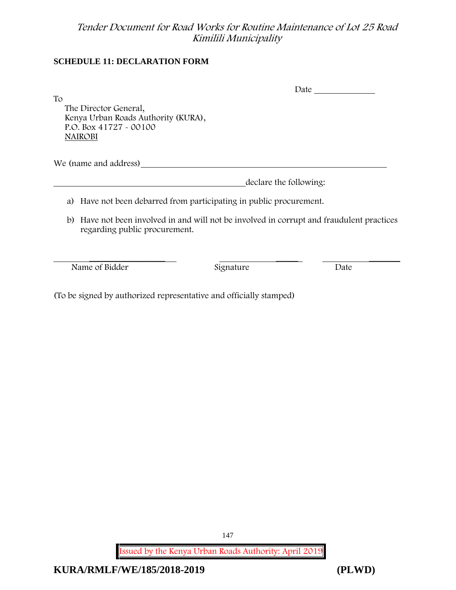### **SCHEDULE 11: DECLARATION FORM**

| To                                                                                                       |                                                                  |                                                                                           |
|----------------------------------------------------------------------------------------------------------|------------------------------------------------------------------|-------------------------------------------------------------------------------------------|
| The Director General,<br>Kenya Urban Roads Authority (KURA),<br>P.O. Box 41727 - 00100<br><b>NAIROBI</b> |                                                                  |                                                                                           |
| We (name and address)                                                                                    |                                                                  |                                                                                           |
|                                                                                                          |                                                                  | declare the following:                                                                    |
| a)                                                                                                       | Have not been debarred from participating in public procurement. |                                                                                           |
| regarding public procurement.                                                                            |                                                                  | b) Have not been involved in and will not be involved in corrupt and fraudulent practices |
| Name of Bidder                                                                                           | Signature                                                        | Date                                                                                      |
|                                                                                                          |                                                                  |                                                                                           |

(To be signed by authorized representative and officially stamped)

**Issued by the Kenya Urban Roads Authority: April 2019** 147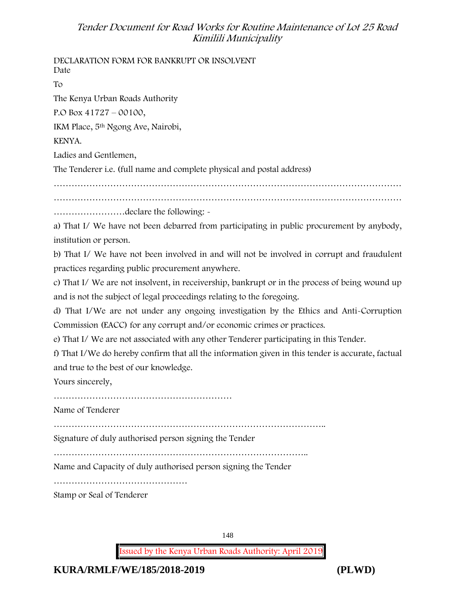**DECLARATION FORM FOR BANKRUPT OR INSOLVENT** Date To The Kenya Urban Roads Authority P.O Box 41727 – 00100, IKM Place, 5th Ngong Ave, Nairobi, KENYA. Ladies and Gentlemen, The Tenderer i.e. (full name and complete physical and postal address) ……………………………………………………………………………………………………… ……………………………………………………………………………………………………… ……………………declare the following: a) That I/ We have not been debarred from participating in public procurement by anybody, institution or person. b) That I/ We have not been involved in and will not be involved in corrupt and fraudulent practices regarding public procurement anywhere. c) That I/ We are not insolvent, in receivership, bankrupt or in the process of being wound up and is not the subject of legal proceedings relating to the foregoing. d) That I/We are not under any ongoing investigation by the Ethics and Anti-Corruption Commission (EACC) for any corrupt and/or economic crimes or practices. e) That I/ We are not associated with any other Tenderer participating in this Tender. f) That I/We do hereby confirm that all the information given in this tender is accurate, factual and true to the best of our knowledge. Yours sincerely, …………………………………………………… Name of Tenderer ……………………………………………………………………………….. Signature of duly authorised person signing the Tender ………………………………………………………………………….. Name and Capacity of duly authorised person signing the Tender ……………………………………… Stamp or Seal of Tenderer

148

**Issued by the Kenya Urban Roads Authority: April 2019**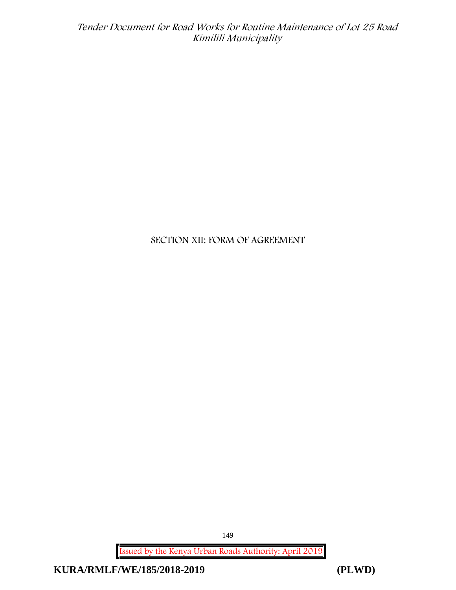# **SECTION XII: FORM OF AGREEMENT**

**Issued by the Kenya Urban Roads Authority: April 2019**

**KURA/RMLF/WE/185/2018-2019 (PLWD)**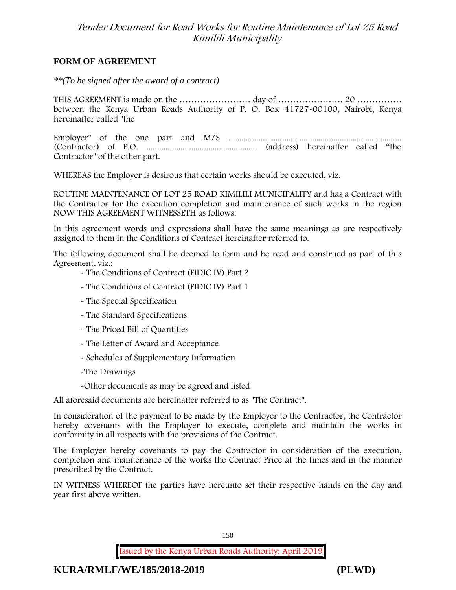#### **FORM OF AGREEMENT**

*\*\*(To be signed after the award of a contract)*

THIS AGREEMENT is made on the ………………………… day of ……………………………………………………………………………………… between the Kenya Urban Roads Authority of P. O. Box 41727-00100, Nairobi, Kenya hereinafter called "the

Employer" of the one part and M/S ................................................................................. (Contractor) of P.O. .................................................... (address) hereinafter called "the Contractor" of the other part.

WHEREAS the Employer is desirous that certain works should be executed, viz.

**ROUTINE MAINTENANCE OF LOT 25 ROAD KIMILILI MUNICIPALITY** and has a Contract with the Contractor for the execution completion and maintenance of such works in the region NOW THIS AGREEMENT WITNESSETH as follows:

In this agreement words and expressions shall have the same meanings as are respectively assigned to them in the Conditions of Contract hereinafter referred to.

The following document shall be deemed to form and be read and construed as part of this Agreement, viz.:

- The Conditions of Contract (FIDIC IV) Part 2

- The Conditions of Contract (FIDIC IV) Part 1
- The Special Specification
- The Standard Specifications
- The Priced Bill of Quantities
- The Letter of Award and Acceptance
- Schedules of Supplementary Information
- -The Drawings
- -Other documents as may be agreed and listed

All aforesaid documents are hereinafter referred to as "The Contract".

In consideration of the payment to be made by the Employer to the Contractor, the Contractor hereby covenants with the Employer to execute, complete and maintain the works in conformity in all respects with the provisions of the Contract.

The Employer hereby covenants to pay the Contractor in consideration of the execution, completion and maintenance of the works the Contract Price at the times and in the manner prescribed by the Contract.

IN WITNESS WHEREOF the parties have hereunto set their respective hands on the day and year first above written.



**KURA/RMLF/WE/185/2018-2019 (PLWD)**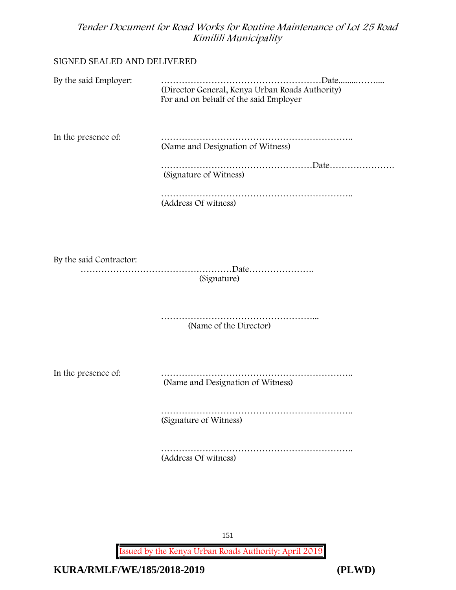#### SIGNED SEALED AND DELIVERED

| By the said Employer:   |                                                                                           |
|-------------------------|-------------------------------------------------------------------------------------------|
|                         | (Director General, Kenya Urban Roads Authority)<br>For and on behalf of the said Employer |
| In the presence of:     | (Name and Designation of Witness)                                                         |
|                         | (Signature of Witness)                                                                    |
|                         | (Address Of witness)                                                                      |
|                         |                                                                                           |
| By the said Contractor: | (Signature)                                                                               |
|                         | .<br>(Name of the Director)                                                               |
| In the presence of:     | (Name and Designation of Witness)                                                         |
|                         | (Signature of Witness)                                                                    |
|                         | (Address Of witness)                                                                      |
|                         |                                                                                           |

151

**Issued by the Kenya Urban Roads Authority: April 2019**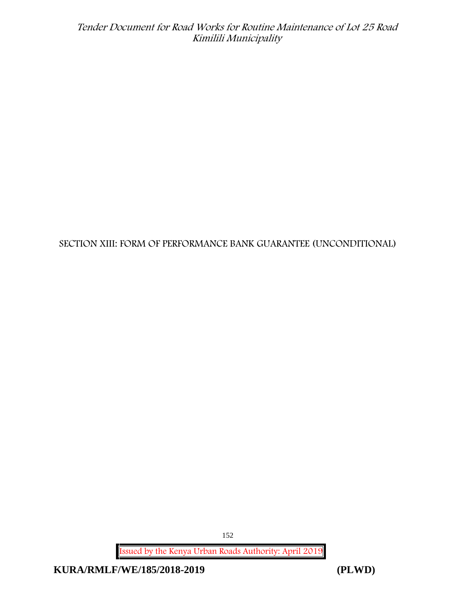# **SECTION XIII: FORM OF PERFORMANCE BANK GUARANTEE (UNCONDITIONAL)**

**Issued by the Kenya Urban Roads Authority: April 2019**

**KURA/RMLF/WE/185/2018-2019 (PLWD)**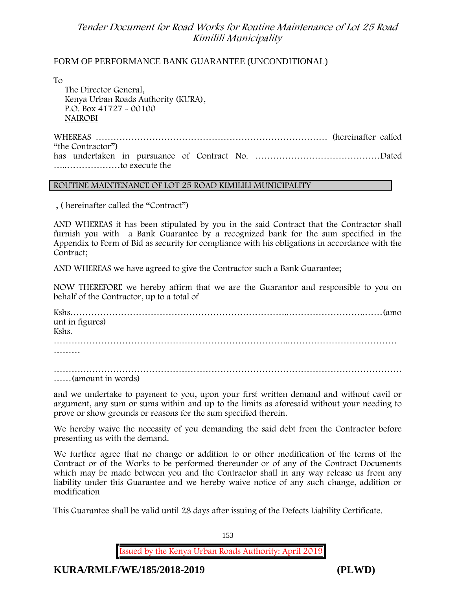#### FORM OF PERFORMANCE BANK GUARANTEE (UNCONDITIONAL)

To

The Director General, Kenya Urban Roads Authority (KURA), P.O. Box 41727 - 00100 **NAIROBI**

WHEREAS …………………………………………………………………… (hereinafter called "the Contractor") has undertaken in pursuance of Contract No. ……………………………………Dated …..………………to execute the

#### **ROUTINE MAINTENANCE OF LOT 25 ROAD KIMILILI MUNICIPALITY**

, ( hereinafter called the "Contract")

AND WHEREAS it has been stipulated by you in the said Contract that the Contractor shall furnish you with a Bank Guarantee by a recognized bank for the sum specified in the Appendix to Form of Bid as security for compliance with his obligations in accordance with the Contract;

AND WHEREAS we have agreed to give the Contractor such a Bank Guarantee;

NOW THEREFORE we hereby affirm that we are the Guarantor and responsible to you on behalf of the Contractor, up to a total of

Kshs………………………………………………………………..……………………..……(amo unt in figures) Kshs. ……………………………………………………………………..……………………………… ………

……………………………………………………………………………………………………… ……(amount in words)

and we undertake to payment to you, upon your first written demand and without cavil or argument, any sum or sums within and up to the limits as aforesaid without your needing to prove or show grounds or reasons for the sum specified therein.

We hereby waive the necessity of you demanding the said debt from the Contractor before presenting us with the demand.

We further agree that no change or addition to or other modification of the terms of the Contract or of the Works to be performed thereunder or of any of the Contract Documents which may be made between you and the Contractor shall in any way release us from any liability under this Guarantee and we hereby waive notice of any such change, addition or modification

This Guarantee shall be valid until 28 days after issuing of the Defects Liability Certificate.

153

**Issued by the Kenya Urban Roads Authority: April 2019**